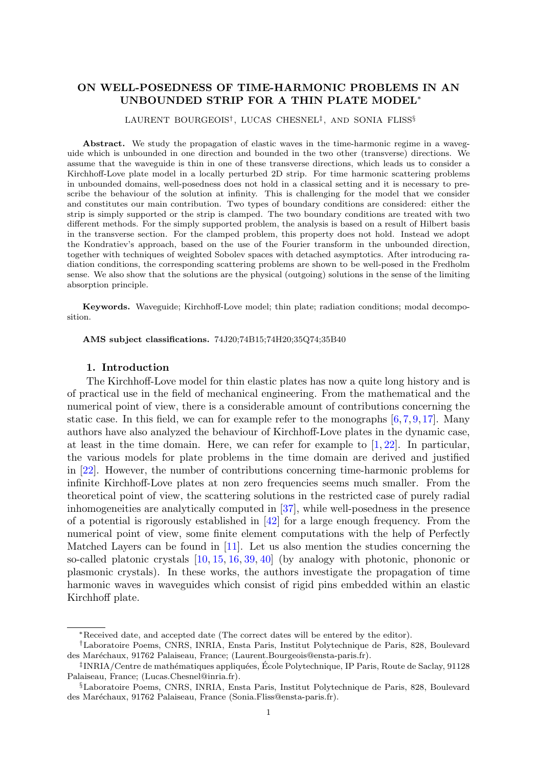# ON WELL-POSEDNESS OF TIME-HARMONIC PROBLEMS IN AN UNBOUNDED STRIP FOR A THIN PLATE MODEL<sup>∗</sup>

# LAURENT BOURGEOIS† , LUCAS CHESNEL‡ , AND SONIA FLISS§

Abstract. We study the propagation of elastic waves in the time-harmonic regime in a waveguide which is unbounded in one direction and bounded in the two other (transverse) directions. We assume that the waveguide is thin in one of these transverse directions, which leads us to consider a Kirchhoff-Love plate model in a locally perturbed 2D strip. For time harmonic scattering problems in unbounded domains, well-posedness does not hold in a classical setting and it is necessary to prescribe the behaviour of the solution at infinity. This is challenging for the model that we consider and constitutes our main contribution. Two types of boundary conditions are considered: either the strip is simply supported or the strip is clamped. The two boundary conditions are treated with two different methods. For the simply supported problem, the analysis is based on a result of Hilbert basis in the transverse section. For the clamped problem, this property does not hold. Instead we adopt the Kondratiev's approach, based on the use of the Fourier transform in the unbounded direction, together with techniques of weighted Sobolev spaces with detached asymptotics. After introducing radiation conditions, the corresponding scattering problems are shown to be well-posed in the Fredholm sense. We also show that the solutions are the physical (outgoing) solutions in the sense of the limiting absorption principle.

Keywords. Waveguide; Kirchhoff-Love model; thin plate; radiation conditions; modal decomposition.

AMS subject classifications. 74J20;74B15;74H20;35Q74;35B40

# 1. Introduction

<span id="page-0-0"></span>The Kirchhoff-Love model for thin elastic plates has now a quite long history and is of practical use in the field of mechanical engineering. From the mathematical and the numerical point of view, there is a considerable amount of contributions concerning the static case. In this field, we can for example refer to the monographs  $[6, 7, 9, 17]$  $[6, 7, 9, 17]$  $[6, 7, 9, 17]$  $[6, 7, 9, 17]$  $[6, 7, 9, 17]$  $[6, 7, 9, 17]$ . Many authors have also analyzed the behaviour of Kirchhoff-Love plates in the dynamic case, at least in the time domain. Here, we can refer for example to  $[1, 22]$  $[1, 22]$ . In particular, the various models for plate problems in the time domain are derived and justified in [\[22\]](#page-41-1). However, the number of contributions concerning time-harmonic problems for infinite Kirchhoff-Love plates at non zero frequencies seems much smaller. From the theoretical point of view, the scattering solutions in the restricted case of purely radial inhomogeneities are analytically computed in [\[37\]](#page-41-2), while well-posedness in the presence of a potential is rigorously established in  $\left|42\right|$  for a large enough frequency. From the numerical point of view, some finite element computations with the help of Perfectly Matched Layers can be found in  $[11]$ . Let us also mention the studies concerning the so-called platonic crystals [\[10,](#page-40-4) [15,](#page-41-4) [16,](#page-41-5) [39,](#page-42-1) [40\]](#page-42-2) (by analogy with photonic, phononic or plasmonic crystals). In these works, the authors investigate the propagation of time harmonic waves in waveguides which consist of rigid pins embedded within an elastic Kirchhoff plate.

<sup>∗</sup>Received date, and accepted date (The correct dates will be entered by the editor).

<sup>†</sup>Laboratoire Poems, CNRS, INRIA, Ensta Paris, Institut Polytechnique de Paris, 828, Boulevard des Maréchaux, 91762 Palaiseau, France; (Laurent.Bourgeois@ensta-paris.fr).

 $^{\ddagger}$ INRIA/Centre de mathématiques appliquées, École Polytechnique, IP Paris, Route de Saclay, 91128 Palaiseau, France; (Lucas.Chesnel@inria.fr).

<sup>§</sup>Laboratoire Poems, CNRS, INRIA, Ensta Paris, Institut Polytechnique de Paris, 828, Boulevard des Maréchaux, 91762 Palaiseau, France (Sonia.Fliss@ensta-paris.fr).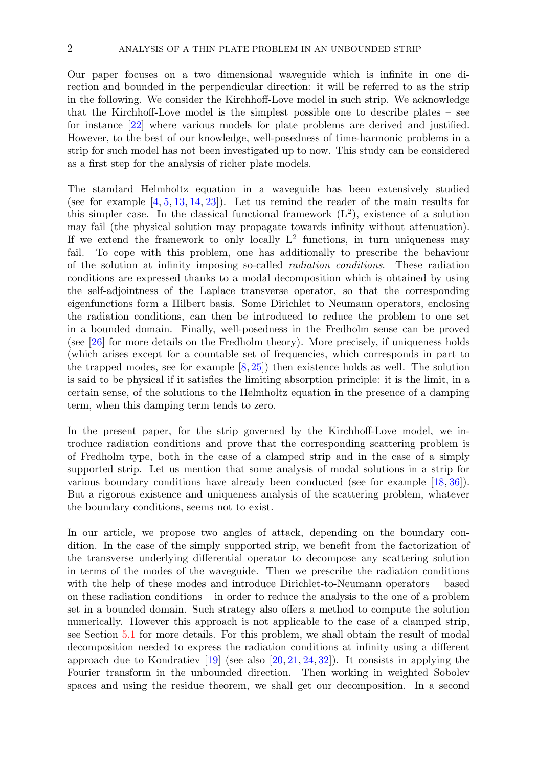Our paper focuses on a two dimensional waveguide which is infinite in one direction and bounded in the perpendicular direction: it will be referred to as the strip in the following. We consider the Kirchhoff-Love model in such strip. We acknowledge that the Kirchhoff-Love model is the simplest possible one to describe plates – see for instance [\[22\]](#page-41-1) where various models for plate problems are derived and justified. However, to the best of our knowledge, well-posedness of time-harmonic problems in a strip for such model has not been investigated up to now. This study can be considered as a first step for the analysis of richer plate models.

The standard Helmholtz equation in a waveguide has been extensively studied (see for example  $[4, 5, 13, 14, 23]$  $[4, 5, 13, 14, 23]$  $[4, 5, 13, 14, 23]$  $[4, 5, 13, 14, 23]$  $[4, 5, 13, 14, 23]$  $[4, 5, 13, 14, 23]$  $[4, 5, 13, 14, 23]$  $[4, 5, 13, 14, 23]$ ). Let us remind the reader of the main results for this simpler case. In the classical functional framework  $(L<sup>2</sup>)$ , existence of a solution may fail (the physical solution may propagate towards infinity without attenuation). If we extend the framework to only locally  $L^2$  functions, in turn uniqueness may fail. To cope with this problem, one has additionally to prescribe the behaviour of the solution at infinity imposing so-called radiation conditions. These radiation conditions are expressed thanks to a modal decomposition which is obtained by using the self-adjointness of the Laplace transverse operator, so that the corresponding eigenfunctions form a Hilbert basis. Some Dirichlet to Neumann operators, enclosing the radiation conditions, can then be introduced to reduce the problem to one set in a bounded domain. Finally, well-posedness in the Fredholm sense can be proved (see [\[26\]](#page-41-9) for more details on the Fredholm theory). More precisely, if uniqueness holds (which arises except for a countable set of frequencies, which corresponds in part to the trapped modes, see for example  $[8, 25]$  $[8, 25]$  then existence holds as well. The solution is said to be physical if it satisfies the limiting absorption principle: it is the limit, in a certain sense, of the solutions to the Helmholtz equation in the presence of a damping term, when this damping term tends to zero.

In the present paper, for the strip governed by the Kirchhoff-Love model, we introduce radiation conditions and prove that the corresponding scattering problem is of Fredholm type, both in the case of a clamped strip and in the case of a simply supported strip. Let us mention that some analysis of modal solutions in a strip for various boundary conditions have already been conducted (see for example [\[18,](#page-41-11) [36\]](#page-41-12)). But a rigorous existence and uniqueness analysis of the scattering problem, whatever the boundary conditions, seems not to exist.

In our article, we propose two angles of attack, depending on the boundary condition. In the case of the simply supported strip, we benefit from the factorization of the transverse underlying differential operator to decompose any scattering solution in terms of the modes of the waveguide. Then we prescribe the radiation conditions with the help of these modes and introduce Dirichlet-to-Neumann operators – based on these radiation conditions – in order to reduce the analysis to the one of a problem set in a bounded domain. Such strategy also offers a method to compute the solution numerically. However this approach is not applicable to the case of a clamped strip, see Section [5.1](#page-20-0) for more details. For this problem, we shall obtain the result of modal decomposition needed to express the radiation conditions at infinity using a different approach due to Kondratiev  $[19]$  (see also  $[20, 21, 24, 32]$  $[20, 21, 24, 32]$  $[20, 21, 24, 32]$  $[20, 21, 24, 32]$  $[20, 21, 24, 32]$  $[20, 21, 24, 32]$ ). It consists in applying the Fourier transform in the unbounded direction. Then working in weighted Sobolev spaces and using the residue theorem, we shall get our decomposition. In a second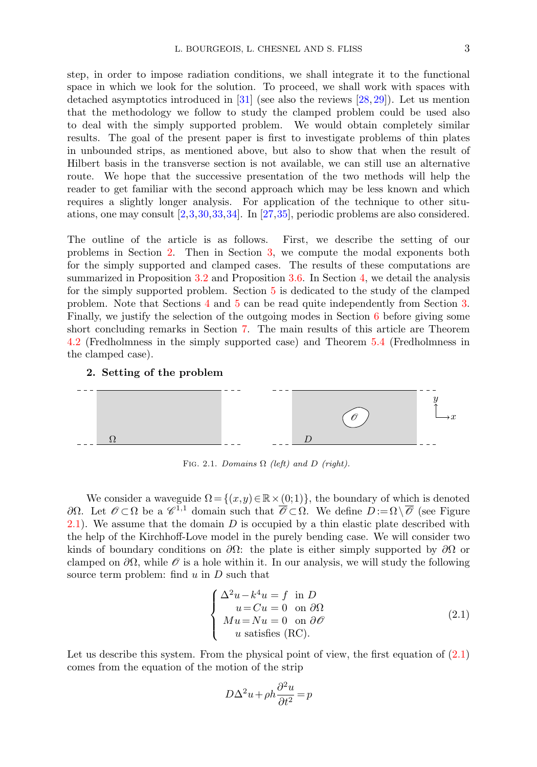step, in order to impose radiation conditions, we shall integrate it to the functional space in which we look for the solution. To proceed, we shall work with spaces with detached asymptotics introduced in [\[31\]](#page-41-18) (see also the reviews [\[28,](#page-41-19) [29\]](#page-41-20)). Let us mention that the methodology we follow to study the clamped problem could be used also to deal with the simply supported problem. We would obtain completely similar results. The goal of the present paper is first to investigate problems of thin plates in unbounded strips, as mentioned above, but also to show that when the result of Hilbert basis in the transverse section is not available, we can still use an alternative route. We hope that the successive presentation of the two methods will help the reader to get familiar with the second approach which may be less known and which requires a slightly longer analysis. For application of the technique to other situations, one may consult [\[2,](#page-40-8)[3,](#page-40-9)[30,](#page-41-21)[33,](#page-41-22)[34\]](#page-41-23). In [\[27,](#page-41-24)[35\]](#page-41-25), periodic problems are also considered.

The outline of the article is as follows. First, we describe the setting of our problems in Section [2.](#page-2-0) Then in Section [3,](#page-4-0) we compute the modal exponents both for the simply supported and clamped cases. The results of these computations are summarized in Proposition [3.2](#page-5-0) and Proposition [3.6.](#page-9-0) In Section [4,](#page-9-1) we detail the analysis for the simply supported problem. Section [5](#page-19-0) is dedicated to the study of the clamped problem. Note that Sections [4](#page-9-1) and [5](#page-19-0) can be read quite independently from Section [3.](#page-4-0) Finally, we justify the selection of the outgoing modes in Section [6](#page-35-0) before giving some short concluding remarks in Section [7.](#page-38-0) The main results of this article are Theorem [4.2](#page-17-0) (Fredholmness in the simply supported case) and Theorem [5.4](#page-30-0) (Fredholmness in the clamped case).

# 2. Setting of the problem

<span id="page-2-0"></span>

<span id="page-2-1"></span>FIG. 2.1. Domains  $\Omega$  (left) and D (right).

We consider a waveguide  $\Omega = \{(x,y)\in\mathbb{R}\times(0,1)\}\,$ , the boundary of which is denoted  $\partial Ω$ . Let  $\mathscr{O} \subset Ω$  be a  $\mathscr{C}^{1,1}$  domain such that  $\overline{\mathscr{O}} \subset Ω$ . We define  $D := Ω \setminus \overline{\mathscr{O}}$  (see Figure [2.1\)](#page-2-1). We assume that the domain  $D$  is occupied by a thin elastic plate described with the help of the Kirchhoff-Love model in the purely bending case. We will consider two kinds of boundary conditions on  $\partial\Omega$ : the plate is either simply supported by  $\partial\Omega$  or clamped on  $\partial\Omega$ , while  $\mathcal O$  is a hole within it. In our analysis, we will study the following source term problem: find  $u$  in  $D$  such that

<span id="page-2-2"></span>
$$
\begin{cases}\n\Delta^2 u - k^4 u = f \text{ in } D \\
u = Cu = 0 \text{ on } \partial \Omega \\
Mu = Nu = 0 \text{ on } \partial \mathcal{O} \\
u \text{ satisfies (RC)}.\n\end{cases}
$$
\n(2.1)

Let us describe this system. From the physical point of view, the first equation of  $(2.1)$ comes from the equation of the motion of the strip

$$
D\Delta^2 u + \rho h \frac{\partial^2 u}{\partial t^2} = p
$$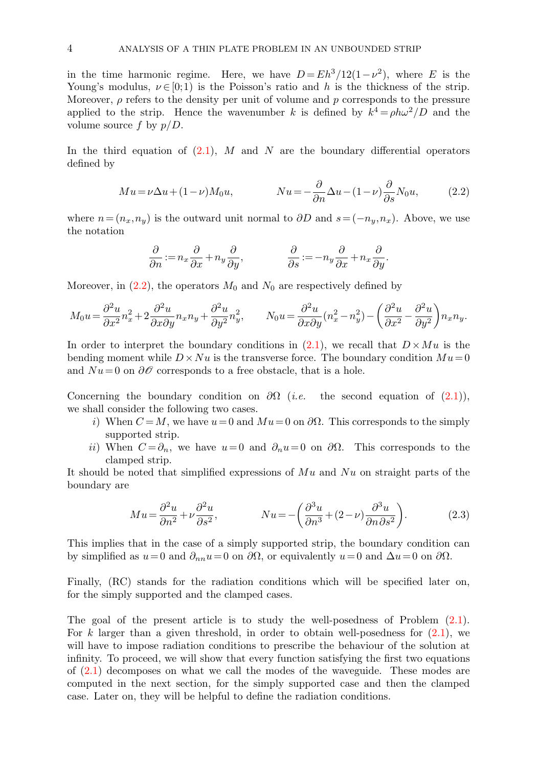in the time harmonic regime. Here, we have  $D = Eh^3/12(1 - \nu^2)$ , where E is the Young's modulus,  $\nu \in [0,1)$  is the Poisson's ratio and h is the thickness of the strip. Moreover,  $\rho$  refers to the density per unit of volume and p corresponds to the pressure applied to the strip. Hence the wavenumber k is defined by  $k^4 = \rho h \omega^2/D$  and the volume source f by  $p/D$ .

In the third equation of  $(2.1)$ , M and N are the boundary differential operators defined by

<span id="page-3-0"></span>
$$
Mu = \nu \Delta u + (1 - \nu)M_0 u, \qquad Nu = -\frac{\partial}{\partial n} \Delta u - (1 - \nu)\frac{\partial}{\partial s} N_0 u,\tag{2.2}
$$

where  $n = (n_x, n_y)$  is the outward unit normal to  $\partial D$  and  $s = (-n_y, n_x)$ . Above, we use the notation

$$
\frac{\partial}{\partial n} := n_x \frac{\partial}{\partial x} + n_y \frac{\partial}{\partial y}, \qquad \qquad \frac{\partial}{\partial s} := -n_y \frac{\partial}{\partial x} + n_x \frac{\partial}{\partial y}.
$$

Moreover, in  $(2.2)$ , the operators  $M_0$  and  $N_0$  are respectively defined by

$$
M_0 u = \frac{\partial^2 u}{\partial x^2} n_x^2 + 2 \frac{\partial^2 u}{\partial x \partial y} n_x n_y + \frac{\partial^2 u}{\partial y^2} n_y^2, \qquad N_0 u = \frac{\partial^2 u}{\partial x \partial y} (n_x^2 - n_y^2) - \left( \frac{\partial^2 u}{\partial x^2} - \frac{\partial^2 u}{\partial y^2} \right) n_x n_y.
$$

In order to interpret the boundary conditions in  $(2.1)$ , we recall that  $D \times Mu$  is the bending moment while  $D \times Nu$  is the transverse force. The boundary condition  $Mu=0$ and  $Nu = 0$  on  $\partial\mathcal{O}$  corresponds to a free obstacle, that is a hole.

Concerning the boundary condition on  $\partial\Omega$  (*i.e.* the second equation of [\(2.1\)](#page-2-2)), we shall consider the following two cases.

- i) When  $C = M$ , we have  $u = 0$  and  $Mu = 0$  on  $\partial\Omega$ . This corresponds to the simply supported strip.
- ii) When  $C = \partial_n$ , we have  $u = 0$  and  $\partial_n u = 0$  on  $\partial \Omega$ . This corresponds to the clamped strip.

It should be noted that simplified expressions of  $Mu$  and  $Nu$  on straight parts of the boundary are

<span id="page-3-1"></span>
$$
Mu = \frac{\partial^2 u}{\partial n^2} + \nu \frac{\partial^2 u}{\partial s^2}, \qquad Nu = -\left(\frac{\partial^3 u}{\partial n^3} + (2 - \nu)\frac{\partial^3 u}{\partial n \partial s^2}\right).
$$
 (2.3)

This implies that in the case of a simply supported strip, the boundary condition can by simplified as  $u=0$  and  $\partial_{nn}u=0$  on  $\partial\Omega$ , or equivalently  $u=0$  and  $\Delta u=0$  on  $\partial\Omega$ .

Finally, (RC) stands for the radiation conditions which will be specified later on, for the simply supported and the clamped cases.

The goal of the present article is to study the well-posedness of Problem [\(2.1\)](#page-2-2). For k larger than a given threshold, in order to obtain well-posedness for  $(2.1)$ , we will have to impose radiation conditions to prescribe the behaviour of the solution at infinity. To proceed, we will show that every function satisfying the first two equations of [\(2.1\)](#page-2-2) decomposes on what we call the modes of the waveguide. These modes are computed in the next section, for the simply supported case and then the clamped case. Later on, they will be helpful to define the radiation conditions.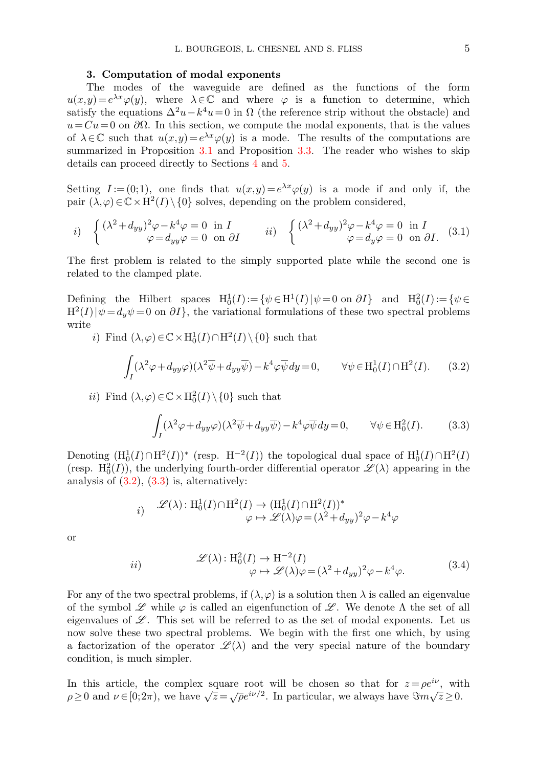#### 3. Computation of modal exponents

<span id="page-4-0"></span>The modes of the waveguide are defined as the functions of the form  $u(x,y) = e^{\lambda x}\varphi(y)$ , where  $\lambda \in \mathbb{C}$  and where  $\varphi$  is a function to determine, which satisfy the equations  $\Delta^2 u - k^4 u = 0$  in  $\Omega$  (the reference strip without the obstacle) and  $u = Cu = 0$  on  $\partial\Omega$ . In this section, we compute the modal exponents, that is the values of  $\lambda \in \mathbb{C}$  such that  $u(x,y) = e^{\lambda x} \varphi(y)$  is a mode. The results of the computations are summarized in Proposition [3.1](#page-5-1) and Proposition [3.3.](#page-6-0) The reader who wishes to skip details can proceed directly to Sections [4](#page-9-1) and [5.](#page-19-0)

Setting  $I := (0,1)$ , one finds that  $u(x,y) = e^{\lambda x}\varphi(y)$  is a mode if and only if, the pair  $(\lambda, \varphi) \in \mathbb{C} \times \mathrm{H}^2(I) \setminus \{0\}$  solves, depending on the problem considered,

*i)* 
$$
\begin{cases} (\lambda^2 + d_{yy})^2 \varphi - k^4 \varphi = 0 & \text{in } I \\ \varphi = d_{yy} \varphi = 0 & \text{on } \partial I \end{cases}
$$
 *ii)* 
$$
\begin{cases} (\lambda^2 + d_{yy})^2 \varphi - k^4 \varphi = 0 & \text{in } I \\ \varphi = d_y \varphi = 0 & \text{on } \partial I. \end{cases}
$$
 (3.1)

The first problem is related to the simply supported plate while the second one is related to the clamped plate.

Defining the Hilbert spaces  $H_0^1(I) := \{ \psi \in H^1(I) | \psi = 0 \text{ on } \partial I \}$  and  $H_0^2(I) := \{ \psi \in H^1(I) | \psi = 0 \text{ on } \partial I \}$  $H^2(I)$   $|\psi = d_y \psi = 0$  on  $\partial I$ , the variational formulations of these two spectral problems write

i) Find  $(\lambda, \varphi) \in \mathbb{C} \times H_0^1(I) \cap H^2(I) \setminus \{0\}$  such that

<span id="page-4-3"></span>
$$
\int_{I} (\lambda^2 \varphi + d_{yy}\varphi)(\lambda^2 \overline{\psi} + d_{yy}\overline{\psi}) - k^4 \varphi \overline{\psi} dy = 0, \qquad \forall \psi \in H_0^1(I) \cap H^2(I). \tag{3.2}
$$

*ii*) Find  $(\lambda, \varphi) \in \mathbb{C} \times H_0^2(I) \setminus \{0\}$  such that

<span id="page-4-2"></span><span id="page-4-1"></span>
$$
\int_{I} (\lambda^2 \varphi + d_{yy}\varphi)(\lambda^2 \overline{\psi} + d_{yy}\overline{\psi}) - k^4 \varphi \overline{\psi} dy = 0, \qquad \forall \psi \in H_0^2(I). \tag{3.3}
$$

Denoting  $(\mathrm{H}_0^1(I) \cap \mathrm{H}^2(I))^*$  (resp.  $\mathrm{H}^{-2}(I)$ ) the topological dual space of  $\mathrm{H}_0^1(I) \cap \mathrm{H}^2(I)$ (resp.  $H_0^2(I)$ ), the underlying fourth-order differential operator  $\mathscr{L}(\lambda)$  appearing in the analysis of  $(3.2)$ ,  $(3.3)$  is, alternatively:

$$
i) \quad \mathscr{L}(\lambda) : \mathrm{H}_0^1(I) \cap \mathrm{H}^2(I) \to (\mathrm{H}_0^1(I) \cap \mathrm{H}^2(I))^*
$$
  

$$
\varphi \mapsto \mathscr{L}(\lambda)\varphi = (\lambda^2 + d_{yy})^2 \varphi - k^4 \varphi
$$

<span id="page-4-4"></span>or

$$
ii) \qquad \mathscr{L}(\lambda) : H_0^2(I) \to H^{-2}(I) \n\varphi \mapsto \mathscr{L}(\lambda)\varphi = (\lambda^2 + d_{yy})^2 \varphi - k^4 \varphi.
$$
\n(3.4)

For any of the two spectral problems, if  $(\lambda, \varphi)$  is a solution then  $\lambda$  is called an eigenvalue of the symbol  $\mathscr L$  while  $\varphi$  is called an eigenfunction of  $\mathscr L$ . We denote  $\Lambda$  the set of all eigenvalues of  $\mathscr{L}$ . This set will be referred to as the set of modal exponents. Let us now solve these two spectral problems. We begin with the first one which, by using a factorization of the operator  $\mathscr{L}(\lambda)$  and the very special nature of the boundary condition, is much simpler.

In this article, the complex square root will be chosen so that for  $z = \rho e^{i\nu}$ , with in this article, the complex square foot will be chosen so that for  $z = \rho e$ , with  $\rho \ge 0$  and  $\nu \in [0; 2\pi)$ , we have  $\sqrt{z} = \sqrt{\rho} e^{i\nu/2}$ . In particular, we always have  $\Im m \sqrt{z} \ge 0$ .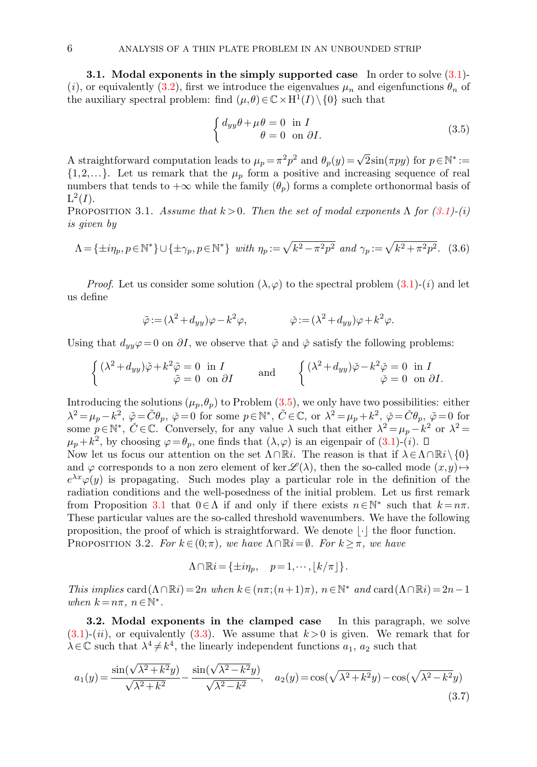<span id="page-5-5"></span>3.1. Modal exponents in the simply supported case In order to solve [\(3.1\)](#page-4-3)- (i), or equivalently [\(3.2\)](#page-4-1), first we introduce the eigenvalues  $\mu_n$  and eigenfunctions  $\theta_n$  of the auxiliary spectral problem: find  $(\mu, \theta) \in \mathbb{C} \times H^1(I) \setminus \{0\}$  such that

<span id="page-5-2"></span>
$$
\begin{cases} d_{yy}\theta + \mu\theta = 0 \text{ in } I \\ \theta = 0 \text{ on } \partial I. \end{cases}
$$
 (3.5)

A straightforward computation leads to  $\mu_p = \pi^2 p^2$  and  $\theta_p(y) = \sqrt{2}\sin(\pi py)$  for  $p \in \mathbb{N}^* :=$  $\{1,2,...\}$ . Let us remark that the  $\mu_p$  form a positive and increasing sequence of real numbers that tends to  $+\infty$  while the family  $(\theta_p)$  forms a complete orthonormal basis of  $L^2(I)$ .

<span id="page-5-1"></span>PROPOSITION 3.1. Assume that  $k > 0$ . Then the set of modal exponents  $\Lambda$  for  $(3.1)-(i)$  $(3.1)-(i)$ is given by

<span id="page-5-4"></span>
$$
\Lambda = \{\pm i\eta_p, p \in \mathbb{N}^*\} \cup \{\pm \gamma_p, p \in \mathbb{N}^*\} \quad with \quad \eta_p := \sqrt{k^2 - \pi^2 p^2} \quad and \quad \gamma_p := \sqrt{k^2 + \pi^2 p^2}. \tag{3.6}
$$

*Proof.* Let us consider some solution  $(\lambda, \varphi)$  to the spectral problem  $(3.1)-(i)$  and let us define

$$
\tilde{\varphi} := (\lambda^2 + d_{yy})\varphi - k^2\varphi, \qquad \tilde{\varphi} := (\lambda^2 + d_{yy})\varphi + k^2\varphi.
$$

Using that  $d_{yy}\varphi = 0$  on  $\partial I$ , we observe that  $\tilde{\varphi}$  and  $\tilde{\varphi}$  satisfy the following problems:

$$
\begin{cases}\n(\lambda^2 + d_{yy})\tilde{\varphi} + k^2 \tilde{\varphi} = 0 & \text{in } I \\
\tilde{\varphi} = 0 & \text{on } \partial I\n\end{cases}\n\quad \text{and} \quad\n\begin{cases}\n(\lambda^2 + d_{yy})\tilde{\varphi} - k^2 \tilde{\varphi} = 0 & \text{in } I \\
\tilde{\varphi} = 0 & \text{on } \partial I.\n\end{cases}
$$

Introducing the solutions  $(\mu_p, \theta_p)$  to Problem  $(3.5)$ , we only have two possibilities: either  $\lambda^2 = \mu_p - k^2$ ,  $\tilde{\varphi} = \tilde{C}\theta_p$ ,  $\tilde{\varphi} = 0$  for some  $p \in \mathbb{N}^*$ ,  $\tilde{C} \in \mathbb{C}$ , or  $\lambda^2 = \mu_p + k^2$ ,  $\tilde{\varphi} = \tilde{C}\theta_p$ ,  $\tilde{\varphi} = 0$  for some  $p \in \mathbb{N}^*$ ,  $\check{C} \in \mathbb{C}$ . Conversely, for any value  $\lambda$  such that either  $\lambda^2 = \mu_p - k^2$  or  $\lambda^2 =$  $\mu_p + k^2$ , by choosing  $\varphi = \theta_p$ , one finds that  $(\lambda, \varphi)$  is an eigenpair of  $(3.1)$ - $(i)$ .

Now let us focus our attention on the set  $\Lambda \cap \mathbb{R}i$ . The reason is that if  $\lambda \in \Lambda \cap \mathbb{R}i \setminus \{0\}$ and  $\varphi$  corresponds to a non zero element of ker $\mathscr{L}(\lambda)$ , then the so-called mode  $(x,y)\mapsto$  $e^{\lambda x}\varphi(y)$  is propagating. Such modes play a particular role in the definition of the radiation conditions and the well-posedness of the initial problem. Let us first remark from Proposition [3.1](#page-5-1) that  $0 \in \Lambda$  if and only if there exists  $n \in \mathbb{N}^*$  such that  $k = n\pi$ . These particular values are the so-called threshold wavenumbers. We have the following proposition, the proof of which is straightforward. We denote  $|\cdot|$  the floor function. PROPOSITION 3.2. For  $k \in (0;\pi)$ , we have  $\Lambda \cap \mathbb{R}i = \emptyset$ . For  $k \geq \pi$ , we have

<span id="page-5-3"></span><span id="page-5-0"></span>
$$
\Lambda \cap \mathbb{R}i = \{ \pm i\eta_p, \quad p = 1, \cdots, \lfloor k/\pi \rfloor \}.
$$

This implies card( $\Lambda \cap \mathbb{R}i$ ) = 2n when  $k \in (n\pi; (n+1)\pi)$ ,  $n \in \mathbb{N}^*$  and card( $\Lambda \cap \mathbb{R}i$ ) = 2n - 1 when  $k = n\pi, n \in \mathbb{N}^*$ .

3.2. Modal exponents in the clamped case In this paragraph, we solve  $(3.1)-(ii)$  $(3.1)-(ii)$ , or equivalently  $(3.3)$ . We assume that  $k > 0$  is given. We remark that for  $\lambda \in \mathbb{C}$  such that  $\lambda^4 \neq k^4$ , the linearly independent functions  $a_1, a_2$  such that

$$
a_1(y) = \frac{\sin(\sqrt{\lambda^2 + k^2}y)}{\sqrt{\lambda^2 + k^2}} - \frac{\sin(\sqrt{\lambda^2 - k^2}y)}{\sqrt{\lambda^2 - k^2}}, \quad a_2(y) = \cos(\sqrt{\lambda^2 + k^2}y) - \cos(\sqrt{\lambda^2 - k^2}y)
$$
\n(3.7)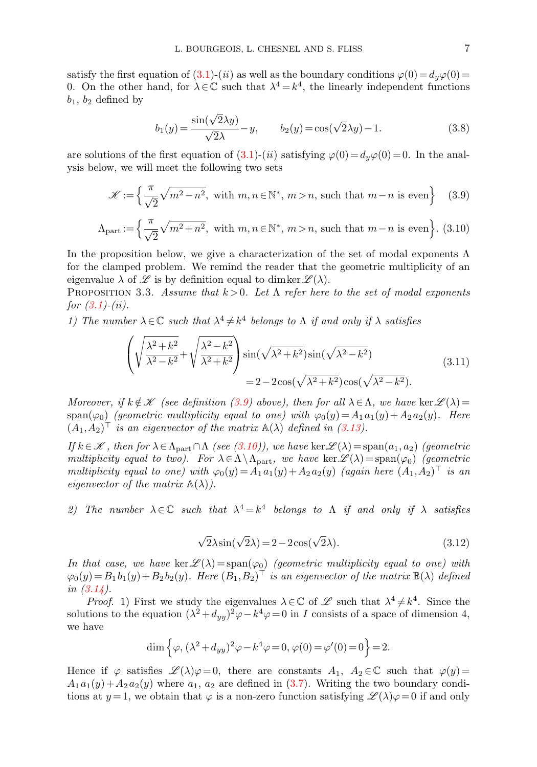satisfy the first equation of [\(3.1\)](#page-4-3)-(ii) as well as the boundary conditions  $\varphi(0) = d_y\varphi(0) =$ 0. On the other hand, for  $\lambda \in \mathbb{C}$  such that  $\lambda^4 = k^4$ , the linearly independent functions  $b_1, b_2$  defined by

<span id="page-6-3"></span>
$$
b_1(y) = \frac{\sin(\sqrt{2}\lambda y)}{\sqrt{2}\lambda} - y, \qquad b_2(y) = \cos(\sqrt{2}\lambda y) - 1.
$$
 (3.8)

are solutions of the first equation of  $(3.1)-(ii)$  satisfying  $\varphi(0) = d_y\varphi(0) = 0$ . In the analysis below, we will meet the following two sets

<span id="page-6-1"></span>
$$
\mathscr{K}:=\left\{\frac{\pi}{\sqrt{2}}\sqrt{m^2-n^2},\text{ with }m,n\in\mathbb{N}^*,\ m>n,\text{ such that }m-n\text{ is even}\right\}\quad(3.9)
$$

$$
\Lambda_{\text{part}} := \left\{ \frac{\pi}{\sqrt{2}} \sqrt{m^2 + n^2}, \text{ with } m, n \in \mathbb{N}^*, m > n, \text{ such that } m - n \text{ is even} \right\}. \tag{3.10}
$$

In the proposition below, we give a characterization of the set of modal exponents  $\Lambda$ for the clamped problem. We remind the reader that the geometric multiplicity of an eigenvalue  $\lambda$  of  $\mathscr L$  is by definition equal to dimker  $\mathscr L(\lambda)$ .

<span id="page-6-0"></span>PROPOSITION 3.3. Assume that  $k > 0$ . Let  $\Lambda$  refer here to the set of modal exponents for  $(3.1)-(ii)$  $(3.1)-(ii)$ .

1) The number  $\lambda \in \mathbb{C}$  such that  $\lambda^4 \neq k^4$  belongs to  $\Lambda$  if and only if  $\lambda$  satisfies

<span id="page-6-2"></span>
$$
\left(\sqrt{\frac{\lambda^2 + k^2}{\lambda^2 - k^2}} + \sqrt{\frac{\lambda^2 - k^2}{\lambda^2 + k^2}}\right) \sin(\sqrt{\lambda^2 + k^2}) \sin(\sqrt{\lambda^2 - k^2})
$$
\n
$$
= 2 - 2\cos(\sqrt{\lambda^2 + k^2}) \cos(\sqrt{\lambda^2 - k^2}).
$$
\n(3.11)

Moreover, if  $k \notin \mathcal{K}$  (see definition [\(3.9\)](#page-6-1) above), then for all  $\lambda \in \Lambda$ , we have ker $\mathcal{L}(\lambda)$  = span( $\varphi_0$ ) (geometric multiplicity equal to one) with  $\varphi_0(y) = A_1 a_1(y) + A_2 a_2(y)$ . Here  $(A_1, A_2)^\top$  is an eigenvector of the matrix  $\mathbb{A}(\lambda)$  defined in [\(3.13\)](#page-7-0).

If  $k \in \mathcal{K}$ , then for  $\lambda \in \Lambda_{part} \cap \Lambda$  (see [\(3.10\)](#page-6-1)), we have ker  $\mathcal{L}(\lambda) = span(a_1, a_2)$  (geometric multiplicity equal to two). For  $\lambda \in \Lambda \setminus \Lambda_{part}$ , we have ker $\mathscr{L}(\lambda) = \text{span}(\varphi_0)$  (geometric multiplicity equal to one) with  $\varphi_0(y) = A_1 a_1(y) + A_2 a_2(y)$  (again here  $(A_1, A_2)^\top$  is an eigenvector of the matrix  $\mathbb{A}(\lambda)$ .

<span id="page-6-4"></span>2) The number  $\lambda \in \mathbb{C}$  such that  $\lambda^4 = k^4$  belongs to  $\Lambda$  if and only if  $\lambda$  satisfies

$$
\sqrt{2}\lambda \sin(\sqrt{2}\lambda) = 2 - 2\cos(\sqrt{2}\lambda). \tag{3.12}
$$

In that case, we have ker $\mathscr{L}(\lambda) = \text{span}(\varphi_0)$  (geometric multiplicity equal to one) with  $\varphi_0(y) = B_1 b_1(y) + B_2 b_2(y)$ . Here  $(B_1, B_2)^\top$  is an eigenvector of the matrix  $\mathbb{B}(\lambda)$  defined in  $(3.14)$ .

*Proof.* 1) First we study the eigenvalues  $\lambda \in \mathbb{C}$  of  $\mathscr{L}$  such that  $\lambda^4 \neq k^4$ . Since the solutions to the equation  $(\lambda^2 + d_{yy})^2 \varphi - k^4 \varphi = 0$  in I consists of a space of dimension 4, we have

$$
\dim \left\{ \varphi, (\lambda^2 + d_{yy})^2 \varphi - k^4 \varphi = 0, \varphi(0) = \varphi'(0) = 0 \right\} = 2.
$$

Hence if  $\varphi$  satisfies  $\mathscr{L}(\lambda)\varphi=0$ , there are constants  $A_1, A_2 \in \mathbb{C}$  such that  $\varphi(y)$  $A_1 a_1(y) + A_2 a_2(y)$  where  $a_1, a_2$  are defined in [\(3.7\)](#page-5-3). Writing the two boundary conditions at  $y=1$ , we obtain that  $\varphi$  is a non-zero function satisfying  $\mathscr{L}(\lambda)\varphi=0$  if and only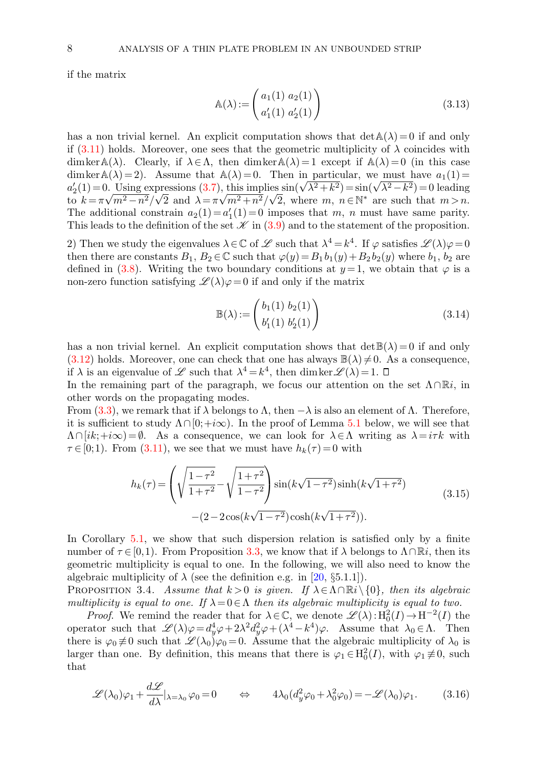<span id="page-7-0"></span>if the matrix

$$
\mathbb{A}(\lambda) := \begin{pmatrix} a_1(1) & a_2(1) \\ a'_1(1) & a'_2(1) \end{pmatrix} \tag{3.13}
$$

has a non trivial kernel. An explicit computation shows that  $\det A(\lambda) = 0$  if and only if [\(3.11\)](#page-6-2) holds. Moreover, one sees that the geometric multiplicity of  $\lambda$  coincides with dimker  $\mathbb{A}(\lambda)$ . Clearly, if  $\lambda \in \Lambda$ , then dimker  $\mathbb{A}(\lambda) = 1$  except if  $\mathbb{A}(\lambda) = 0$  (in this case dimker $A(\lambda) = 2$ . Assume that  $A(\lambda) = 0$ . Then in particular, we must have  $a_1(1) =$ dim ker A( $\lambda$ ) = 2). Assume that A( $\lambda$ ) = 0. Then in particular, we must have  $a_1(1) = a_2'(1) = 0$ . Using expressions [\(3.7\)](#page-5-3), this implies  $\sin(\sqrt{\lambda^2 + k^2}) = \sin(\sqrt{\lambda^2 - k^2}) = 0$  leading to  $k = \pi \sqrt{m^2 - n^2}/\sqrt{2}$  and  $\lambda = \pi \sqrt{m^2 + n^2}/\sqrt{2}$ , where  $m, n \in \mathbb{N}^*$  are such that  $m > n$ . The additional constrain  $a_2(1) = a'_1(1) = 0$  imposes that m, n must have same parity. This leads to the definition of the set  $\mathscr K$  in [\(3.9\)](#page-6-1) and to the statement of the proposition.

2) Then we study the eigenvalues  $\lambda \in \mathbb{C}$  of  $\mathscr{L}$  such that  $\lambda^4 = k^4$ . If  $\varphi$  satisfies  $\mathscr{L}(\lambda)\varphi = 0$ then there are constants  $B_1, B_2 \in \mathbb{C}$  such that  $\varphi(y) = B_1 b_1(y) + B_2 b_2(y)$  where  $b_1, b_2$  are defined in [\(3.8\)](#page-6-3). Writing the two boundary conditions at  $y=1$ , we obtain that  $\varphi$  is a non-zero function satisfying  $\mathscr{L}(\lambda)\varphi=0$  if and only if the matrix

<span id="page-7-3"></span><span id="page-7-1"></span>
$$
\mathbb{B}(\lambda) := \begin{pmatrix} b_1(1) & b_2(1) \\ b'_1(1) & b'_2(1) \end{pmatrix}
$$
 (3.14)

has a non trivial kernel. An explicit computation shows that  $\det B(\lambda) = 0$  if and only  $(3.12)$  holds. Moreover, one can check that one has always  $\mathbb{B}(\lambda) \neq 0$ . As a consequence, if  $\lambda$  is an eigenvalue of  $\mathscr L$  such that  $\lambda^4 = k^4$ , then dimker  $\mathscr L(\lambda) = 1$ .

In the remaining part of the paragraph, we focus our attention on the set  $\Lambda \cap \mathbb{R}i$ , in other words on the propagating modes.

From [\(3.3\)](#page-4-2), we remark that if  $\lambda$  belongs to  $\Lambda$ , then  $-\lambda$  is also an element of  $\Lambda$ . Therefore, it is sufficient to study  $\Lambda \cap [0, +i\infty)$ . In the proof of Lemma [5.1](#page-22-0) below, we will see that  $\Lambda \cap [ik; +i\infty) = \emptyset$ . As a consequence, we can look for  $\lambda \in \Lambda$  writing as  $\lambda = i\tau k$  with  $\tau \in [0,1)$ . From [\(3.11\)](#page-6-2), we see that we must have  $h_k(\tau) = 0$  with

<span id="page-7-4"></span>
$$
h_k(\tau) = \left(\sqrt{\frac{1-\tau^2}{1+\tau^2}} - \sqrt{\frac{1+\tau^2}{1-\tau^2}}\right) \sin(k\sqrt{1-\tau^2}) \sinh(k\sqrt{1+\tau^2})
$$
\n
$$
-(2-2\cos(k\sqrt{1-\tau^2})\cosh(k\sqrt{1+\tau^2})).
$$
\n(3.15)

In Corollary [5.1,](#page-22-1) we show that such dispersion relation is satisfied only by a finite number of  $\tau \in [0,1)$ . From Proposition [3.3,](#page-6-0) we know that if  $\lambda$  belongs to  $\Lambda \cap \mathbb{R}i$ , then its geometric multiplicity is equal to one. In the following, we will also need to know the algebraic multiplicity of  $\lambda$  (see the definition e.g. in [\[20,](#page-41-14) §5.1.1]).

PROPOSITION 3.4. Assume that  $k > 0$  is given. If  $\lambda \in \Lambda \cap \mathbb{R}$  {0}, then its algebraic multiplicity is equal to one. If  $\lambda = 0 \in \Lambda$  then its algebraic multiplicity is equal to two.

*Proof.* We remind the reader that for  $\lambda \in \mathbb{C}$ , we denote  $\mathscr{L}(\lambda) : H_0^2(I) \to H^{-2}(I)$  the operator such that  $\mathscr{L}(\lambda)\varphi = d_y^4\varphi + 2\lambda^2d_y^2\varphi + (\lambda^4 - k^4)\varphi$ . Assume that  $\lambda_0 \in \Lambda$ . Then there is  $\varphi_0 \neq 0$  such that  $\mathcal{L}(\lambda_0)\varphi_0 = 0$ . Assume that the algebraic multiplicity of  $\lambda_0$  is larger than one. By definition, this means that there is  $\varphi_1 \in H_0^2(I)$ , with  $\varphi_1 \not\equiv 0$ , such that

<span id="page-7-2"></span>
$$
\mathscr{L}(\lambda_0)\varphi_1 + \frac{d\mathscr{L}}{d\lambda}|_{\lambda = \lambda_0} \varphi_0 = 0 \qquad \Leftrightarrow \qquad 4\lambda_0 (d_y^2 \varphi_0 + \lambda_0^2 \varphi_0) = -\mathscr{L}(\lambda_0)\varphi_1. \tag{3.16}
$$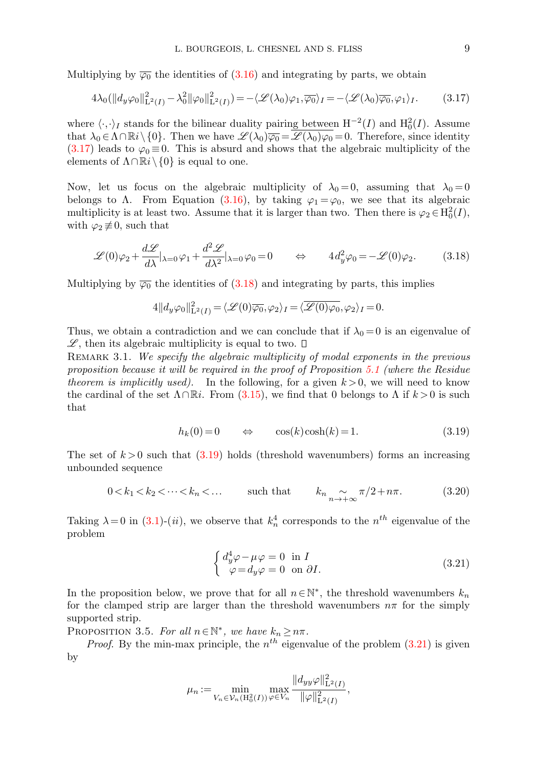Multiplying by  $\overline{\varphi_0}$  the identities of [\(3.16\)](#page-7-2) and integrating by parts, we obtain

<span id="page-8-0"></span>
$$
4\lambda_0(||d_y\varphi_0||_{\mathbf{L}^2(I)}^2 - \lambda_0^2 ||\varphi_0||_{\mathbf{L}^2(I)}^2) = -\langle \mathcal{L}(\lambda_0)\varphi_1, \overline{\varphi_0} \rangle_I = -\langle \mathcal{L}(\lambda_0)\overline{\varphi_0}, \varphi_1 \rangle_I. \tag{3.17}
$$

where  $\langle \cdot, \cdot \rangle_I$  stands for the bilinear duality pairing between  $H^{-2}(I)$  and  $H_0^2(I)$ . Assume that  $\lambda_0 \in \Lambda \cap \mathbb{R}i \setminus \{0\}$ . Then we have  $\mathscr{L}(\lambda_0) \overline{\varphi_0} = \mathscr{L}(\lambda_0) \varphi_0 = 0$ . Therefore, since identity  $(3.17)$  leads to  $\varphi_0 \equiv 0$ . This is absurd and shows that the algebraic multiplicity of the elements of  $\Lambda \cap \mathbb{R}i \setminus \{0\}$  is equal to one.

Now, let us focus on the algebraic multiplicity of  $\lambda_0 = 0$ , assuming that  $\lambda_0 = 0$ belongs to  $\Lambda$ . From Equation [\(3.16\)](#page-7-2), by taking  $\varphi_1 = \varphi_0$ , we see that its algebraic multiplicity is at least two. Assume that it is larger than two. Then there is  $\varphi_2 \in H_0^2(I)$ , with  $\varphi_2 \not\equiv 0$ , such that

<span id="page-8-1"></span>
$$
\mathscr{L}(0)\varphi_2 + \frac{d\mathscr{L}}{d\lambda}|_{\lambda=0}\varphi_1 + \frac{d^2\mathscr{L}}{d\lambda^2}|_{\lambda=0}\varphi_0 = 0 \qquad \Leftrightarrow \qquad 4d_y^2\varphi_0 = -\mathscr{L}(0)\varphi_2. \tag{3.18}
$$

Multiplying by  $\overline{\varphi_0}$  the identities of [\(3.18\)](#page-8-1) and integrating by parts, this implies

$$
4||d_y\varphi_0||^2_{\mathcal{L}^2(I)} = \langle \mathcal{L}(0)\overline{\varphi_0}, \varphi_2 \rangle_I = \langle \overline{\mathcal{L}(0)\varphi_0}, \varphi_2 \rangle_I = 0.
$$

Thus, we obtain a contradiction and we can conclude that if  $\lambda_0 = 0$  is an eigenvalue of  $\mathscr{L}$ , then its algebraic multiplicity is equal to two.  $\square$ 

<span id="page-8-2"></span>REMARK 3.1. We specify the algebraic multiplicity of modal exponents in the previous proposition because it will be required in the proof of Proposition [5.1](#page-25-0) (where the Residue theorem is implicitly used). In the following, for a given  $k > 0$ , we will need to know the cardinal of the set  $\Lambda \cap \mathbb{R}i$ . From [\(3.15\)](#page-7-3), we find that 0 belongs to  $\Lambda$  if  $k > 0$  is such that

<span id="page-8-4"></span>
$$
h_k(0) = 0 \qquad \Leftrightarrow \qquad \cos(k)\cosh(k) = 1. \tag{3.19}
$$

The set of  $k > 0$  such that  $(3.19)$  holds (threshold wavenumbers) forms an increasing unbounded sequence

<span id="page-8-3"></span>
$$
0 < k_1 < k_2 < \dots < k_n < \dots \qquad \text{such that} \qquad k_n \underset{n \to +\infty}{\sim} \pi/2 + n\pi. \tag{3.20}
$$

Taking  $\lambda = 0$  in [\(3.1\)](#page-4-3)-(*ii*), we observe that  $k_n^4$  corresponds to the  $n^{th}$  eigenvalue of the problem

$$
\begin{cases} d_y^4 \varphi - \mu \varphi = 0 & \text{in } I \\ \varphi = d_y \varphi = 0 & \text{on } \partial I. \end{cases} \tag{3.21}
$$

In the proposition below, we prove that for all  $n \in \mathbb{N}^*$ , the threshold wavenumbers  $k_n$ for the clamped strip are larger than the threshold wavenumbers  $n\pi$  for the simply supported strip.

PROPOSITION 3.5. For all  $n \in \mathbb{N}^*$ , we have  $k_n \geq n\pi$ .

*Proof.* By the min-max principle, the  $n^{th}$  eigenvalue of the problem  $(3.21)$  is given by

$$
\mu_n := \min_{V_n \in \mathcal{V}_n(H_0^2(I))} \max_{\varphi \in V_n} \frac{\|d_{yy}\varphi\|_{\mathbf{L}^2(I)}^2}{\|\varphi\|_{\mathbf{L}^2(I)}^2},
$$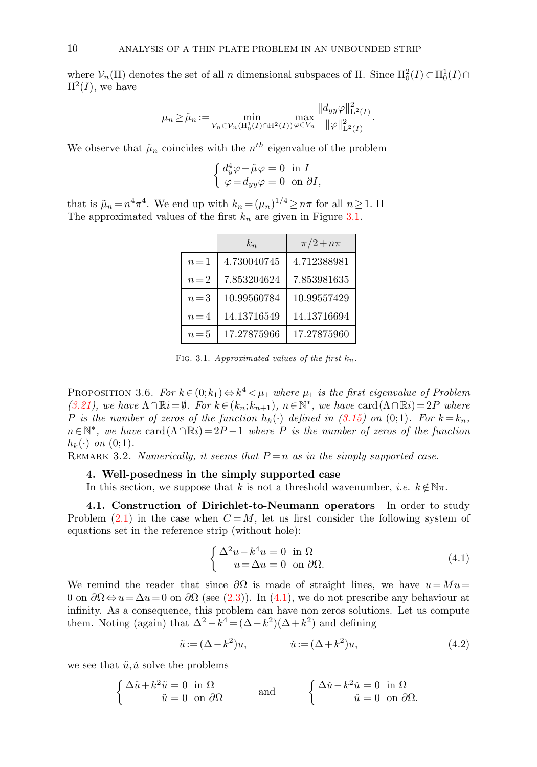where  $\mathcal{V}_n(H)$  denotes the set of all n dimensional subspaces of H. Since  $H_0^2(I) \subset H_0^1(I) \cap$  $H^2(I)$ , we have

$$
\mu_n \geq \tilde{\mu}_n := \min_{V_n \in \mathcal{V}_n(\mathbf{H}_0^1(I) \cap \mathbf{H}^2(I))} \max_{\varphi \in V_n} \frac{\|d_{yy}\varphi\|_{\mathbf{L}^2(I)}^2}{\|\varphi\|_{\mathbf{L}^2(I)}^2}.
$$

We observe that  $\tilde{\mu}_n$  coincides with the  $n^{th}$  eigenvalue of the problem

$$
\begin{cases} d_y^4 \varphi - \tilde{\mu} \varphi = 0 \text{ in } I \\ \varphi = d_{yy} \varphi = 0 \text{ on } \partial I, \end{cases}
$$

that is  $\tilde{\mu}_n = n^4 \pi^4$ . We end up with  $k_n = (\mu_n)^{1/4} \ge n\pi$  for all  $n \ge 1$ . The approximated values of the first  $k_n$  are given in Figure [3.1.](#page-2-1)

|       | $k_n$       | $\pi/2 + n\pi$ |
|-------|-------------|----------------|
| $n=1$ | 4.730040745 | 4.712388981    |
| $n=2$ | 7.853204624 | 7.853981635    |
| $n=3$ | 10.99560784 | 10.99557429    |
| $n=4$ | 14.13716549 | 14.13716694    |
| $n=5$ | 17.27875966 | 17.27875960    |

FIG. 3.1. Approximated values of the first  $k_n$ .

<span id="page-9-0"></span>PROPOSITION 3.6. For  $k \in (0; k_1) \Leftrightarrow k^4 < \mu_1$  where  $\mu_1$  is the first eigenvalue of Problem [\(3.21\)](#page-8-3), we have  $\Lambda \cap \mathbb{R}i = \emptyset$ . For  $k \in (k_n; k_{n+1})$ ,  $n \in \mathbb{N}^*$ , we have card  $(\Lambda \cap \mathbb{R}i) = 2P$  where P is the number of zeros of the function  $h_k(\cdot)$  defined in [\(3.15\)](#page-7-3) on (0;1). For  $k = k_n$ ,  $n \in \mathbb{N}^*$ , we have card $(\Lambda \cap \mathbb{R}i) = 2P - 1$  where P is the number of zeros of the function  $h_k(\cdot)$  on  $(0,1)$ .

<span id="page-9-1"></span>REMARK 3.2. Numerically, it seems that  $P = n$  as in the simply supported case.

# 4. Well-posedness in the simply supported case

In this section, we suppose that k is not a threshold wavenumber, *i.e.*  $k \notin \mathbb{N}\pi$ .

<span id="page-9-4"></span>4.1. Construction of Dirichlet-to-Neumann operators In order to study Problem  $(2.1)$  in the case when  $C = M$ , let us first consider the following system of equations set in the reference strip (without hole):

<span id="page-9-3"></span><span id="page-9-2"></span>
$$
\begin{cases} \Delta^2 u - k^4 u = 0 & \text{in } \Omega \\ u = \Delta u = 0 & \text{on } \partial \Omega. \end{cases}
$$
 (4.1)

We remind the reader that since  $\partial\Omega$  is made of straight lines, we have  $u=Mu=$ 0 on  $\partial\Omega \Leftrightarrow u = \Delta u = 0$  on  $\partial\Omega$  (see [\(2.3\)](#page-3-1)). In [\(4.1\)](#page-9-2), we do not prescribe any behaviour at infinity. As a consequence, this problem can have non zeros solutions. Let us compute them. Noting (again) that  $\Delta^2 - k^4 = (\Delta - k^2)(\Delta + k^2)$  and defining

$$
\tilde{u} := (\Delta - k^2)u, \qquad \tilde{u} := (\Delta + k^2)u, \tag{4.2}
$$

we see that  $\tilde{u}, \tilde{u}$  solve the problems

$$
\begin{cases} \Delta \tilde{u} + k^2 \tilde{u} = 0 \text{ in } \Omega \\ \tilde{u} = 0 \text{ on } \partial \Omega \end{cases} \text{ and } \begin{cases} \Delta \tilde{u} - k^2 \tilde{u} = 0 \text{ in } \Omega \\ \tilde{u} = 0 \text{ on } \partial \Omega. \end{cases}
$$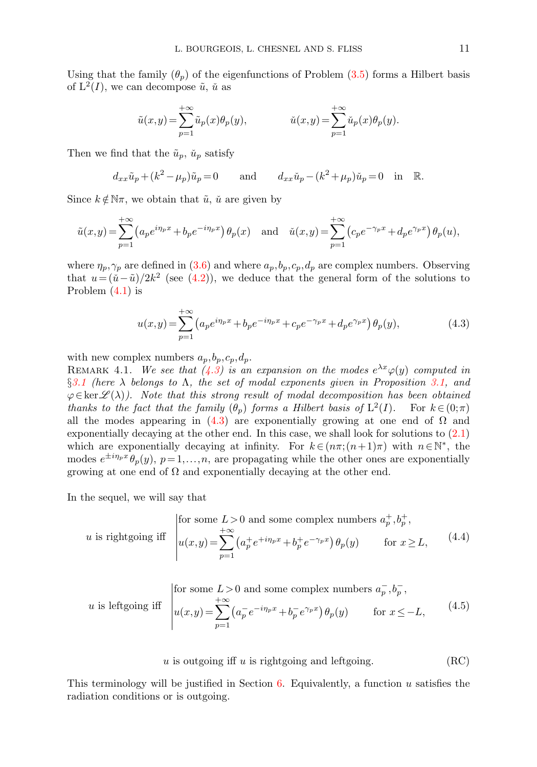Using that the family  $(\theta_p)$  of the eigenfunctions of Problem [\(3.5\)](#page-5-2) forms a Hilbert basis of  $L^2(I)$ , we can decompose  $\tilde{u}$ ,  $\tilde{u}$  as

$$
\tilde{u}(x,y) = \sum_{p=1}^{+\infty} \tilde{u}_p(x) \theta_p(y), \qquad \qquad \check{u}(x,y) = \sum_{p=1}^{+\infty} \check{u}_p(x) \theta_p(y).
$$

Then we find that the  $\tilde{u}_p$ ,  $\tilde{u}_p$  satisfy

$$
d_{xx}\tilde{u}_p + (k^2 - \mu_p)\tilde{u}_p = 0 \quad \text{and} \quad d_{xx}\tilde{u}_p - (k^2 + \mu_p)\tilde{u}_p = 0 \quad \text{in} \quad \mathbb{R}.
$$

Since  $k \notin \mathbb{N}\pi$ , we obtain that  $\tilde{u}$ ,  $\tilde{u}$  are given by

$$
\tilde{u}(x,y) = \sum_{p=1}^{+\infty} \left( a_p e^{i\eta_p x} + b_p e^{-i\eta_p x} \right) \theta_p(x) \quad \text{and} \quad \tilde{u}(x,y) = \sum_{p=1}^{+\infty} \left( c_p e^{-\gamma_p x} + d_p e^{\gamma_p x} \right) \theta_p(u),
$$

where  $\eta_p, \gamma_p$  are defined in [\(3.6\)](#page-5-4) and where  $a_p, b_p, c_p, d_p$  are complex numbers. Observing that  $u = (\tilde{u} - \tilde{u})/2k^2$  (see [\(4.2\)](#page-9-3)), we deduce that the general form of the solutions to Problem [\(4.1\)](#page-9-2) is

<span id="page-10-4"></span><span id="page-10-0"></span>
$$
u(x,y) = \sum_{p=1}^{+\infty} \left( a_p e^{i\eta_p x} + b_p e^{-i\eta_p x} + c_p e^{-\gamma_p x} + d_p e^{\gamma_p x} \right) \theta_p(y),\tag{4.3}
$$

with new complex numbers  $a_p, b_p, c_p, d_p$ .

REMARK 4.1. We see that  $(4.3)$  is an expansion on the modes  $e^{\lambda x}\varphi(y)$  computed in  $\S 3.1$  $\S 3.1$  (here  $\lambda$  belongs to  $\Lambda$ , the set of modal exponents given in Proposition [3.1,](#page-5-1) and  $\varphi \in \text{ker}\,\mathscr{L}(\lambda)$ . Note that this strong result of modal decomposition has been obtained thanks to the fact that the family  $(\theta_p)$  forms a Hilbert basis of  $L^2(I)$ . For  $k \in (0;\pi)$ all the modes appearing in [\(4.3\)](#page-10-0) are exponentially growing at one end of  $\Omega$  and exponentially decaying at the other end. In this case, we shall look for solutions to [\(2.1\)](#page-2-2) which are exponentially decaying at infinity. For  $k \in (n\pi; (n+1)\pi)$  with  $n \in \mathbb{N}^*$ , the modes  $e^{\pm i\eta_p x} \theta_p(y)$ ,  $p=1,\ldots,n$ , are propagating while the other ones are exponentially growing at one end of  $\Omega$  and exponentially decaying at the other end.

In the sequel, we will say that

<span id="page-10-1"></span>
$$
u \text{ is rightgoing iff } \begin{vmatrix} \text{for some } L > 0 \text{ and some complex numbers } a_p^+, b_p^+, \\ u(x,y) = \sum_{p=1}^{+\infty} \left( a_p^+ e^{+i\eta_p x} + b_p^+ e^{-\gamma_p x} \right) \theta_p(y) & \text{for } x \ge L, \end{vmatrix} \tag{4.4}
$$

<span id="page-10-3"></span><span id="page-10-2"></span>*u* is leftgoing iff 
$$
\begin{cases} \text{for some } L > 0 \text{ and some complex numbers } a_p^-, b_p^-, \\ u(x,y) = \sum_{p=1}^{+\infty} \left( a_p^- e^{-i\eta_p x} + b_p^- e^{\gamma_p x} \right) \theta_p(y) \quad \text{for } x \leq -L, \end{cases}
$$
 (4.5)

 $u$  is outgoing iff  $u$  is rightgoing and leftgoing. (RC)

This terminology will be justified in Section  $6$ . Equivalently, a function u satisfies the radiation conditions or is outgoing.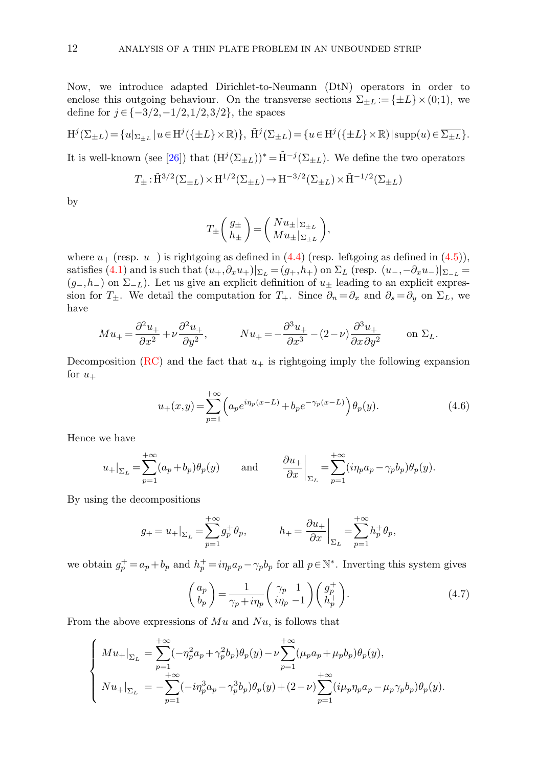Now, we introduce adapted Dirichlet-to-Neumann (DtN) operators in order to enclose this outgoing behaviour. On the transverse sections  $\Sigma_{\pm L} := {\pm L} \times (0,1)$ , we define for  $j \in \{-3/2, -1/2, 1/2, 3/2\}$ , the spaces

$$
\mathrm{H}^j(\Sigma_{\pm L}) = \{u|_{\Sigma_{\pm L}} | u \in \mathrm{H}^j(\{\pm L\} \times \mathbb{R})\}, \ \tilde{\mathrm{H}}^j(\Sigma_{\pm L}) = \{u \in \mathrm{H}^j(\{\pm L\} \times \mathbb{R}) | \operatorname{supp}(u) \in \overline{\Sigma_{\pm L}}\}.
$$

It is well-known (see [\[26\]](#page-41-9)) that  $(H^{j}(\Sigma_{\pm L}))^* = \tilde{H}^{-j}(\Sigma_{\pm L})$ . We define the two operators

$$
T_{\pm} : \tilde{\mathrm{H}}^{3/2}(\Sigma_{\pm L}) \times \mathrm{H}^{1/2}(\Sigma_{\pm L}) \to \mathrm{H}^{-3/2}(\Sigma_{\pm L}) \times \tilde{\mathrm{H}}^{-1/2}(\Sigma_{\pm L})
$$

by

$$
T_{\pm} \left( \begin{array}{c} g_{\pm} \\ h_{\pm} \end{array} \right) = \left( \begin{array}{c} Nu_{\pm} |_{\Sigma \pm L} \\ Mu_{\pm} |_{\Sigma \pm L} \end{array} \right),
$$

where  $u_+$  (resp.  $u_-$ ) is rightgoing as defined in [\(4.4\)](#page-10-1) (resp. leftgoing as defined in [\(4.5\)](#page-10-2)), satisfies [\(4.1\)](#page-9-2) and is such that  $(u_+,\partial_x u_+)|_{\Sigma_L} = (g_+,h_+)$  on  $\Sigma_L$  (resp.  $(u_-,-\partial_x u_-)|_{\Sigma_{-L}} =$  $(g_-,h_-)$  on  $\Sigma_{-L}$ ). Let us give an explicit definition of  $u_{\pm}$  leading to an explicit expression for  $T_{\pm}$ . We detail the computation for  $T_{+}$ . Since  $\partial_{n} = \partial_{x}$  and  $\partial_{s} = \partial_{y}$  on  $\Sigma_{L}$ , we have

$$
Mu_{+} = \frac{\partial^2 u_{+}}{\partial x^2} + \nu \frac{\partial^2 u_{+}}{\partial y^2}, \qquad Nu_{+} = -\frac{\partial^3 u_{+}}{\partial x^3} - (2 - \nu) \frac{\partial^3 u_{+}}{\partial x \partial y^2} \qquad \text{on } \Sigma_L.
$$

Decomposition [\(RC\)](#page-10-3) and the fact that  $u_+$  is rightgoing imply the following expansion for  $u_+$ 

$$
u_{+}(x,y) = \sum_{p=1}^{+\infty} \left( a_p e^{i\eta_p(x-L)} + b_p e^{-\gamma_p(x-L)} \right) \theta_p(y).
$$
 (4.6)

Hence we have

$$
u_+|_{\Sigma_L} = \sum_{p=1}^{+\infty} (a_p + b_p) \theta_p(y) \quad \text{and} \quad \frac{\partial u_+}{\partial x}\bigg|_{\Sigma_L} = \sum_{p=1}^{+\infty} (i\eta_p a_p - \gamma_p b_p) \theta_p(y).
$$

By using the decompositions

$$
g_+ = u_+|_{\Sigma_L} = \sum_{p=1}^{+\infty} g_p^+ \theta_p, \qquad h_+ = \frac{\partial u_+}{\partial x}\Big|_{\Sigma_L} = \sum_{p=1}^{+\infty} h_p^+ \theta_p,
$$

we obtain  $g_p^+ = a_p + b_p$  and  $h_p^+ = i\eta_p a_p - \gamma_p b_p$  for all  $p \in \mathbb{N}^*$ . Inverting this system gives

<span id="page-11-0"></span>
$$
\begin{pmatrix} a_p \\ b_p \end{pmatrix} = \frac{1}{\gamma_p + i\eta_p} \begin{pmatrix} \gamma_p & 1 \\ i\eta_p & -1 \end{pmatrix} \begin{pmatrix} g_p^+ \\ h_p^+ \end{pmatrix} . \tag{4.7}
$$

From the above expressions of  $Mu$  and  $Nu$ , is follows that

$$
\left\{\begin{aligned} Mu_+|_{\Sigma_L} &= \sum_{p=1}^{+\infty} (-\eta_p^2 a_p + \gamma_p^2 b_p) \theta_p(y) - \nu \sum_{p=1}^{+\infty} (\mu_p a_p + \mu_p b_p) \theta_p(y), \\ Nu_+|_{\Sigma_L} &= -\sum_{p=1}^{+\infty} (-i\eta_p^3 a_p - \gamma_p^3 b_p) \theta_p(y) + (2-\nu) \sum_{p=1}^{+\infty} (i\mu_p \eta_p a_p - \mu_p \gamma_p b_p) \theta_p(y). \end{aligned}\right.
$$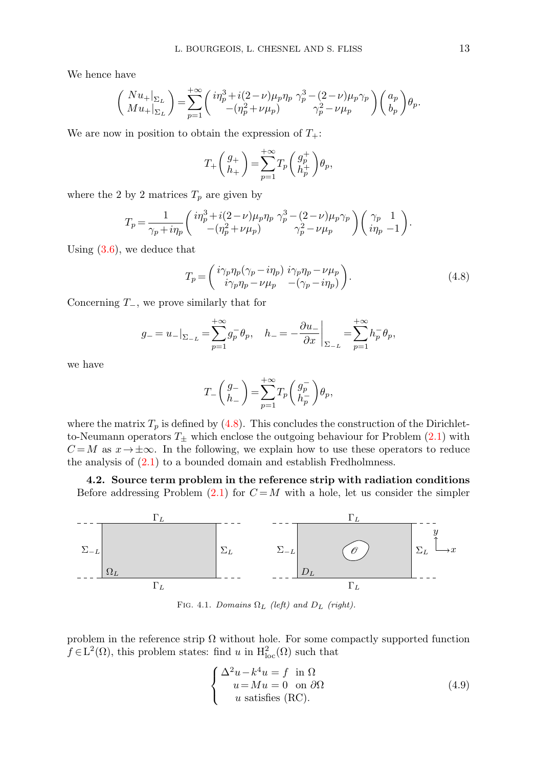We hence have

$$
\left(\begin{array}{c}Nu_+|_{\Sigma_L}\\Mu_+|_{\Sigma_L}\end{array}\right)=\sum_{p=1}^{+\infty} \left(\begin{array}{c}i\eta_p^3+i(2-\nu)\mu_p\eta_p\;\gamma_p^3-(2-\nu)\mu_p\gamma_p\\-(\eta_p^2+\nu\mu_p)\end{array}\right)\left(\begin{array}{c}a_p\\b_p\end{array}\right)\theta_p.
$$

We are now in position to obtain the expression of  $T_{+}$ :

$$
T_+\left({g_+ \atop h_+}\right)=\sum_{p=1}^{+\infty}T_p\left({g^+_p \atop h^+_p}\right)\!\theta_p,
$$

where the 2 by 2 matrices  $T_p$  are given by

$$
T_p = \frac{1}{\gamma_p + i\eta_p} \begin{pmatrix} i\eta_p^3 + i(2-\nu)\mu_p\eta_p & \gamma_p^3 - (2-\nu)\mu_p\gamma_p \\ -( \eta_p^2 + \nu\mu_p) & \gamma_p^2 - \nu\mu_p \end{pmatrix} \begin{pmatrix} \gamma_p & 1 \\ i\eta_p & -1 \end{pmatrix}.
$$

Using [\(3.6\)](#page-5-4), we deduce that

<span id="page-12-0"></span>
$$
T_p = \begin{pmatrix} i\gamma_p \eta_p (\gamma_p - i\eta_p) i\gamma_p \eta_p - \nu \mu_p \\ i\gamma_p \eta_p - \nu \mu_p - (\gamma_p - i\eta_p) \end{pmatrix}.
$$
 (4.8)

Concerning  $T_$ , we prove similarly that for

$$
g_- = u_-|_{\Sigma_{-L}} = \sum_{p=1}^{+\infty} g_p^- \theta_p, \quad h_- = -\frac{\partial u_-}{\partial x}\bigg|_{\Sigma_{-L}} = \sum_{p=1}^{+\infty} h_p^- \theta_p,
$$

we have

$$
T_{-}\left(\begin{matrix}g_{-}\\h_{-}\end{matrix}\right)=\sum_{p=1}^{+\infty}T_{p}\left(\begin{matrix}g_{p}^{-}\\h_{p}^{-}\end{matrix}\right)\theta_{p},
$$

where the matrix  $T_p$  is defined by [\(4.8\)](#page-12-0). This concludes the construction of the Dirichletto-Neumann operators  $T_{\pm}$  which enclose the outgoing behaviour for Problem [\(2.1\)](#page-2-2) with  $C = M$  as  $x \to \pm \infty$ . In the following, we explain how to use these operators to reduce the analysis of  $(2.1)$  to a bounded domain and establish Fredholmness.

4.2. Source term problem in the reference strip with radiation conditions Before addressing Problem [\(2.1\)](#page-2-2) for  $C = M$  with a hole, let us consider the simpler



FIG. 4.1. Domains  $\Omega_L$  (left) and  $D_L$  (right).

problem in the reference strip  $\Omega$  without hole. For some compactly supported function  $f \in L^2(\Omega)$ , this problem states: find u in  $H^2_{loc}(\Omega)$  such that

<span id="page-12-1"></span>
$$
\begin{cases}\n\Delta^2 u - k^4 u = f \quad \text{in } \Omega \\
u = Mu = 0 \quad \text{on } \partial \Omega \\
u \quad \text{satisfies (RC)}.\n\end{cases} \tag{4.9}
$$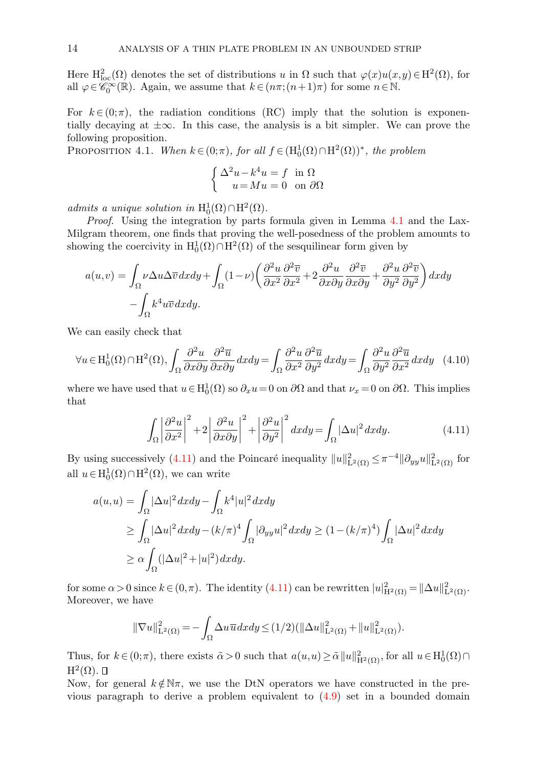Here  $H^2_{loc}(\Omega)$  denotes the set of distributions u in  $\Omega$  such that  $\varphi(x)u(x,y) \in H^2(\Omega)$ , for all  $\varphi \in \widetilde{\mathscr{C}_0^{\infty}}(\mathbb{R})$ . Again, we assume that  $k \in (n\pi; (n+1)\pi)$  for some  $n \in \mathbb{N}$ .

For  $k \in (0, \pi)$ , the radiation conditions (RC) imply that the solution is exponentially decaying at  $\pm \infty$ . In this case, the analysis is a bit simpler. We can prove the following proposition.

PROPOSITION 4.1. When  $k \in (0;\pi)$ , for all  $f \in (H_0^1(\Omega) \cap H^2(\Omega))^*$ , the problem

<span id="page-13-1"></span>
$$
\begin{cases} \Delta^2 u - k^4 u = f & \text{in } \Omega \\ u = Mu = 0 & \text{on } \partial \Omega \end{cases}
$$

admits a unique solution in  $H_0^1(\Omega) \cap H^2(\Omega)$ .

Proof. Using the integration by parts formula given in Lemma [4.1](#page-14-0) and the Lax-Milgram theorem, one finds that proving the well-posedness of the problem amounts to showing the coercivity in  $\mathrm{H}_0^1(\Omega) \cap \mathrm{H}^2(\Omega)$  of the sesquilinear form given by

$$
a(u,v) = \int_{\Omega} \nu \Delta u \Delta \overline{v} \, dx \, dy + \int_{\Omega} (1 - \nu) \left( \frac{\partial^2 u}{\partial x^2} \frac{\partial^2 \overline{v}}{\partial x^2} + 2 \frac{\partial^2 u}{\partial x \partial y} \frac{\partial^2 \overline{v}}{\partial x \partial y} + \frac{\partial^2 u}{\partial y^2} \frac{\partial^2 \overline{v}}{\partial y^2} \right) dx \, dy - \int_{\Omega} k^4 u \overline{v} \, dx \, dy.
$$

We can easily check that

$$
\forall u \in H_0^1(\Omega) \cap H^2(\Omega), \int_{\Omega} \frac{\partial^2 u}{\partial x \partial y} \frac{\partial^2 \overline{u}}{\partial x \partial y} dx dy = \int_{\Omega} \frac{\partial^2 u}{\partial x^2} \frac{\partial^2 \overline{u}}{\partial y^2} dx dy = \int_{\Omega} \frac{\partial^2 u}{\partial y^2} \frac{\partial^2 \overline{u}}{\partial x^2} dx dy \quad (4.10)
$$

<span id="page-13-0"></span>where we have used that  $u \in H_0^1(\Omega)$  so  $\partial_x u = 0$  on  $\partial\Omega$  and that  $\nu_x = 0$  on  $\partial\Omega$ . This implies that

$$
\int_{\Omega} \left| \frac{\partial^2 u}{\partial x^2} \right|^2 + 2 \left| \frac{\partial^2 u}{\partial x \partial y} \right|^2 + \left| \frac{\partial^2 u}{\partial y^2} \right|^2 dx dy = \int_{\Omega} |\Delta u|^2 dx dy.
$$
 (4.11)

By using successively [\(4.11\)](#page-13-0) and the Poincaré inequality  $||u||_{\mathbf{L}^2(\Omega)}^2 \leq \pi^{-4} ||\partial_{yy} u||_{\mathbf{L}^2(\Omega)}^2$  for all  $u \in H_0^1(\Omega) \cap H^2(\Omega)$ , we can write

$$
a(u, u) = \int_{\Omega} |\Delta u|^2 dx dy - \int_{\Omega} k^4 |u|^2 dx dy
$$
  
\n
$$
\geq \int_{\Omega} |\Delta u|^2 dx dy - (k/\pi)^4 \int_{\Omega} |\partial_{yy} u|^2 dx dy \geq (1 - (k/\pi)^4) \int_{\Omega} |\Delta u|^2 dx dy
$$
  
\n
$$
\geq \alpha \int_{\Omega} (|\Delta u|^2 + |u|^2) dx dy.
$$

for some  $\alpha > 0$  since  $k \in (0, \pi)$ . The identity  $(4.11)$  can be rewritten  $|u|_{\mathrm{H}^2(\Omega)}^2 = ||\Delta u||_{\mathrm{L}^2(\Omega)}^2$ . Moreover, we have

$$
\|\nabla u\|_{\mathbf{L}^2(\Omega)}^2 = -\int_{\Omega} \Delta u \, \overline{u} \, dx \, dy \le (1/2) \left( \|\Delta u\|_{\mathbf{L}^2(\Omega)}^2 + \|u\|_{\mathbf{L}^2(\Omega)}^2 \right).
$$

Thus, for  $k \in (0; \pi)$ , there exists  $\tilde{\alpha} > 0$  such that  $a(u,u) \geq \tilde{\alpha} ||u||^2_{\mathcal{H}^2(\Omega)}$ , for all  $u \in \mathrm{H}_0^1(\Omega) \cap$  $\mathrm{H}^2(\Omega)$ .

Now, for general  $k \notin \mathbb{N}\pi$ , we use the DtN operators we have constructed in the previous paragraph to derive a problem equivalent to [\(4.9\)](#page-12-1) set in a bounded domain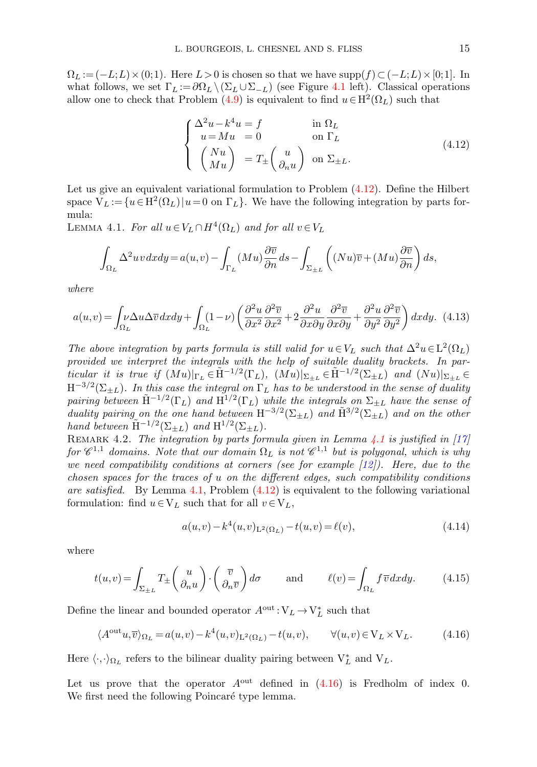$\Omega_L := (-L;L) \times (0;1)$ . Here  $L > 0$  is chosen so that we have supp $(f) \subset (-L;L) \times [0;1]$ . In what follows, we set  $\Gamma_L := \partial \Omega_L \setminus (\Sigma_L \cup \Sigma_{-L})$  (see Figure [4.1](#page-2-1) left). Classical operations allow one to check that Problem [\(4.9\)](#page-12-1) is equivalent to find  $u \in H^2(\Omega_L)$  such that

<span id="page-14-1"></span>
$$
\begin{cases}\n\Delta^2 u - k^4 u = f & \text{in } \Omega_L \\
u = Mu = 0 & \text{on } \Gamma_L \\
\begin{pmatrix} Nu \\
Mu \end{pmatrix} = T_{\pm} \begin{pmatrix} u \\
\partial_n u \end{pmatrix} & \text{on } \Sigma_{\pm L}.\n\end{cases}
$$
\n(4.12)

Let us give an equivalent variational formulation to Problem [\(4.12\)](#page-14-1). Define the Hilbert space  $V_L := \{u \in H^2(\Omega_L) | u = 0 \text{ on } \Gamma_L\}$ . We have the following integration by parts formula:

<span id="page-14-0"></span>LEMMA 4.1. For all  $u \in V_L \cap H^4(\Omega_L)$  and for all  $v \in V_L$ 

$$
\int_{\Omega_L} \Delta^2 uv \, dx \, dy = a(u, v) - \int_{\Gamma_L} (Mu) \frac{\partial \overline{v}}{\partial n} \, ds - \int_{\Sigma_{\pm L}} \left( (Nu) \overline{v} + (Mu) \frac{\partial \overline{v}}{\partial n} \right) \, ds,
$$

<span id="page-14-5"></span>where

$$
a(u,v) = \int_{\Omega_L} \nu \Delta u \Delta \overline{v} \, dx \, dy + \int_{\Omega_L} (1-\nu) \left( \frac{\partial^2 u}{\partial x^2} \frac{\partial^2 \overline{v}}{\partial x^2} + 2 \frac{\partial^2 u}{\partial x \partial y} \frac{\partial^2 \overline{v}}{\partial x \partial y} + \frac{\partial^2 u}{\partial y^2} \frac{\partial^2 \overline{v}}{\partial y^2} \right) dx \, dy. \tag{4.13}
$$

The above integration by parts formula is still valid for  $u \in V_L$  such that  $\Delta^2 u \in L^2(\Omega_L)$ provided we interpret the integrals with the help of suitable duality brackets. In particular it is true if  $(Mu)|_{\Gamma_L} \in \tilde{H}^{-1/2}(\Gamma_L)$ ,  $(Mu)|_{\Sigma_{\pm L}} \in \tilde{H}^{-1/2}(\Sigma_{\pm L})$  and  $(Nu)|_{\Sigma_{\pm L}} \in$  $\mathrm{H}^{-3/2}(\Sigma_{\pm L})$ . In this case the integral on  $\Gamma_L$  has to be understood in the sense of duality pairing between  $\tilde{H}^{-1/2}(\Gamma_L)$  and  $H^{1/2}(\Gamma_L)$  while the integrals on  $\Sigma_{\pm L}$  have the sense of duality pairing on the one hand between  $\overline{H}^{-3/2}(\Sigma_{\pm L})$  and  $\tilde{H}^{3/2}(\Sigma_{\pm L})$  and on the other hand between  $\tilde{H}^{-1/2}(\Sigma_{\pm L})$  and  $H^{1/2}(\Sigma_{\pm L})$ .

REMARK 4.2. The integration by parts formula given in Lemma [4.1](#page-14-0) is justified in  $|17|$ for  $\mathscr{C}^{1,1}$  domains. Note that our domain  $\Omega_L$  is not  $\mathscr{C}^{1,1}$  but is polygonal, which is why we need compatibility conditions at corners (see for example  $(12)$ ). Here, due to the chosen spaces for the traces of  $u$  on the different edges, such compatibility conditions are satisfied. By Lemma  $4.1$ , Problem  $(4.12)$  is equivalent to the following variational formulation: find  $u \in V_L$  such that for all  $v \in V_L$ ,

<span id="page-14-6"></span><span id="page-14-3"></span><span id="page-14-2"></span>
$$
a(u,v) - k4(u,v)L2(\Omega_L) - t(u,v) = \ell(v),
$$
\n(4.14)

where

<span id="page-14-4"></span>
$$
t(u,v) = \int_{\Sigma_{\pm L}} T_{\pm} \begin{pmatrix} u \\ \partial_n u \end{pmatrix} \cdot \begin{pmatrix} \overline{v} \\ \partial_n \overline{v} \end{pmatrix} d\sigma \quad \text{and} \quad \ell(v) = \int_{\Omega_L} f \overline{v} \, dx \, dy. \quad (4.15)
$$

Define the linear and bounded operator  $A^\text{out} \colon \nabla_L \to \nabla_L^*$  such that

$$
\langle A^{\text{out}} u, \overline{v} \rangle_{\Omega_L} = a(u, v) - k^4(u, v)_{L^2(\Omega_L)} - t(u, v), \qquad \forall (u, v) \in V_L \times V_L.
$$
 (4.16)

Here  $\langle \cdot, \cdot \rangle_{\Omega_L}$  refers to the bilinear duality pairing between  $V_L^*$  and  $V_L$ .

Let us prove that the operator  $A<sup>out</sup>$  defined in  $(4.16)$  is Fredholm of index 0. We first need the following Poincaré type lemma.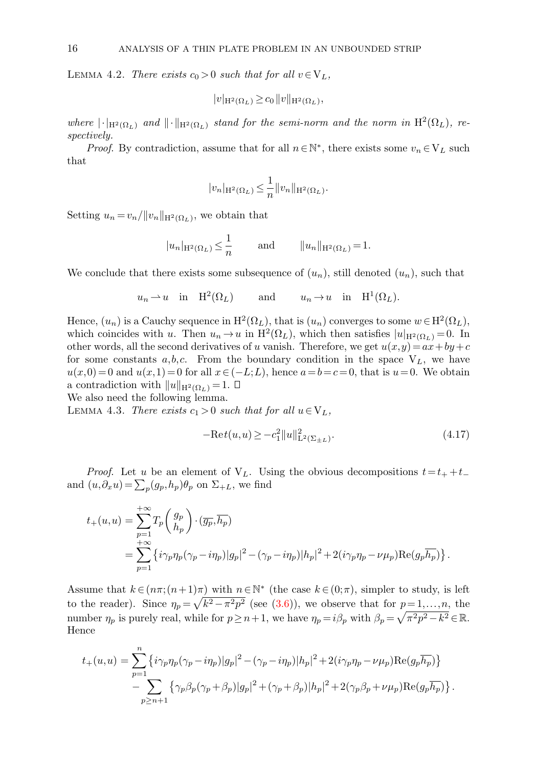LEMMA 4.2. There exists  $c_0 > 0$  such that for all  $v \in V_L$ ,

$$
|v|_{\mathcal{H}^2(\Omega_L)} \ge c_0 \|v\|_{\mathcal{H}^2(\Omega_L)},
$$

where  $|\cdot|_{H^2(\Omega_L)}$  and  $||\cdot||_{H^2(\Omega_L)}$  stand for the semi-norm and the norm in  $H^2(\Omega_L)$ , respectively.

*Proof.* By contradiction, assume that for all  $n \in \mathbb{N}^*$ , there exists some  $v_n \in V_L$  such that

$$
|v_n|_{\mathcal{H}^2(\Omega_L)} \leq \frac{1}{n} ||v_n||_{\mathcal{H}^2(\Omega_L)}.
$$

Setting  $u_n = v_n / ||v_n||_{\mathcal{H}^2(\Omega_L)}$ , we obtain that

$$
|u_n|_{\mathcal{H}^2(\Omega_L)} \leq \frac{1}{n}
$$
 and  $||u_n||_{\mathcal{H}^2(\Omega_L)} = 1$ .

We conclude that there exists some subsequence of  $(u_n)$ , still denoted  $(u_n)$ , such that

$$
u_n \rightharpoonup u
$$
 in  $H^2(\Omega_L)$  and  $u_n \rightarrow u$  in  $H^1(\Omega_L)$ .

Hence,  $(u_n)$  is a Cauchy sequence in  $H^2(\Omega_L)$ , that is  $(u_n)$  converges to some  $w \in H^2(\Omega_L)$ , which coincides with u. Then  $u_n \to u$  in  $H^2(\Omega_L)$ , which then satisfies  $|u|_{H^2(\Omega_L)} = 0$ . In other words, all the second derivatives of u vanish. Therefore, we get  $u(x,y) = ax + by + c$ for some constants  $a, b, c$ . From the boundary condition in the space  $V<sub>L</sub>$ , we have  $u(x,0) = 0$  and  $u(x,1) = 0$  for all  $x \in (-L,L)$ , hence  $a = b = c = 0$ , that is  $u = 0$ . We obtain a contradiction with  $||u||_{\mathrm{H}^2(\Omega_L)} = 1. \ \Box$ 

We also need the following lemma.

<span id="page-15-1"></span>LEMMA 4.3. There exists  $c_1 > 0$  such that for all  $u \in V_L$ ,

<span id="page-15-0"></span>
$$
-\text{Re}t(u, u) \ge -c_1^2 \|u\|_{\text{L}^2(\Sigma_{\pm L})}^2. \tag{4.17}
$$

*Proof.* Let u be an element of  $V<sub>L</sub>$ . Using the obvious decompositions  $t = t_{+} + t_{-}$ and  $(u, \partial_x u) = \sum_p (g_p, h_p) \theta_p$  on  $\Sigma_{+L}$ , we find

$$
t_{+}(u,u) = \sum_{p=1}^{+\infty} T_{p} \begin{pmatrix} g_{p} \\ h_{p} \end{pmatrix} \cdot (\overline{g_{p}}, \overline{h_{p}})
$$
  
= 
$$
\sum_{p=1}^{+\infty} \left\{ i \gamma_{p} \eta_{p} (\gamma_{p} - i \eta_{p}) |g_{p}|^{2} - (\gamma_{p} - i \eta_{p}) |h_{p}|^{2} + 2(i \gamma_{p} \eta_{p} - \nu \mu_{p}) \text{Re}(g_{p} \overline{h_{p}}) \right\}.
$$

Assume that  $k \in (n\pi; (n+1)\pi)$  with  $n \in \mathbb{N}^*$  (the case  $k \in (0;\pi)$ , simpler to study, is left to the reader). Since  $\eta_p = \sqrt{k^2 - \pi^2 p^2}$  (see [\(3.6\)](#page-5-4)), we observe that for  $p = 1, \ldots, n$ , the number  $\eta_p$  is purely real, while for  $p \ge n+1$ , we have  $\eta_p = i\beta_p$  with  $\beta_p = \sqrt{\pi^2 p^2 - k^2} \in \mathbb{R}$ . Hence

$$
t_{+}(u,u) = \sum_{p=1}^{n} \left\{ i\gamma_p \eta_p (\gamma_p - i\eta_p) |g_p|^2 - (\gamma_p - i\eta_p) |h_p|^2 + 2(i\gamma_p \eta_p - \nu \mu_p) \text{Re}(g_p \overline{h_p}) \right\}
$$
  

$$
- \sum_{p \ge n+1} \left\{ \gamma_p \beta_p (\gamma_p + \beta_p) |g_p|^2 + (\gamma_p + \beta_p) |h_p|^2 + 2(\gamma_p \beta_p + \nu \mu_p) \text{Re}(g_p \overline{h_p}) \right\}.
$$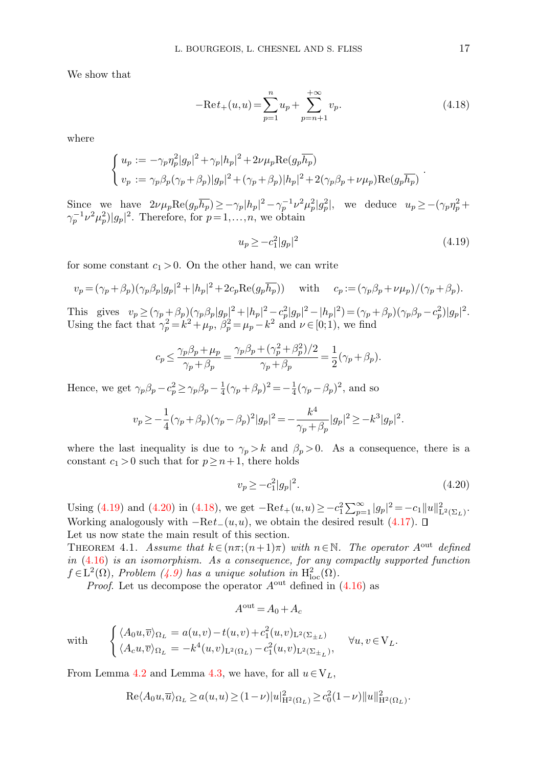We show that

<span id="page-16-2"></span>
$$
-\text{Re}t_{+}(u, u) = \sum_{p=1}^{n} u_{p} + \sum_{p=n+1}^{+\infty} v_{p}.
$$
\n(4.18)

where

$$
\begin{cases} u_p := -\gamma_p \eta_p^2 |g_p|^2 + \gamma_p |h_p|^2 + 2\nu \mu_p \text{Re}(g_p \overline{h_p}) \\ v_p := \gamma_p \beta_p (\gamma_p + \beta_p) |g_p|^2 + (\gamma_p + \beta_p) |h_p|^2 + 2(\gamma_p \beta_p + \nu \mu_p) \text{Re}(g_p \overline{h_p}) \end{cases}.
$$

Since we have  $2\nu\mu_p\text{Re}(g_p\overline{h_p}) \geq -\gamma_p|h_p|^2 - \gamma_p^{-1}\nu^2\mu_p^2|g_p^2|$ , we deduce  $u_p \geq -(\gamma_p\eta_p^2 + \gamma_p^2)\nu_p^2$  $\gamma_p^{-1} \nu^2 \mu_p^2$ )| $g_p$ |<sup>2</sup>. Therefore, for  $p=1,\ldots,n$ , we obtain

<span id="page-16-0"></span>
$$
u_p \ge -c_1^2 |g_p|^2 \tag{4.19}
$$

for some constant  $c_1 > 0$ . On the other hand, we can write

$$
v_p = (\gamma_p + \beta_p)(\gamma_p \beta_p |g_p|^2 + |h_p|^2 + 2c_p \text{Re}(g_p \overline{h_p})) \text{ with } c_p := (\gamma_p \beta_p + \nu \mu_p) / (\gamma_p + \beta_p).
$$

This gives  $v_p \ge (\gamma_p + \beta_p)(\gamma_p \beta_p |g_p|^2 + |h_p|^2 - c_p^2 |g_p|^2 - |h_p|^2) = (\gamma_p + \beta_p)(\gamma_p \beta_p - c_p^2)|g_p|^2$ . Using the fact that  $\gamma_p^2 = k^2 + \mu_p$ ,  $\beta_p^2 = \mu_p - k^2$  and  $\nu \in [0, 1)$ , we find

$$
c_p \le \frac{\gamma_p \beta_p + \mu_p}{\gamma_p + \beta_p} = \frac{\gamma_p \beta_p + (\gamma_p^2 + \beta_p^2)/2}{\gamma_p + \beta_p} = \frac{1}{2} (\gamma_p + \beta_p).
$$

Hence, we get  $\gamma_p \beta_p - c_p^2 \ge \gamma_p \beta_p - \frac{1}{4} (\gamma_p + \beta_p)^2 = -\frac{1}{4} (\gamma_p - \beta_p)^2$ , and so

$$
v_p \geq -\frac{1}{4}(\gamma_p+\beta_p)(\gamma_p-\beta_p)^2|g_p|^2 = -\frac{k^4}{\gamma_p+\beta_p}|g_p|^2 \geq -k^3|g_p|^2.
$$

where the last inequality is due to  $\gamma_p > k$  and  $\beta_p > 0$ . As a consequence, there is a constant  $c_1 > 0$  such that for  $p \geq n+1$ , there holds

<span id="page-16-3"></span><span id="page-16-1"></span>
$$
v_p \ge -c_1^2 |g_p|^2. \tag{4.20}
$$

Using [\(4.19\)](#page-16-0) and [\(4.20\)](#page-16-1) in [\(4.18\)](#page-16-2), we get  $-\text{Re}t_+(u,u) \ge -c_1^2 \sum_{p=1}^{\infty} |g_p|^2 = -c_1 ||u||_{\text{L}^2(\Sigma_L)}^2$ . Working analogously with  $-\text{Re}t_-(u,u)$ , we obtain the desired result [\(4.17\)](#page-15-0).  $\square$ Let us now state the main result of this section.

THEOREM 4.1. Assume that  $k \in (n\pi; (n+1)\pi)$  with  $n \in \mathbb{N}$ . The operator  $A^{\text{out}}$  defined in [\(4.16\)](#page-14-2) is an isomorphism. As a consequence, for any compactly supported function  $f \in L^2(\Omega)$ , Problem [\(4.9\)](#page-12-1) has a unique solution in  $H^2_{loc}(\Omega)$ .

*Proof.* Let us decompose the operator  $A<sup>out</sup>$  defined in  $(4.16)$  as

$$
A^{\text{out}} = A_0 + A_c
$$

with 
$$
\begin{cases} \langle A_0 u, \overline{v} \rangle_{\Omega_L} = a(u,v) - t(u,v) + c_1^2(u,v)_{L^2(\Sigma \pm L)} \\ \langle A_c u, \overline{v} \rangle_{\Omega_L} = -k^4(u,v)_{L^2(\Omega_L)} - c_1^2(u,v)_{L^2(\Sigma \pm_L)}, \end{cases} \forall u, v \in V_L.
$$

From Lemma [4.2](#page-14-3) and Lemma [4.3,](#page-15-1) we have, for all  $u \in V_L$ ,

$$
\mathrm{Re} \langle A_0 u, \overline{u} \rangle_{\Omega_L} \ge a(u, u) \ge (1 - \nu) |u|_{\mathrm{H}^2(\Omega_L)}^2 \ge c_0^2 (1 - \nu) ||u||_{\mathrm{H}^2(\Omega_L)}^2.
$$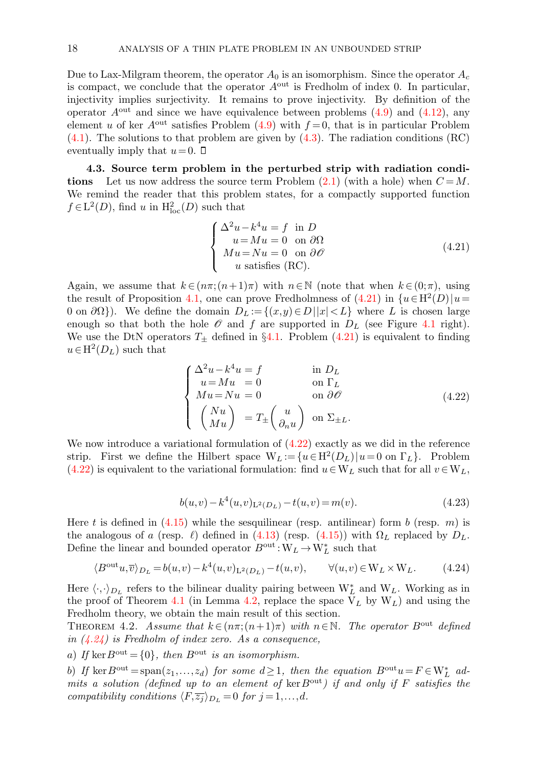Due to Lax-Milgram theorem, the operator  $A_0$  is an isomorphism. Since the operator  $A_c$ is compact, we conclude that the operator Aout is Fredholm of index 0. In particular, injectivity implies surjectivity. It remains to prove injectivity. By definition of the operator  $A<sup>out</sup>$  and since we have equivalence between problems [\(4.9\)](#page-12-1) and [\(4.12\)](#page-14-1), any element u of ker  $A^{out}$  satisfies Problem [\(4.9\)](#page-12-1) with  $f = 0$ , that is in particular Problem  $(4.1)$ . The solutions to that problem are given by  $(4.3)$ . The radiation conditions  $(RC)$ eventually imply that  $u=0$ .  $\Box$ 

4.3. Source term problem in the perturbed strip with radiation conditions Let us now address the source term Problem  $(2.1)$  (with a hole) when  $C = M$ . We remind the reader that this problem states, for a compactly supported function  $f \in L^2(D)$ , find u in  $H^2_{loc}(D)$  such that

<span id="page-17-1"></span>
$$
\begin{cases}\n\Delta^2 u - k^4 u = f \text{ in } D \\
u = Mu = 0 \text{ on } \partial \Omega \\
Mu = Nu = 0 \text{ on } \partial \mathcal{O} \\
u \text{ satisfies (RC)}.\n\end{cases}
$$
\n(4.21)

Again, we assume that  $k \in (n\pi; (n+1)\pi)$  with  $n \in \mathbb{N}$  (note that when  $k \in (0;\pi)$ , using the result of Proposition [4.1,](#page-13-1) one can prove Fredholmness of  $(4.21)$  in  $\{u \in H^2(D) | u =$ 0 on  $\partial\Omega$ ). We define the domain  $D_L := \{(x,y) \in D \mid |x| < L\}$  where L is chosen large enough so that both the hole  $\mathscr O$  and  $f$  are supported in  $D_L$  (see Figure [4.1](#page-2-1) right). We use the DtN operators  $T_{\pm}$  defined in §[4.1.](#page-9-4) Problem [\(4.21\)](#page-17-1) is equivalent to finding  $u \in H^2(D_L)$  such that

<span id="page-17-2"></span>
$$
\begin{cases}\n\Delta^2 u - k^4 u = f & \text{in } D_L \\
u = Mu = 0 & \text{on } \Gamma_L \\
Mu = Nu = 0 & \text{on } \partial \mathcal{O} \\
\begin{pmatrix} Nu \\
Mu \end{pmatrix} = T_{\pm} \begin{pmatrix} u \\
\partial_n u \end{pmatrix} & \text{on } \Sigma_{\pm L}.\n\end{cases}
$$
\n(4.22)

<span id="page-17-4"></span>We now introduce a variational formulation of  $(4.22)$  exactly as we did in the reference strip. First we define the Hilbert space  $W_L := \{u \in H^2(D_L) | u = 0 \text{ on } \Gamma_L\}.$  Problem [\(4.22\)](#page-17-2) is equivalent to the variational formulation: find  $u \in W_L$  such that for all  $v \in W_L$ ,

<span id="page-17-3"></span><span id="page-17-0"></span>
$$
b(u,v) - k4(u,v)L2(DL) - t(u,v) = m(v).
$$
 (4.23)

Here t is defined in  $(4.15)$  while the sesquilinear (resp. antilinear) form b (resp. m) is the analogous of a (resp.  $\ell$ ) defined in [\(4.13\)](#page-14-5) (resp. [\(4.15\)](#page-14-4)) with  $\Omega_L$  replaced by  $D_L$ . Define the linear and bounded operator  $B^\text{out}\!:\!{\mathcal{W}}_L \!\to\! {\mathcal{W}}_L^*$  such that

$$
\langle B^{\text{out}}u,\overline{v}\rangle_{D_L}=b(u,v)-k^4(u,v)_{L^2(D_L)}-t(u,v),\qquad \forall (u,v)\in W_L\times W_L.\tag{4.24}
$$

Here  $\langle \cdot, \cdot \rangle_{D_L}$  refers to the bilinear duality pairing between  $W_L^*$  and  $W_L$ . Working as in the proof of Theorem [4.1](#page-16-3) (in Lemma [4.2,](#page-14-3) replace the space  $V_L$  by  $W_L$ ) and using the Fredholm theory, we obtain the main result of this section.

THEOREM 4.2. Assume that  $k \in (n\pi; (n+1)\pi)$  with  $n \in \mathbb{N}$ . The operator  $B^{\text{out}}$  defined in  $(4.24)$  is Fredholm of index zero. As a consequence,

a) If ker  $B^{\text{out}} = \{0\}$ , then  $B^{\text{out}}$  is an isomorphism.

b) If  $\ker B^{\text{out}} = \text{span}(z_1, ..., z_d)$  for some  $d \geq 1$ , then the equation  $B^{\text{out}}u = F \in W_L^*$  admits a solution (defined up to an element of ker  $B<sup>out</sup>$ ) if and only if F satisfies the compatibility conditions  $\langle F,\overline{z_j} \rangle_{D_L} = 0$  for  $j = 1,\ldots,d$ .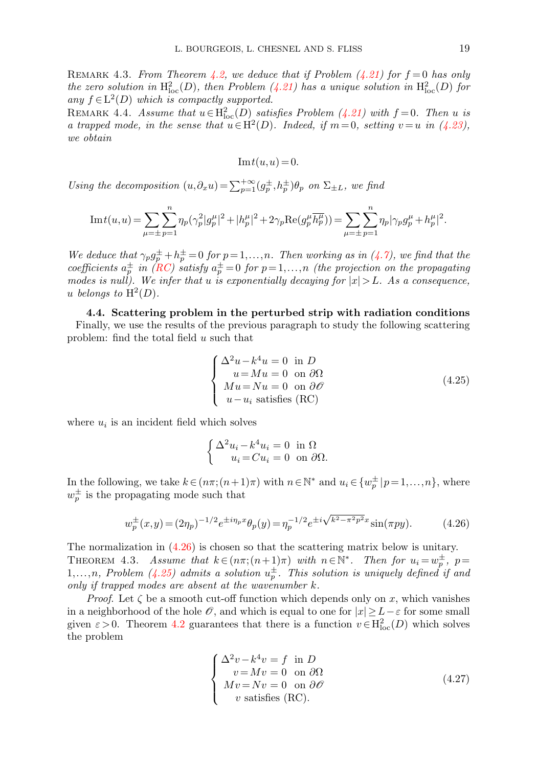REMARK 4.3. From Theorem [4.2,](#page-17-0) we deduce that if Problem  $(4.21)$  for  $f = 0$  has only the zero solution in  $\mathrm{H}^2_{\mathrm{loc}}(D)$ , then Problem [\(4.21\)](#page-17-1) has a unique solution in  $\mathrm{H}^2_{\mathrm{loc}}(D)$  for any  $f \in L^2(D)$  which is compactly supported.

REMARK 4.4. Assume that  $u \in H_{loc}^2(D)$  satisfies Problem [\(4.21\)](#page-17-1) with  $f = 0$ . Then u is a trapped mode, in the sense that  $u \in H^2(D)$ . Indeed, if  $m = 0$ , setting  $v = u$  in [\(4.23\)](#page-17-4), we obtain

<span id="page-18-3"></span>
$$
Im t(u, u) = 0.
$$

Using the decomposition  $(u, \partial_x u) = \sum_{p=1}^{+\infty} (g_p^{\pm}, h_p^{\pm}) \theta_p$  on  $\Sigma_{\pm L}$ , we find

$$
\mathrm{Im} t(u, u) = \sum_{\mu = \pm} \sum_{p=1}^{n} \eta_p (\gamma_p^2 |g_p^{\mu}|^2 + |h_p^{\mu}|^2 + 2\gamma_p \mathrm{Re}(g_p^{\mu} \overline{h_p^{\mu}})) = \sum_{\mu = \pm} \sum_{p=1}^{n} \eta_p |\gamma_p g_p^{\mu} + h_p^{\mu}|^2.
$$

We deduce that  $\gamma_p g_p^{\pm} + h_p^{\pm} = 0$  for  $p = 1, ..., n$ . Then working as in  $(4.7)$ , we find that the coefficients  $a_p^{\pm}$  in [\(RC\)](#page-10-3) satisfy  $a_p^{\pm}=0$  for  $p=1,\ldots,n$  (the projection on the propagating modes is null). We infer that u is exponentially decaying for  $|x| > L$ . As a consequence, u belongs to  $H^2(D)$ .

4.4. Scattering problem in the perturbed strip with radiation conditions Finally, we use the results of the previous paragraph to study the following scattering problem: find the total field u such that

<span id="page-18-1"></span>
$$
\begin{cases}\n\Delta^2 u - k^4 u = 0 \text{ in } D \\
u = Mu = 0 \text{ on } \partial \Omega \\
Mu = Nu = 0 \text{ on } \partial \mathcal{O} \\
u - u_i \text{ satisfies (RC)}\n\end{cases}
$$
\n(4.25)

where  $u_i$  is an incident field which solves

<span id="page-18-4"></span><span id="page-18-0"></span>
$$
\begin{cases} \Delta^2 u_i - k^4 u_i = 0 & \text{in } \Omega\\ u_i = C u_i = 0 & \text{on } \partial\Omega. \end{cases}
$$

In the following, we take  $k \in (n\pi; (n+1)\pi)$  with  $n \in \mathbb{N}^*$  and  $u_i \in \{w_p^{\pm} | p=1,\ldots,n\}$ , where  $w_p^{\pm}$  is the propagating mode such that

$$
w_p^{\pm}(x,y) = (2\eta_p)^{-1/2} e^{\pm i\eta_p x} \theta_p(y) = \eta_p^{-1/2} e^{\pm i\sqrt{k^2 - \pi^2 p^2} x} \sin(\pi p y). \tag{4.26}
$$

The normalization in [\(4.26\)](#page-18-0) is chosen so that the scattering matrix below is unitary. THEOREM 4.3. Assume that  $k \in (n\pi; (n+1)\pi)$  with  $n \in \mathbb{N}^*$ . Then for  $u_i = w_p^{\pm}$ ,  $p =$  $1,\ldots,n$ , Problem [\(4.25\)](#page-18-1) admits a solution  $u_p^{\pm}$ . This solution is uniquely defined if and only if trapped modes are absent at the wavenumber k.

<span id="page-18-2"></span>*Proof.* Let  $\zeta$  be a smooth cut-off function which depends only on x, which vanishes in a neighborhood of the hole  $\mathscr O$ , and which is equal to one for  $|x| \geq L - \varepsilon$  for some small given  $\varepsilon > 0$ . Theorem [4.2](#page-17-0) guarantees that there is a function  $v \in H^2_{loc}(D)$  which solves the problem

$$
\begin{cases}\n\Delta^2 v - k^4 v = f \text{ in } D \\
v = Mv = 0 \text{ on } \partial \Omega \\
Mv = Nv = 0 \text{ on } \partial \mathcal{O} \\
v \text{ satisfies (RC)}.\n\end{cases}
$$
\n(4.27)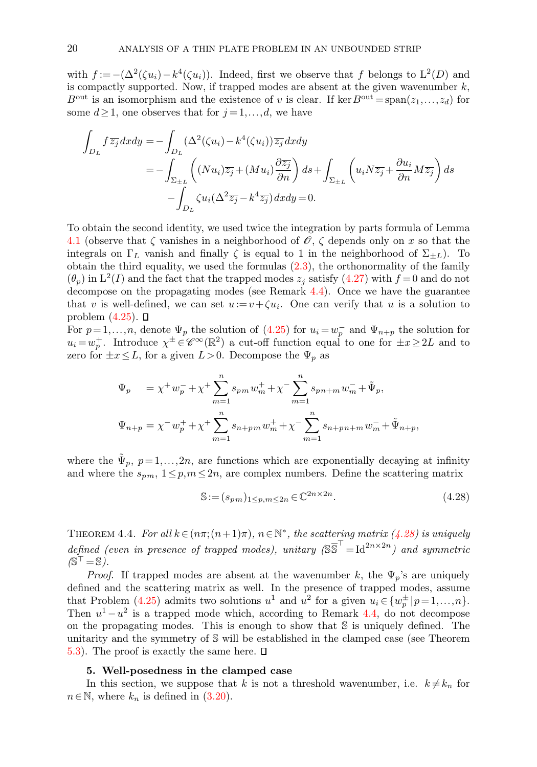with  $f := -(\Delta^2(\zeta u_i) - k^4(\zeta u_i))$ . Indeed, first we observe that f belongs to  $L^2(D)$  and is compactly supported. Now, if trapped modes are absent at the given wavenumber  $k$ ,  $B<sup>out</sup>$  is an isomorphism and the existence of v is clear. If ker  $B<sup>out</sup> = span(z_1,...,z_d)$  for some  $d \geq 1$ , one observes that for  $j = 1, \ldots, d$ , we have

$$
\int_{D_L} f \overline{z_j} dx dy = -\int_{D_L} (\Delta^2(\zeta u_i) - k^4(\zeta u_i)) \overline{z_j} dx dy
$$
\n
$$
= -\int_{\Sigma_{\pm L}} \left( (Nu_i) \overline{z_j} + (Mu_i) \frac{\partial \overline{z_j}}{\partial n} \right) ds + \int_{\Sigma_{\pm L}} \left( u_i N \overline{z_j} + \frac{\partial u_i}{\partial n} M \overline{z_j} \right) ds
$$
\n
$$
- \int_{D_L} \zeta u_i (\Delta^2 \overline{z_j} - k^4 \overline{z_j}) dx dy = 0.
$$

To obtain the second identity, we used twice the integration by parts formula of Lemma [4.1](#page-14-0) (observe that  $\zeta$  vanishes in a neighborhood of  $\mathscr{O}, \zeta$  depends only on x so that the integrals on  $\Gamma_L$  vanish and finally  $\zeta$  is equal to 1 in the neighborhood of  $\Sigma_{\pm L}$ ). To obtain the third equality, we used the formulas  $(2.3)$ , the orthonormality of the family  $(\theta_p)$  in  $L^2(I)$  and the fact that the trapped modes  $z_j$  satisfy [\(4.27\)](#page-18-2) with  $f = 0$  and do not decompose on the propagating modes (see Remark [4.4\)](#page-18-3). Once we have the guarantee that v is well-defined, we can set  $u := v + \zeta u_i$ . One can verify that u is a solution to problem  $(4.25)$ .  $\Box$ 

For  $p=1,\ldots,n$ , denote  $\Psi_p$  the solution of [\(4.25\)](#page-18-1) for  $u_i = w_p^-$  and  $\Psi_{n+p}$  the solution for  $u_i = w_p^+$ . Introduce  $\chi^{\pm} \in \mathscr{C}^{\infty}(\mathbb{R}^2)$  a cut-off function equal to one for  $\pm x \geq 2L$  and to zero for  $\pm x \leq L$ , for a given  $L > 0$ . Decompose the  $\Psi_p$  as

$$
\begin{array}{ll} \Psi_p&=\chi^+w_p^-+\chi^+\sum_{m=1}^n s_{pm}w_m^++\chi^-\sum_{m=1}^n s_{pn+m}w_m^-+\tilde{\Psi}_p,\\[3mm] \Psi_{n+p}=\chi^-w_p^++\chi^+\sum_{m=1}^n s_{n+pm}w_m^++\chi^-\sum_{m=1}^n s_{n+pn+m}w_m^-+\tilde{\Psi}_{n+p}, \end{array}
$$

where the  $\tilde{\Psi}_p$ ,  $p=1,\ldots,2n$ , are functions which are exponentially decaying at infinity and where the  $s_{pm}$ ,  $1 \leq p, m \leq 2n$ , are complex numbers. Define the scattering matrix

<span id="page-19-1"></span>
$$
\mathbb{S} := (s_{pm})_{1 \le p, m \le 2n} \in \mathbb{C}^{2n \times 2n}.
$$
\n
$$
(4.28)
$$

<span id="page-19-2"></span>THEOREM 4.4. For all  $k \in (n\pi; (n+1)\pi)$ ,  $n \in \mathbb{N}^*$ , the scattering matrix [\(4.28\)](#page-19-1) is uniquely defined (even in presence of trapped modes), unitary  $(S\overline{S}^T = Id^{2n \times 2n})$  and symmetric  $(S^{\top} = S)$ .

*Proof.* If trapped modes are absent at the wavenumber k, the  $\Psi_p$ 's are uniquely defined and the scattering matrix as well. In the presence of trapped modes, assume that Problem [\(4.25\)](#page-18-1) admits two solutions  $u^1$  and  $u^2$  for a given  $u_i \in \{w_p^{\pm} | p=1,\ldots,n\}$ . Then  $u^1 - u^2$  is a trapped mode which, according to Remark [4.4,](#page-18-3) do not decompose on the propagating modes. This is enough to show that S is uniquely defined. The unitarity and the symmetry of S will be established in the clamped case (see Theorem [5.3\)](#page-30-1). The proof is exactly the same here.  $\square$ 

### 5. Well-posedness in the clamped case

<span id="page-19-0"></span>In this section, we suppose that k is not a threshold wavenumber, i.e.  $k \neq k_n$  for  $n \in \mathbb{N}$ , where  $k_n$  is defined in [\(3.20\)](#page-8-4).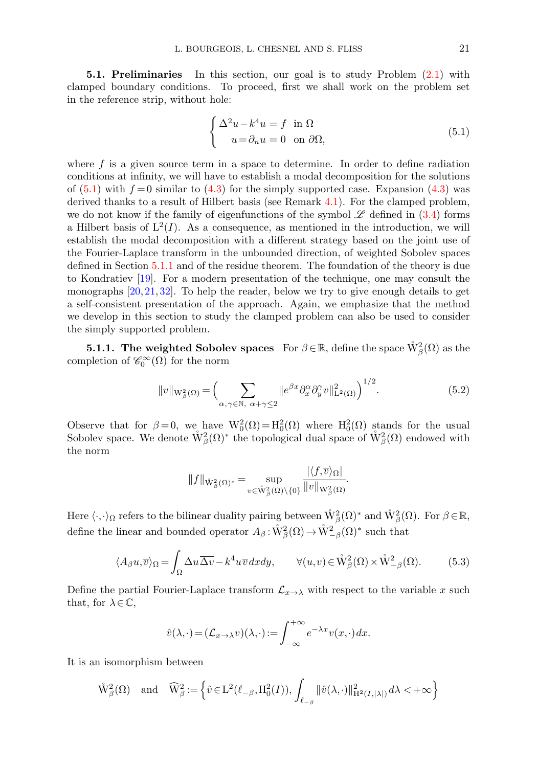<span id="page-20-0"></span>5.1. Preliminaries In this section, our goal is to study Problem [\(2.1\)](#page-2-2) with clamped boundary conditions. To proceed, first we shall work on the problem set in the reference strip, without hole:

<span id="page-20-1"></span>
$$
\begin{cases} \Delta^2 u - k^4 u = f \text{ in } \Omega \\ u = \partial_n u = 0 \text{ on } \partial \Omega, \end{cases}
$$
 (5.1)

where  $f$  is a given source term in a space to determine. In order to define radiation conditions at infinity, we will have to establish a modal decomposition for the solutions of  $(5.1)$  with  $f = 0$  similar to  $(4.3)$  for the simply supported case. Expansion  $(4.3)$  was derived thanks to a result of Hilbert basis (see Remark [4.1\)](#page-10-4). For the clamped problem, we do not know if the family of eigenfunctions of the symbol  $\mathscr L$  defined in [\(3.4\)](#page-4-4) forms a Hilbert basis of  $L^2(I)$ . As a consequence, as mentioned in the introduction, we will establish the modal decomposition with a different strategy based on the joint use of the Fourier-Laplace transform in the unbounded direction, of weighted Sobolev spaces defined in Section [5.1.1](#page-20-2) and of the residue theorem. The foundation of the theory is due to Kondratiev [\[19\]](#page-41-13). For a modern presentation of the technique, one may consult the monographs  $[20, 21, 32]$  $[20, 21, 32]$  $[20, 21, 32]$  $[20, 21, 32]$ . To help the reader, below we try to give enough details to get a self-consistent presentation of the approach. Again, we emphasize that the method we develop in this section to study the clamped problem can also be used to consider the simply supported problem.

<span id="page-20-2"></span>**5.1.1.** The weighted Sobolev spaces For  $\beta \in \mathbb{R}$ , define the space  $\mathring{W}^2_{\beta}(\Omega)$  as the completion of  $\mathscr{C}_0^{\infty}(\Omega)$  for the norm

<span id="page-20-4"></span>
$$
||v||_{\mathcal{W}_{\beta}^{2}(\Omega)} = \Big(\sum_{\alpha,\gamma \in \mathbb{N}, \ \alpha+\gamma \leq 2} ||e^{\beta x} \partial_{x}^{\alpha} \partial_{y}^{\gamma} v||_{\mathcal{L}^{2}(\Omega)}^{2}\Big)^{1/2}.
$$
\n(5.2)

Observe that for  $\beta = 0$ , we have  $W_0^2(\Omega) = H_0^2(\Omega)$  where  $H_0^2(\Omega)$  stands for the usual Sobolev space. We denote  $\mathring{W}^2_{\beta}(\Omega)^*$  the topological dual space of  $\mathring{W}^2_{\beta}(\Omega)$  endowed with the norm

<span id="page-20-3"></span>
$$
\|f\|_{\mathring{\mathbf{W}}^2_{\beta}(\Omega)^*}=\sup\limits_{v\in \mathring{\mathbf{W}}^2_{\beta}(\Omega)\backslash\{\mathbf{0}\}}\frac{|\langle f,\overline{v}\rangle_{\Omega}|}{\|v\|_{\mathbf{W}^2_{\beta}(\Omega)}}.
$$

Here  $\langle \cdot, \cdot \rangle_{\Omega}$  refers to the bilinear duality pairing between  $\mathring{W}^2_{\beta}(\Omega)^*$  and  $\mathring{W}^2_{\beta}(\Omega)$ . For  $\beta \in \mathbb{R}$ , define the linear and bounded operator  $A_\beta : \mathring{W}_\beta^2(\Omega) \to \mathring{W}_{-\beta}^2(\Omega)^*$  such that

$$
\langle A_{\beta} u, \overline{v} \rangle_{\Omega} = \int_{\Omega} \Delta u \overline{\Delta v} - k^4 u \overline{v} dx dy, \qquad \forall (u, v) \in \mathring{W}_{\beta}^2(\Omega) \times \mathring{W}_{-\beta}^2(\Omega). \tag{5.3}
$$

Define the partial Fourier-Laplace transform  $\mathcal{L}_{x\to\lambda}$  with respect to the variable x such that, for  $\lambda \in \mathbb{C}$ ,

$$
\hat{v}(\lambda,\cdot) = (\mathcal{L}_{x \to \lambda}v)(\lambda,\cdot) := \int_{-\infty}^{+\infty} e^{-\lambda x} v(x,\cdot) dx.
$$

It is an isomorphism between

$$
\mathring{\mathcal{W}}^2_{\beta}(\Omega) \quad \text{and} \quad \widehat{\mathcal{W}}^2_{\beta}:=\Big\{\hat{v}\in \mathrm{L}^2(\ell_{-\beta},\mathrm{H}^2_0(I)), \int_{\ell_{-\beta}}\|\hat{v}(\lambda,\cdot)\|^2_{\mathrm{H}^2(I,|\lambda|)}\,d\lambda<+\infty\Big\}
$$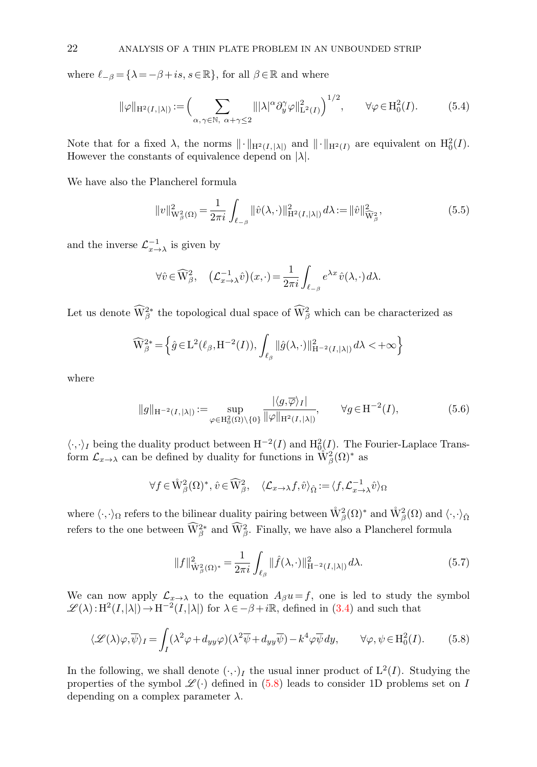where  $\ell_{-\beta} = {\lambda = -\beta + is, s \in \mathbb{R}}$ , for all  $\beta \in \mathbb{R}$  and where

<span id="page-21-1"></span>
$$
\|\varphi\|_{\mathcal{H}^2(I,|\lambda|)} := \left(\sum_{\alpha,\gamma \in \mathbb{N}, \ \alpha+\gamma \le 2} \|\|\lambda|^\alpha \partial_y^\gamma \varphi\|_{\mathcal{L}^2(I)}^2\right)^{1/2}, \qquad \forall \varphi \in \mathcal{H}_0^2(I). \tag{5.4}
$$

Note that for a fixed  $\lambda$ , the norms  $\|\cdot\|_{\mathrm{H}^2(I,|\lambda|)}$  and  $\|\cdot\|_{\mathrm{H}^2(I)}$  are equivalent on  $\mathrm{H}_0^2(I)$ . However the constants of equivalence depend on  $|\lambda|$ .

We have also the Plancherel formula

<span id="page-21-3"></span>
$$
||v||_{\mathcal{W}_{\beta}^{2}(\Omega)}^{2} = \frac{1}{2\pi i} \int_{\ell_{-\beta}} ||\hat{v}(\lambda,\cdot)||_{\mathcal{H}^{2}(I,|\lambda|)}^{2} d\lambda := ||\hat{v}||_{\widehat{\mathcal{W}}_{\beta}^{2}}^{2},
$$
\n(5.5)

and the inverse  $\mathcal{L}_{x\to\lambda}^{-1}$  is given by

$$
\forall \hat{v} \in \widehat{\mathcal{W}}_{\beta}^2, \quad \left(\mathcal{L}_{x \to \lambda}^{-1} \hat{v}\right)(x, \cdot) = \frac{1}{2\pi i} \int_{\ell_{-\beta}} e^{\lambda x} \hat{v}(\lambda, \cdot) d\lambda.
$$

Let us denote  $\widehat{\mathbf{W}}^{2*}_{\beta}$  the topological dual space of  $\widehat{\mathbf{W}}^{2}_{\beta}$  which can be characterized as

$$
\widehat{\mathcal{W}}_{\beta}^{2*} = \left\{ \widehat{g} \in \mathcal{L}^2(\ell_{\beta}, \mathcal{H}^{-2}(I)), \int_{\ell_{\beta}} ||\widehat{g}(\lambda, \cdot)||_{\mathcal{H}^{-2}(I, |\lambda|)}^2 d\lambda < +\infty \right\}
$$

<span id="page-21-2"></span>where

$$
||g||_{\mathcal{H}^{-2}(I,|\lambda|)} := \sup_{\varphi \in \mathcal{H}_0^2(\Omega) \setminus \{0\}} \frac{|\langle g, \overline{\varphi} \rangle_I|}{\|\varphi\|_{\mathcal{H}^2(I,|\lambda|)}}, \qquad \forall g \in \mathcal{H}^{-2}(I), \tag{5.6}
$$

 $\langle \cdot, \cdot \rangle_I$  being the duality product between  $H^{-2}(I)$  and  $H^2_{0}(I)$ . The Fourier-Laplace Transform  $\mathcal{L}_{x\to\lambda}$  can be defined by duality for functions in  $\mathring{W}^2_{\beta}(\Omega)^*$  as

$$
\forall f \in \mathring{\mathbb{W}}^2_{\beta}(\Omega)^*, \hat{v} \in \widehat{\mathbb{W}}^2_{\beta}, \quad \langle \mathcal{L}_{x \to \lambda} f, \hat{v} \rangle_{\hat{\Omega}} := \langle f, \mathcal{L}_{x \to \lambda}^{-1} \hat{v} \rangle_{\Omega}
$$

where  $\langle\cdot,\cdot\rangle_{\Omega}$  refers to the bilinear duality pairing between  $\mathring{W}^2_{\beta}(\Omega)^*$  and  $\mathring{W}^2_{\beta}(\Omega)$  and  $\langle\cdot,\cdot\rangle_{\hat{\Omega}}$ refers to the one between  $\widehat{W}^{2*}_{\beta}$  and  $\widehat{W}^{2}_{\beta}$ . Finally, we have also a Plancherel formula

<span id="page-21-4"></span><span id="page-21-0"></span>
$$
||f||_{\mathring{W}_{\beta}^{2}(\Omega)^{*}}^{2} = \frac{1}{2\pi i} \int_{\ell_{\beta}} ||\hat{f}(\lambda,\cdot)||_{\mathcal{H}^{-2}(I,|\lambda|)}^{2} d\lambda.
$$
 (5.7)

We can now apply  $\mathcal{L}_{x\to\lambda}$  to the equation  $A_{\beta}u=f$ , one is led to study the symbol  $\mathscr{L}(\lambda): H^2(I,|\lambda|) \to H^{-2}(I,|\lambda|)$  for  $\lambda \in -\beta + i\mathbb{R}$ , defined in [\(3.4\)](#page-4-4) and such that

$$
\langle \mathcal{L}(\lambda)\varphi, \overline{\psi}\rangle_I = \int_I (\lambda^2 \varphi + d_{yy}\varphi) (\lambda^2 \overline{\psi} + d_{yy}\overline{\psi}) - k^4 \varphi \overline{\psi} dy, \qquad \forall \varphi, \psi \in \text{H}_0^2(I). \tag{5.8}
$$

In the following, we shall denote  $(\cdot, \cdot)_I$  the usual inner product of  $L^2(I)$ . Studying the properties of the symbol  $\mathscr{L}(\cdot)$  defined in [\(5.8\)](#page-21-0) leads to consider 1D problems set on I depending on a complex parameter  $\lambda$ .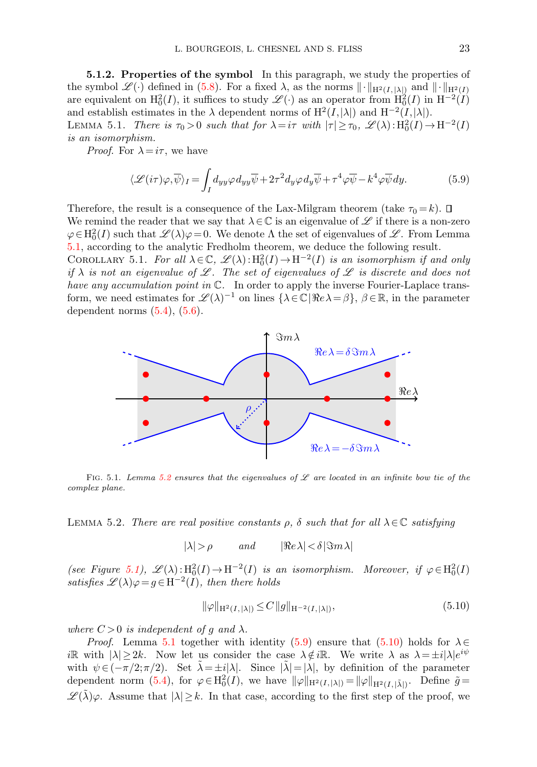5.1.2. Properties of the symbol In this paragraph, we study the properties of the symbol  $\mathscr{L}(\cdot)$  defined in [\(5.8\)](#page-21-0). For a fixed  $\lambda$ , as the norms  $\|\cdot\|_{H^2(I,|\lambda|)}$  and  $\|\cdot\|_{H^2(I)}$ are equivalent on  $H_0^2(I)$ , it suffices to study  $\mathscr{L}(\cdot)$  as an operator from  $H_0^2(I)$  in  $H^{-2}(I)$ and establish estimates in the  $\lambda$  dependent norms of  $H^2(I,|\lambda|)$  and  $H^{-2}(I,|\lambda|)$ . LEMMA 5.1. There is  $\tau_0 > 0$  such that for  $\lambda = i\tau$  with  $|\tau| \geq \tau_0$ ,  $\mathscr{L}(\lambda) : \mathrm{H}_0^2(I) \to \mathrm{H}^{-2}(I)$ is an isomorphism.

*Proof.* For  $\lambda = i\tau$ , we have

<span id="page-22-3"></span><span id="page-22-1"></span><span id="page-22-0"></span>
$$
\langle \mathcal{L}(i\tau)\varphi, \overline{\psi}\rangle_I = \int_I d_{yy}\varphi d_{yy}\overline{\psi} + 2\tau^2 d_{y}\varphi d_{y}\overline{\psi} + \tau^4 \varphi \overline{\psi} - k^4 \varphi \overline{\psi} dy.
$$
 (5.9)

Therefore, the result is a consequence of the Lax-Milgram theorem (take  $\tau_0 = k$ ).  $\Box$ We remind the reader that we say that  $\lambda \in \mathbb{C}$  is an eigenvalue of  $\mathscr{L}$  if there is a non-zero  $\varphi \in H_0^2(I)$  such that  $\mathscr{L}(\lambda)\varphi = 0$ . We denote  $\Lambda$  the set of eigenvalues of  $\mathscr{L}$ . From Lemma [5.1,](#page-22-0) according to the analytic Fredholm theorem, we deduce the following result. COROLLARY 5.1. For all  $\lambda \in \mathbb{C}$ ,  $\mathscr{L}(\lambda) : H_0^2(I) \to H^{-2}(I)$  is an isomorphism if and only if  $\lambda$  is not an eigenvalue of L. The set of eigenvalues of L is discrete and does not have any accumulation point in  $\mathbb{C}$ . In order to apply the inverse Fourier-Laplace transform, we need estimates for  $\mathscr{L}(\lambda)^{-1}$  on lines  $\{\lambda \in \mathbb{C} \mid \Re e \lambda = \beta\}, \ \beta \in \mathbb{R}$ , in the parameter dependent norms  $(5.4)$ ,  $(5.6)$ .

<span id="page-22-2"></span>

FIG. 5.1. Lemma [5.2](#page-22-2) ensures that the eigenvalues of  $\mathscr L$  are located in an infinite bow tie of the complex plane.

LEMMA 5.2. There are real positive constants  $\rho$ ,  $\delta$  such that for all  $\lambda \in \mathbb{C}$  satisfying

 $|\lambda| > \rho$  and  $|\Re e \lambda| < \delta |\Im m \lambda|$ 

(see Figure [5.1\)](#page-2-1),  $\mathscr{L}(\lambda): H_0^2(I) \to H^{-2}(I)$  is an isomorphism. Moreover, if  $\varphi \in H_0^2(I)$ satisfies  $\mathscr{L}(\lambda)\varphi = g \in H^{-2}(I)$ , then there holds

<span id="page-22-4"></span>
$$
\|\varphi\|_{\mathcal{H}^2(I,|\lambda|)} \le C \|g\|_{\mathcal{H}^{-2}(I,|\lambda|)},\tag{5.10}
$$

where  $C > 0$  is independent of g and  $\lambda$ .

*Proof.* Lemma [5.1](#page-22-0) together with identity [\(5.9\)](#page-22-3) ensure that [\(5.10\)](#page-22-4) holds for  $\lambda \in$ iR with  $|\lambda| \geq 2k$ . Now let us consider the case  $\lambda \notin i\mathbb{R}$ . We write  $\lambda$  as  $\lambda = \pm i |\lambda| e^{i\psi}$ with  $\psi \in (-\pi/2; \pi/2)$ . Set  $\lambda = \pm i|\lambda|$ . Since  $|\lambda| = |\lambda|$ , by definition of the parameter dependent norm  $(5.4)$ , for  $\varphi \in H_0^2(I)$ , we have  $\|\varphi\|_{H^2(I,|\lambda|)} = \|\varphi\|_{H^2(I,|\tilde{\lambda}|)}$ . Define  $\tilde{g} =$  $\mathscr{L}(\tilde{\lambda})\varphi$ . Assume that  $|\lambda|\geq k$ . In that case, according to the first step of the proof, we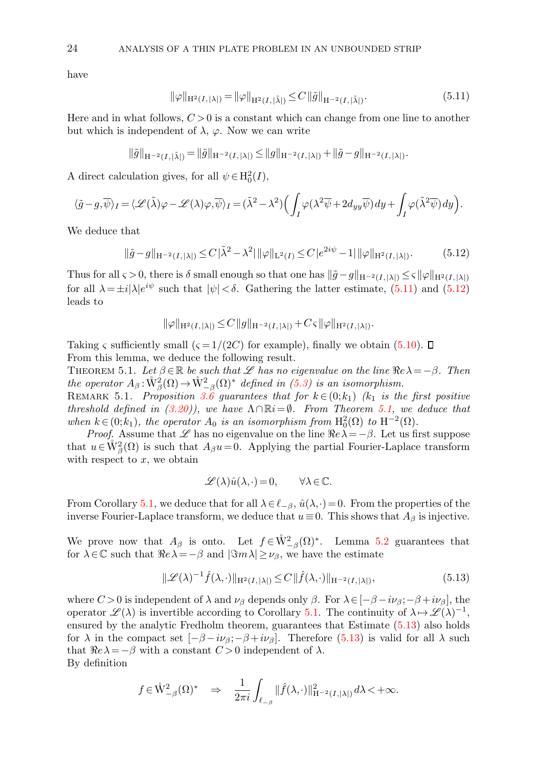<span id="page-23-0"></span>have

$$
\|\varphi\|_{\mathcal{H}^{2}(I,|\lambda|)} = \|\varphi\|_{\mathcal{H}^{2}(I,|\tilde{\lambda}|)} \leq C \|\tilde{g}\|_{\mathcal{H}^{-2}(I,|\tilde{\lambda}|)}.
$$
\n(5.11)

Here and in what follows,  $C > 0$  is a constant which can change from one line to another but which is independent of  $\lambda$ ,  $\varphi$ . Now we can write

$$
\|\tilde{g}\|_{\mathcal{H}^{-2}(I,|\tilde{\lambda}|)} = \|\tilde{g}\|_{\mathcal{H}^{-2}(I,|\lambda|)} \le \|g\|_{\mathcal{H}^{-2}(I,|\lambda|)} + \|\tilde{g} - g\|_{\mathcal{H}^{-2}(I,|\lambda|)}.
$$

A direct calculation gives, for all  $\psi \in H_0^2(I)$ ,

$$
\langle \tilde{g} - g, \overline{\psi} \rangle_I = \langle \mathscr{L}(\tilde{\lambda})\varphi - \mathscr{L}(\lambda)\varphi, \overline{\psi} \rangle_I = (\tilde{\lambda}^2 - \lambda^2) \Big( \int_I \varphi(\lambda^2 \overline{\psi} + 2d_{yy} \overline{\psi}) dy + \int_I \varphi(\tilde{\lambda}^2 \overline{\psi}) dy \Big).
$$

We deduce that

<span id="page-23-1"></span>
$$
\|\tilde{g} - g\|_{\mathcal{H}^{-2}(I, |\lambda|)} \le C\|\tilde{\lambda}^2 - \lambda^2\| \|\varphi\|_{\mathcal{L}^2(I)} \le C\|e^{2i\psi} - 1\| \|\varphi\|_{\mathcal{H}^2(I, |\lambda|)}. \tag{5.12}
$$

Thus for all  $\varsigma > 0$ , there is  $\delta$  small enough so that one has  $\|\tilde{g} - g\|_{H^{-2}(I,|\lambda|)} \leq \varsigma \|\varphi\|_{H^2(I,|\lambda|)}$ for all  $\lambda = \pm i |\lambda| e^{i\psi}$  such that  $|\psi| < \delta$ . Gathering the latter estimate, [\(5.11\)](#page-23-0) and [\(5.12\)](#page-23-1) leads to

<span id="page-23-2"></span>
$$
\|\varphi\|_{\mathrm{H}^2(I, |\lambda|)} \le C \|g\|_{\mathrm{H}^{-2}(I, |\lambda|)} + C \varsigma \|\varphi\|_{\mathrm{H}^2(I, |\lambda|)}.
$$

Taking  $\varsigma$  sufficiently small  $(\varsigma = 1/(2C))$  for example), finally we obtain [\(5.10\)](#page-22-4).  $\Box$ From this lemma, we deduce the following result.

THEOREM 5.1. Let  $\beta \in \mathbb{R}$  be such that L has no eigenvalue on the line  $\Re e \lambda = -\beta$ . Then the operator  $A_\beta: \mathring{W}^2_\beta(\Omega) \to \mathring{W}^2_{-\beta}(\Omega)^*$  defined in [\(5.3\)](#page-20-3) is an isomorphism.

REMARK 5.1. Proposition [3.6](#page-9-0) guarantees that for  $k \in (0;k_1)$  ( $k_1$  is the first positive threshold defined in [\(3.20\)](#page-8-4)), we have  $\Lambda \cap \mathbb{R}i = \emptyset$ . From Theorem [5.1,](#page-23-2) we deduce that when  $k \in (0; k_1)$ , the operator  $A_0$  is an isomorphism from  $H_0^2(\Omega)$  to  $H^{-2}(\Omega)$ .

*Proof.* Assume that  $\mathscr L$  has no eigenvalue on the line  $\Re e \lambda = -\beta$ . Let us first suppose that  $u \in W_\beta^2(\Omega)$  is such that  $A_\beta u = 0$ . Applying the partial Fourier-Laplace transform with respect to  $x$ , we obtain

<span id="page-23-4"></span><span id="page-23-3"></span>
$$
\mathscr{L}(\lambda)\hat{u}(\lambda,\cdot)=0, \qquad \forall \lambda\!\in\!\mathbb{C}.
$$

From Corollary [5.1,](#page-22-1) we deduce that for all  $\lambda \in \ell_{-\beta}$ ,  $\hat{u}(\lambda,\cdot) = 0$ . From the properties of the inverse Fourier-Laplace transform, we deduce that  $u \equiv 0$ . This shows that  $A_\beta$  is injective.

We prove now that  $A_{\beta}$  is onto. Let  $f \in \mathring{W}^2_{-\beta}(\Omega)^*$ . Lemma [5.2](#page-22-2) guarantees that for  $\lambda \in \mathbb{C}$  such that  $\Re e\lambda = -\beta$  and  $|\Im m\lambda| \geq \nu_{\beta}$ , we have the estimate

$$
\|\mathcal{L}(\lambda)^{-1}\hat{f}(\lambda,\cdot)\|_{\mathcal{H}^2(I,|\lambda|)} \le C \|\hat{f}(\lambda,\cdot)\|_{\mathcal{H}^{-2}(I,|\lambda|)},\tag{5.13}
$$

where  $C > 0$  is independent of  $\lambda$  and  $\nu_\beta$  depends only  $\beta$ . For  $\lambda \in [-\beta - i\nu_\beta; -\beta + i\nu_\beta]$ , the operator  $\mathscr{L}(\lambda)$  is invertible according to Corollary [5.1.](#page-22-1) The continuity of  $\lambda \mapsto \mathscr{L}(\lambda)^{-1}$ , ensured by the analytic Fredholm theorem, guarantees that Estimate [\(5.13\)](#page-23-3) also holds for  $\lambda$  in the compact set  $[-\beta - i\nu_\beta; -\beta + i\nu_\beta]$ . Therefore [\(5.13\)](#page-23-3) is valid for all  $\lambda$  such that  $\Re e\lambda = -\beta$  with a constant  $C > 0$  independent of  $\lambda$ . By definition

$$
f\in \mathring{\mathcal{W}}^2_{-\beta}(\Omega)^* \quad \Rightarrow \quad \frac{1}{2\pi i}\int_{\ell_{-\beta}}\|\widehat{f}(\lambda,\cdot)\|^2_{\mathcal{H}^{-2}(I,|\lambda|)}\,d\lambda <+\infty.
$$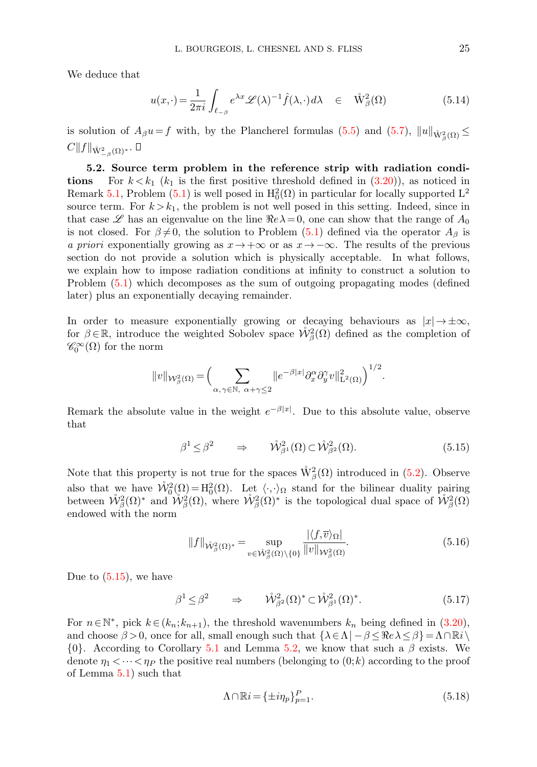We deduce that

<span id="page-24-3"></span>
$$
u(x,\cdot) = \frac{1}{2\pi i} \int_{\ell_{-\beta}} e^{\lambda x} \mathscr{L}(\lambda)^{-1} \hat{f}(\lambda,\cdot) d\lambda \quad \in \quad \mathring{W}^2_{\beta}(\Omega) \tag{5.14}
$$

is solution of  $A_{\beta}u = f$  with, by the Plancherel formulas [\(5.5\)](#page-21-3) and [\(5.7\)](#page-21-4),  $||u||_{\mathring{W}^2_{\beta}(\Omega)} \leq$  $C\|f\|_{\mathring{W}^2_{-\beta}(\Omega)^*}.$ 

5.2. Source term problem in the reference strip with radiation conditions For  $k < k_1$  ( $k_1$  is the first positive threshold defined in [\(3.20\)](#page-8-4)), as noticed in Remark [5.1,](#page-23-4) Problem [\(5.1\)](#page-20-1) is well posed in  $H_0^2(\Omega)$  in particular for locally supported L<sup>2</sup> source term. For  $k > k_1$ , the problem is not well posed in this setting. Indeed, since in that case  $\mathscr L$  has an eigenvalue on the line  $\Re e\lambda=0$ , one can show that the range of  $A_0$ is not closed. For  $\beta \neq 0$ , the solution to Problem [\(5.1\)](#page-20-1) defined via the operator  $A_{\beta}$  is a priori exponentially growing as  $x \to +\infty$  or as  $x \to -\infty$ . The results of the previous section do not provide a solution which is physically acceptable. In what follows, we explain how to impose radiation conditions at infinity to construct a solution to Problem [\(5.1\)](#page-20-1) which decomposes as the sum of outgoing propagating modes (defined later) plus an exponentially decaying remainder.

In order to measure exponentially growing or decaying behaviours as  $|x| \to \pm \infty$ , for  $\beta \in \mathbb{R}$ , introduce the weighted Sobolev space  $\mathring{W}_{\beta}^2(\Omega)$  defined as the completion of  $\mathscr{C}_0^{\infty}(\Omega)$  for the norm

$$
||v||_{\mathcal{W}_{\beta}^2(\Omega)} = \Big(\sum_{\alpha,\gamma \in \mathbb{N}, \alpha+\gamma \leq 2} ||e^{-\beta|x|} \partial_x^{\alpha} \partial_y^{\gamma} v||_{\mathcal{L}^2(\Omega)}^2\Big)^{1/2}.
$$

<span id="page-24-0"></span>Remark the absolute value in the weight  $e^{-\beta|x|}$ . Due to this absolute value, observe that

$$
\beta^1 \le \beta^2 \qquad \Rightarrow \qquad \mathring{\mathcal{W}}^2_{\beta^1}(\Omega) \subset \mathring{\mathcal{W}}^2_{\beta^2}(\Omega). \tag{5.15}
$$

Note that this property is not true for the spaces  $\mathring{W}^2_{\beta}(\Omega)$  introduced in [\(5.2\)](#page-20-4). Observe also that we have  $\mathring{W}^2_0(\Omega) = H^2_0(\Omega)$ . Let  $\langle \cdot, \cdot \rangle_{\Omega}$  stand for the bilinear duality pairing between  $\mathring{W}^2_{\beta}(\Omega)^*$  and  $\mathring{W}^2_{\beta}(\Omega)$ , where  $\mathring{W}^2_{\beta}(\Omega)^*$  is the topological dual space of  $\mathring{W}^2_{\beta}(\Omega)$ endowed with the norm

<span id="page-24-1"></span>
$$
||f||_{\mathring{\mathcal{W}}^2_{\beta}(\Omega)^*} = \sup_{v \in \mathring{\mathcal{W}}^2_{\beta}(\Omega) \setminus \{0\}} \frac{|\langle f, \overline{v} \rangle_{\Omega}|}{||v||_{\mathcal{W}^2_{\beta}(\Omega)}}.
$$
(5.16)

Due to [\(5.15\)](#page-24-0), we have

$$
\beta^1 \le \beta^2 \qquad \Rightarrow \qquad \mathring{\mathcal{W}}^2_{\beta^2}(\Omega)^* \subset \mathring{\mathcal{W}}^2_{\beta^1}(\Omega)^*.
$$
\n
$$
(5.17)
$$

For  $n \in \mathbb{N}^*$ , pick  $k \in (k_n; k_{n+1})$ , the threshold wavenumbers  $k_n$  being defined in [\(3.20\)](#page-8-4), and choose  $\beta > 0$ , once for all, small enough such that  $\{\lambda \in \Lambda \mid -\beta \leq \Re e \lambda \leq \beta\} = \Lambda \cap \mathbb{R}i\$  $\{0\}$ . According to Corollary [5.1](#page-22-1) and Lemma [5.2,](#page-22-2) we know that such a  $\beta$  exists. We denote  $\eta_1 < \cdots < \eta_p$  the positive real numbers (belonging to  $(0;k)$ ) according to the proof of Lemma [5.1\)](#page-22-0) such that

<span id="page-24-2"></span>
$$
\Lambda \cap \mathbb{R}i = {\pm i\eta_p}_{p=1}^P. \tag{5.18}
$$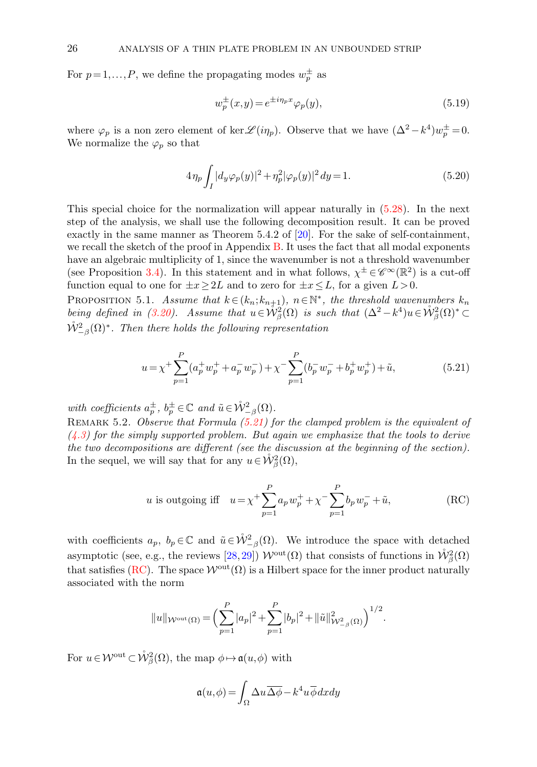For  $p=1,\ldots,P$ , we define the propagating modes  $w_p^{\pm}$  as

<span id="page-25-4"></span>
$$
w_p^{\pm}(x,y) = e^{\pm i\eta_p x} \varphi_p(y),\tag{5.19}
$$

where  $\varphi_p$  is a non zero element of ker  $\mathscr{L}(i\eta_p)$ . Observe that we have  $(\Delta^2 - k^4)w_p^{\pm} = 0$ . We normalize the  $\varphi_p$  so that

<span id="page-25-3"></span>
$$
4\eta_p \int_I |d_y \varphi_p(y)|^2 + \eta_p^2 |\varphi_p(y)|^2 dy = 1.
$$
\n(5.20)

This special choice for the normalization will appear naturally in [\(5.28\)](#page-27-0). In the next step of the analysis, we shall use the following decomposition result. It can be proved exactly in the same manner as Theorem 5.4.2 of [\[20\]](#page-41-14). For the sake of self-containment, we recall the sketch of the proof in Appendix  $B$ . It uses the fact that all modal exponents have an algebraic multiplicity of 1, since the wavenumber is not a threshold wavenumber (see Proposition [3.4\)](#page-7-4). In this statement and in what follows,  $\chi^{\pm} \in \mathscr{C}^{\infty}(\mathbb{R}^2)$  is a cut-off function equal to one for  $\pm x \geq 2L$  and to zero for  $\pm x \leq L$ , for a given  $L > 0$ .

<span id="page-25-0"></span>PROPOSITION 5.1. Assume that  $k \in (k_n; k_{n+1})$ ,  $n \in \mathbb{N}^*$ , the threshold wavenumbers  $k_n$ being defined in [\(3.20\)](#page-8-4). Assume that  $u \in \mathring{W}_{\beta}^2(\Omega)$  is such that  $(\Delta^2 - k^4)u \in \mathring{W}_{\beta}^2(\Omega)^* \subset$  $\mathring{\mathcal{W}}^{2}_{-\beta}(\Omega)^{\ast}$ . Then there holds the following representation

<span id="page-25-1"></span>
$$
u = \chi^{+} \sum_{p=1}^{P} (a_p^{+} w_p^{+} + a_p^{-} w_p^{-}) + \chi^{-} \sum_{p=1}^{P} (b_p^{-} w_p^{-} + b_p^{+} w_p^{+}) + \tilde{u}, \tag{5.21}
$$

with coefficients  $a_p^{\pm}$ ,  $b_p^{\pm} \in \mathbb{C}$  and  $\tilde{u} \in \overset{\circ}{\mathcal{W}}^2_{-\beta}(\Omega)$ .

REMARK 5.2. Observe that Formula  $(5.21)$  for the clamped problem is the equivalent of  $(4.3)$  for the simply supported problem. But again we emphasize that the tools to derive the two decompositions are different (see the discussion at the beginning of the section). In the sequel, we will say that for any  $u \in \mathring{\mathcal{W}}^2_{\beta}(\Omega)$ ,

<span id="page-25-2"></span>*u* is outgoing iff 
$$
u = \chi^+ \sum_{p=1}^P a_p w_p^+ + \chi^- \sum_{p=1}^P b_p w_p^- + \tilde{u},
$$
 (RC)

with coefficients  $a_p$ ,  $b_p \in \mathbb{C}$  and  $\tilde{u} \in \mathring{W}^2_{-\beta}(\Omega)$ . We introduce the space with detached asymptotic (see, e.g., the reviews  $[28, 29]$  $[28, 29]$ )  $\mathcal{W}^{\text{out}}(\Omega)$  that consists of functions in  $\mathring{W}^2_{\beta}(\Omega)$ that satisfies [\(RC\)](#page-25-2). The space  $\mathcal{W}^{out}(\Omega)$  is a Hilbert space for the inner product naturally associated with the norm

$$
||u||_{\mathcal{W}^{\text{out}}(\Omega)} = \left(\sum_{p=1}^{P} |a_p|^2 + \sum_{p=1}^{P} |b_p|^2 + ||\tilde{u}||^2_{\mathcal{W}^2_{-\beta}(\Omega)}\right)^{1/2}.
$$

For  $u \in \mathcal{W}^{\text{out}} \subset \mathring{\mathcal{W}}^2_{\beta}(\Omega)$ , the map  $\phi \mapsto \mathfrak{a}(u,\phi)$  with

$$
\mathfrak{a}(u,\phi) = \int_{\Omega} \Delta u \overline{\Delta \phi} - k^4 u \overline{\phi} dx dy
$$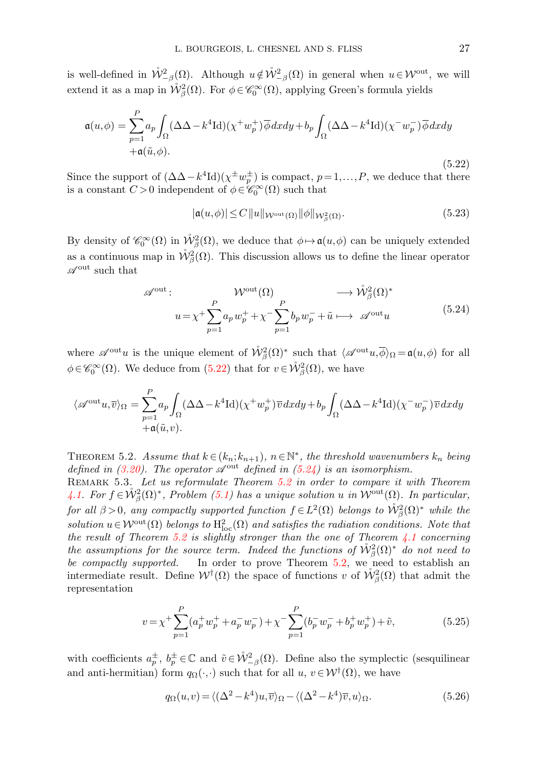is well-defined in  $\mathring{W}^2_{-\beta}(\Omega)$ . Although  $u \notin \mathring{W}^2_{-\beta}(\Omega)$  in general when  $u \in \mathcal{W}^{\text{out}}$ , we will extend it as a map in  $\mathring{W}^2_{\beta}(\Omega)$ . For  $\phi \in \mathscr{C}_0^{\infty}(\Omega)$ , applying Green's formula yields

$$
\mathfrak{a}(u,\phi) = \sum_{p=1}^{P} a_p \int_{\Omega} (\Delta \Delta - k^4 \text{Id})(\chi^+ w_p^+) \overline{\phi} dx dy + b_p \int_{\Omega} (\Delta \Delta - k^4 \text{Id})(\chi^- w_p^-) \overline{\phi} dx dy
$$
  
 
$$
+ \mathfrak{a}(\tilde{u}, \phi).
$$
 (5.22)

Since the support of  $(\Delta \Delta - k^4 \text{Id})(\chi^{\pm} w_p^{\pm})$  is compact,  $p = 1, ..., P$ , we deduce that there is a constant  $C > 0$  independent of  $\phi \in \mathscr{C}_0^{\infty}(\Omega)$  such that

<span id="page-26-3"></span>
$$
|\mathfrak{a}(u,\phi)| \le C \|u\|_{\mathcal{W}^{\text{out}}(\Omega)} \|\phi\|_{\mathcal{W}^2_{\beta}(\Omega)}.
$$
\n(5.23)

By density of  $\mathscr{C}_0^{\infty}(\Omega)$  in  $\mathring{\mathcal{W}}^2_{\beta}(\Omega)$ , we deduce that  $\phi \mapsto \mathfrak{a}(u,\phi)$  can be uniquely extended as a continuous map in  $\mathring{\mathcal{W}}^2_{\beta}(\Omega)$ . This discussion allows us to define the linear operator  $\mathscr{A}^{\mathrm{out}}$  such that

<span id="page-26-0"></span>
$$
\mathscr{A}^{\text{out}}: \mathcal{W}^{\text{out}}(\Omega) \longrightarrow \mathring{\mathcal{W}}^2_{\beta}(\Omega)^*
$$
  

$$
u = \chi^+ \sum_{p=1}^P a_p w_p^+ + \chi^- \sum_{p=1}^P b_p w_p^- + \tilde{u} \longrightarrow \mathscr{A}^{\text{out}} u \tag{5.24}
$$

where  $\mathscr{A}^{\text{out}}u$  is the unique element of  $\mathring{\mathcal{W}}^2_{\beta}(\Omega)^*$  such that  $\langle \mathscr{A}^{\text{out}}u, \overline{\phi} \rangle_{\Omega} = \mathfrak{a}(u, \phi)$  for all  $\phi \in \mathscr{C}_0^{\infty}(\Omega)$ . We deduce from [\(5.22\)](#page-25-2) that for  $v \in \mathring{\mathcal{W}}^2_{\beta}(\Omega)$ , we have

$$
\langle \mathscr{A}^{\mathrm{out}} u, \overline{v} \rangle_{\Omega} = \sum_{p=1}^{P} a_p \int_{\Omega} (\Delta \Delta - k^4 \mathrm{Id}) (\chi^+ w_p^+) \overline{v} \, dx dy + b_p \int_{\Omega} (\Delta \Delta - k^4 \mathrm{Id}) (\chi^- w_p^-) \overline{v} \, dx dy
$$
  
 
$$
+ \mathfrak{a}(\tilde{u}, v).
$$

<span id="page-26-1"></span>THEOREM 5.2. Assume that  $k \in (k_n; k_{n+1}), n \in \mathbb{N}^*$ , the threshold wavenumbers  $k_n$  being defined in [\(3.20\)](#page-8-4). The operator  $\mathscr{A}^{\text{out}}$  defined in [\(5.24\)](#page-26-0) is an isomorphism.

REMARK 5.3. Let us reformulate Theorem [5.2](#page-26-1) in order to compare it with Theorem [4.1.](#page-16-3) For  $f \in \mathring{\mathcal{W}}^2_{\beta}(\Omega)^*$ , Problem [\(5.1\)](#page-20-1) has a unique solution u in  $\mathcal{W}^{\text{out}}(\Omega)$ . In particular, for all  $\beta > 0$ , any compactly supported function  $f \in L^2(\Omega)$  belongs to  $\mathring{W}^2_{\beta}(\Omega)^*$  while the solution  $u \in \mathcal{W}^{\text{out}}(\Omega)$  belongs to  $H^2_{\text{loc}}(\Omega)$  and satisfies the radiation conditions. Note that the result of Theorem [5.2](#page-26-1) is slightly stronger than the one of Theorem  $4.1$  concerning the assumptions for the source term. Indeed the functions of  $\mathring{W}^2_{\beta}(\Omega)^*$  do not need to be compactly supported. In order to prove Theorem [5.2,](#page-26-1) we need to establish an intermediate result. Define  $W^{\dagger}(\Omega)$  the space of functions v of  $\mathring{W}^2_{\beta}(\Omega)$  that admit the representation

<span id="page-26-2"></span>
$$
v = \chi^{+} \sum_{p=1}^{P} (a_p^{+} w_p^{+} + a_p^{-} w_p^{-}) + \chi^{-} \sum_{p=1}^{P} (b_p^{-} w_p^{-} + b_p^{+} w_p^{+}) + \tilde{v},
$$
(5.25)

with coefficients  $a_p^{\pm}$ ,  $b_p^{\pm} \in \mathbb{C}$  and  $\tilde{v} \in \mathring{W}_{-\beta}^2(\Omega)$ . Define also the symplectic (sesquilinear and anti-hermitian) form  $q_{\Omega}(\cdot, \cdot)$  such that for all  $u, v \in \mathcal{W}^{\dagger}(\Omega)$ , we have

<span id="page-26-4"></span>
$$
q_{\Omega}(u,v) = \langle (\Delta^2 - k^4)u, \overline{v} \rangle_{\Omega} - \langle (\Delta^2 - k^4)\overline{v}, u \rangle_{\Omega}.
$$
 (5.26)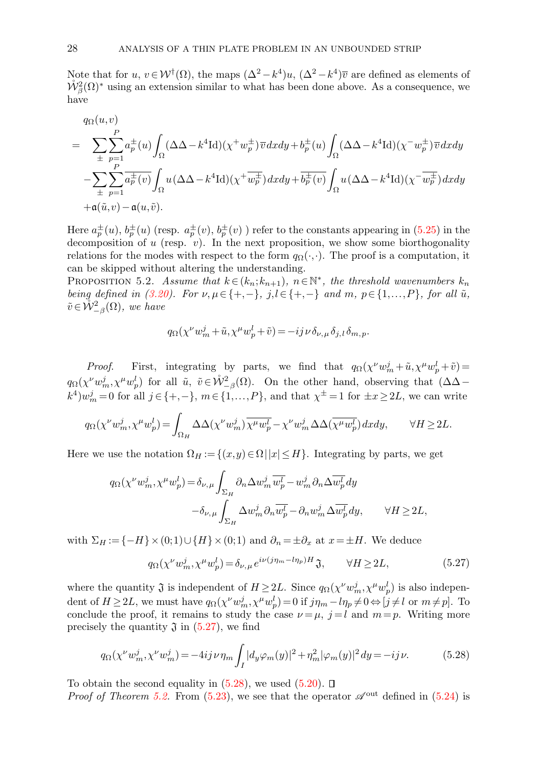Note that for  $u, v \in \mathcal{W}^{\dagger}(\Omega)$ , the maps  $(\Delta^2 - k^4)u, (\Delta^2 - k^4)\overline{v}$  are defined as elements of  $\mathring{\mathcal{W}}^2_{\beta}(\Omega)^*$  using an extension similar to what has been done above. As a consequence, we have

$$
q_{\Omega}(u,v)
$$
\n
$$
= \sum_{\pm} \sum_{p=1}^{P} a_p^{\pm}(u) \int_{\Omega} (\Delta \Delta - k^4 \text{Id})(\chi^+ w_p^{\pm}) \overline{v} \, dx \, dy + b_p^{\pm}(u) \int_{\Omega} (\Delta \Delta - k^4 \text{Id})(\chi^- w_p^{\pm}) \overline{v} \, dx \, dy
$$
\n
$$
- \sum_{\pm} \sum_{p=1}^{P} \overline{a_p^{\pm}(v)} \int_{\Omega} u (\Delta \Delta - k^4 \text{Id})(\chi^+ \overline{w_p^{\pm}}) \, dx \, dy + \overline{b_p^{\pm}(v)} \int_{\Omega} u (\Delta \Delta - k^4 \text{Id})(\chi^- \overline{w_p^{\pm}}) \, dx \, dy
$$
\n
$$
+ \mathfrak{a}(\tilde{u}, v) - \mathfrak{a}(u, \tilde{v}).
$$

Here  $a_p^{\pm}(u)$ ,  $b_p^{\pm}(u)$  (resp.  $a_p^{\pm}(v)$ ,  $b_p^{\pm}(v)$ ) refer to the constants appearing in [\(5.25\)](#page-26-2) in the decomposition of  $u$  (resp.  $v$ ). In the next proposition, we show some biorthogonality relations for the modes with respect to the form  $q_{\Omega}(\cdot,\cdot)$ . The proof is a computation, it can be skipped without altering the understanding.

<span id="page-27-2"></span>PROPOSITION 5.2. Assume that  $k \in (k_n; k_{n+1})$ ,  $n \in \mathbb{N}^*$ , the threshold wavenumbers  $k_n$ being defined in [\(3.20\)](#page-8-4). For  $\nu, \mu \in \{+, -\}$ ,  $j, l \in \{+, -\}$  and  $m, p \in \{1, ..., P\}$ , for all  $\tilde{u}$ ,  $\tilde{v} \in \mathring{\mathcal{W}}_{-\beta}^2(\Omega)$ , we have

$$
q_{\Omega}(\chi^{\nu}w^j_m+\tilde{u},\chi^{\mu}w^l_p+\tilde{v})=-ij\,\nu\,\delta_{\nu,\,\mu}\,\delta_{j,\,l}\,\delta_{m,\,p}.
$$

*Proof.* First, integrating by parts, we find that  $q_{\Omega}(\chi^{\nu}w_m^j + \tilde{u}, \chi^{\mu}w_p^l + \tilde{v}) =$  $q_{\Omega}(\chi^{\nu}w_m^j, \chi^{\mu}w_p^l)$  for all  $\tilde{u}, \tilde{v} \in \mathring{\mathcal{W}}^2_{-\beta}(\Omega)$ . On the other hand, observing that  $(\Delta \Delta (k^4)w_m^j = 0$  for all  $j \in \{+, -\}$ ,  $m \in \{1, ..., P\}$ , and that  $\chi^{\pm} = 1$  for  $\pm x \ge 2L$ , we can write

$$
q_{\Omega}(\chi^{\nu}w^{j}_{m},\chi^{\mu}w^{l}_{p})=\int_{\Omega_{H}}\Delta\Delta(\chi^{\nu}w^{j}_{m})\overline{\chi^{\mu}w^{l}_{p}}-\chi^{\nu}w^{j}_{m}\Delta\Delta(\overline{\chi^{\mu}w^{l}_{p}})dxdy, \qquad \forall H\geq 2L.
$$

Here we use the notation  $\Omega_H := \{(x,y)\in\Omega \mid |x|\leq H\}$ . Integrating by parts, we get

$$
q_{\Omega}(\chi^{\nu}w_m^j, \chi^{\mu}w_p^l) = \delta_{\nu,\mu} \int_{\Sigma_H} \partial_n \Delta w_m^j \overline{w_p^l} - w_m^j \partial_n \Delta \overline{w_p^l} dy
$$

$$
- \delta_{\nu,\mu} \int_{\Sigma_H} \Delta w_m^j \partial_n \overline{w_p^l} - \partial_n w_m^j \Delta \overline{w_p^l} dy, \qquad \forall H \ge 2L,
$$

with  $\Sigma_H := \{-H\} \times (0,1) \cup \{H\} \times (0,1)$  and  $\partial_n = \pm \partial_x$  at  $x = \pm H$ . We deduce

<span id="page-27-1"></span><span id="page-27-0"></span>
$$
q_{\Omega}(\chi^{\nu}w_m^j, \chi^{\mu}w_p^l) = \delta_{\nu, \mu} e^{i\nu(j\eta_m - l\eta_p)H} \mathfrak{J}, \qquad \forall H \ge 2L,\tag{5.27}
$$

where the quantity  $\mathfrak{J}$  is independent of  $H \geq 2L$ . Since  $q_{\Omega}(\chi^{\nu}w_m^j, \chi^{\mu}w_p^l)$  is also independent of  $H \ge 2L$ , we must have  $q_{\Omega}(\chi^{\nu}w_m^j, \chi^{\mu}w_p^l) = 0$  if  $j\eta_m - l\eta_p \ne 0 \Leftrightarrow [j \ne l$  or  $m \ne p$ . To conclude the proof, it remains to study the case  $\nu = \mu$ ,  $j = l$  and  $m = p$ . Writing more precisely the quantity  $\mathfrak J$  in  $(5.27)$ , we find

$$
q_{\Omega}(\chi^{\nu}w_m^j, \chi^{\nu}w_m^j) = -4ij\nu\eta_m \int_I |d_y\varphi_m(y)|^2 + \eta_m^2 |\varphi_m(y)|^2 dy = -ij\nu. \tag{5.28}
$$

To obtain the second equality in  $(5.28)$ , we used  $(5.20)$ .  $\Box$ 

*Proof of Theorem [5.2.](#page-26-1)* From [\(5.23\)](#page-26-3), we see that the operator  $\mathscr{A}^{out}$  defined in [\(5.24\)](#page-26-0) is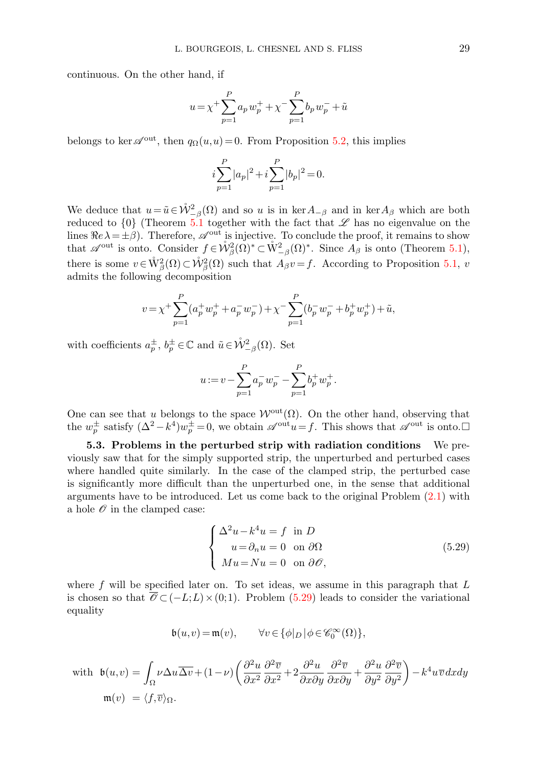continuous. On the other hand, if

$$
u = \chi^{+} \sum_{p=1}^{P} a_p w_p^{+} + \chi^{-} \sum_{p=1}^{P} b_p w_p^{-} + \tilde{u}
$$

belongs to ker  $\mathscr{A}^{out}$ , then  $q_{\Omega}(u,u) = 0$ . From Proposition [5.2,](#page-27-2) this implies

$$
i\sum_{p=1}^{P}|a_p|^2 + i\sum_{p=1}^{P}|b_p|^2 = 0.
$$

We deduce that  $u = \tilde{u} \in \mathring{\mathcal{W}}_{-\beta}^2(\Omega)$  and so u is in ker $A_{-\beta}$  and in ker $A_{\beta}$  which are both reduced to  $\{0\}$  (Theorem [5.1](#page-23-2) together with the fact that  $\mathscr L$  has no eigenvalue on the lines  $\Re e \lambda = \pm \beta$ ). Therefore,  $\mathscr{A}^{\text{out}}$  is injective. To conclude the proof, it remains to show that  $\mathscr{A}^{\text{out}}$  is onto. Consider  $f \in \mathring{\mathcal{W}}^2_{\beta}(\Omega)^* \subset \mathring{\mathcal{W}}^2_{-\beta}(\Omega)^*$ . Since  $A_{\beta}$  is onto (Theorem [5.1\)](#page-23-2), there is some  $v \in \mathring{W}^2_{\beta}(\Omega) \subset \mathring{W}^2_{\beta}(\Omega)$  such that  $A_{\beta}v = f$ . According to Proposition [5.1,](#page-25-0) v admits the following decomposition

$$
v = \chi^{+} \sum_{p=1}^{P} (a_p^{+} w_p^{+} + a_p^{-} w_p^{-}) + \chi^{-} \sum_{p=1}^{P} (b_p^{-} w_p^{-} + b_p^{+} w_p^{+}) + \tilde{u},
$$

with coefficients  $a_p^{\pm}, b_p^{\pm} \in \mathbb{C}$  and  $\tilde{u} \in \mathring{\mathcal{W}}_{-\beta}^2(\Omega)$ . Set

$$
u := v - \sum_{p=1}^{P} a_p^{-} w_p^{-} - \sum_{p=1}^{P} b_p^{+} w_p^{+}.
$$

One can see that u belongs to the space  $\mathcal{W}^{\text{out}}(\Omega)$ . On the other hand, observing that the  $w_p^{\pm}$  satisfy  $(\Delta^2 - k^4)w_p^{\pm} = 0$ , we obtain  $\mathscr{A}^{\text{out}}u = f$ . This shows that  $\mathscr{A}^{\text{out}}$  is onto.

5.3. Problems in the perturbed strip with radiation conditions We previously saw that for the simply supported strip, the unperturbed and perturbed cases where handled quite similarly. In the case of the clamped strip, the perturbed case is significantly more difficult than the unperturbed one, in the sense that additional arguments have to be introduced. Let us come back to the original Problem [\(2.1\)](#page-2-2) with a hole  $\mathcal O$  in the clamped case:

<span id="page-28-0"></span>
$$
\begin{cases}\n\Delta^2 u - k^4 u = f \text{ in } D \\
u = \partial_n u = 0 \text{ on } \partial \Omega \\
Mu = Nu = 0 \text{ on } \partial \mathcal{O},\n\end{cases}
$$
\n(5.29)

where  $f$  will be specified later on. To set ideas, we assume in this paragraph that  $L$ is chosen so that  $\overline{\mathscr{O}} \subset (-L;L)\times(0;1)$ . Problem [\(5.29\)](#page-28-0) leads to consider the variational equality

$$
\mathfrak{b}(u,v)\!=\!\mathfrak{m}(v),\qquad\forall v\!\in\!\{\phi|_D\,|\,\phi\!\in\!\mathscr{C}_0^\infty(\Omega)\},
$$

with 
$$
\mathfrak{b}(u,v) = \int_{\Omega} \nu \Delta u \overline{\Delta v} + (1 - \nu) \left( \frac{\partial^2 u}{\partial x^2} \frac{\partial^2 \overline{v}}{\partial x^2} + 2 \frac{\partial^2 u}{\partial x \partial y} \frac{\partial^2 \overline{v}}{\partial x \partial y} + \frac{\partial^2 u}{\partial y^2} \frac{\partial^2 \overline{v}}{\partial y^2} \right) - k^4 u \overline{v} dx dy
$$
  
\n $\mathfrak{m}(v) = \langle f, \overline{v} \rangle_{\Omega}.$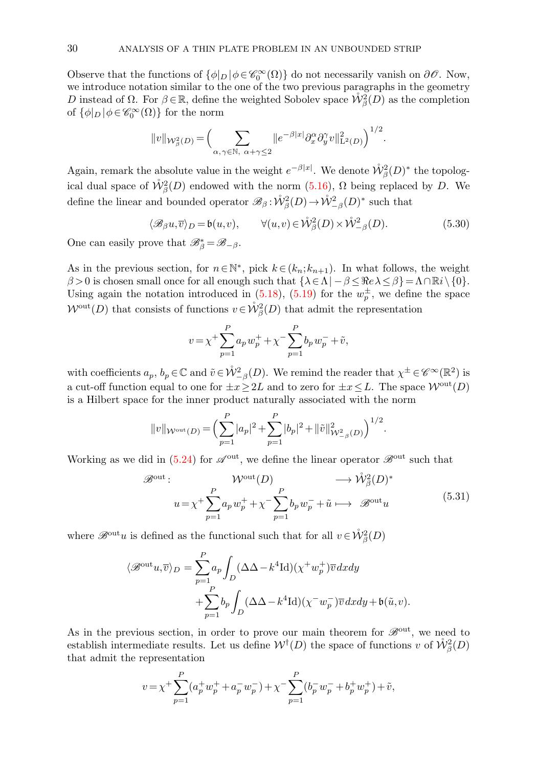Observe that the functions of  $\{\phi|_D | \phi \in \mathcal{C}_0^{\infty}(\Omega)\}$  do not necessarily vanish on  $\partial \mathcal{O}$ . Now, we introduce notation similar to the one of the two previous paragraphs in the geometry D instead of  $\Omega$ . For  $\beta \in \mathbb{R}$ , define the weighted Sobolev space  $\mathcal{W}_{\beta}^2(D)$  as the completion of  $\{\phi|_D | \phi \in \mathscr{C}_0^{\infty}(\Omega)\}$  for the norm

$$
||v||_{\mathcal{W}_{\beta}^2(D)} = \Big(\sum_{\alpha,\gamma \in \mathbb{N}, \alpha+\gamma \leq 2} ||e^{-\beta|x|} \partial_x^{\alpha} \partial_y^{\gamma} v||_{\mathcal{L}^2(D)}^2\Big)^{1/2}.
$$

Again, remark the absolute value in the weight  $e^{-\beta|x|}$ . We denote  $\mathring{W}^2_{\beta}(D)^*$  the topological dual space of  $\mathring{W}_{\beta}^2(D)$  endowed with the norm  $(5.16)$ ,  $\Omega$  being replaced by D. We define the linear and bounded operator  $\mathscr{B}_{\beta} : \mathring{\mathcal{W}}^2_{\beta}(D) \to \mathring{\mathcal{W}}^2_{-\beta}(D)^*$  such that

$$
\langle \mathcal{B}_{\beta} u, \overline{v} \rangle_D = \mathfrak{b}(u, v), \qquad \forall (u, v) \in \mathring{\mathcal{W}}^2_{\beta}(D) \times \mathring{\mathcal{W}}^2_{-\beta}(D). \tag{5.30}
$$

One can easily prove that  $\mathscr{B}_{\beta}^* = \mathscr{B}_{-\beta}$ .

As in the previous section, for  $n \in \mathbb{N}^*$ , pick  $k \in (k_n; k_{n+1})$ . In what follows, the weight  $\beta > 0$  is chosen small once for all enough such that  $\{\lambda \in \Lambda \mid -\beta \leq \Re e \, \lambda \leq \beta\} = \Lambda \cap \mathbb{R}i \setminus \{0\}.$ Using again the notation introduced in [\(5.18\)](#page-24-2), [\(5.19\)](#page-25-4) for the  $w_p^{\pm}$ , we define the space  $\mathcal{W}^{\text{out}}(D)$  that consists of functions  $v \in \mathring{\mathcal{W}}^2_{\beta}(D)$  that admit the representation

<span id="page-29-0"></span>
$$
v = \chi^{+} \sum_{p=1}^{P} a_p w_p^{+} + \chi^{-} \sum_{p=1}^{P} b_p w_p^{-} + \tilde{v},
$$

with coefficients  $a_p, b_p \in \mathbb{C}$  and  $\tilde{v} \in \mathring{\mathcal{W}}^2_{-\beta}(D)$ . We remind the reader that  $\chi^{\pm} \in \mathscr{C}^{\infty}(\mathbb{R}^2)$  is a cut-off function equal to one for  $\pm x \geq 2L$  and to zero for  $\pm x \leq L$ . The space  $\mathcal{W}^{out}(D)$ is a Hilbert space for the inner product naturally associated with the norm

$$
||v||_{\mathcal{W}^{\text{out}}(D)} = \left(\sum_{p=1}^{P} |a_p|^2 + \sum_{p=1}^{P} |b_p|^2 + ||\tilde{v}||^2_{\mathcal{W}^2_{-\beta}(D)}\right)^{1/2}.
$$

Working as we did in [\(5.24\)](#page-26-0) for  $\mathscr{A}^{\text{out}}$ , we define the linear operator  $\mathscr{B}^{\text{out}}$  such that

$$
\mathscr{B}^{\text{out}}: \mathcal{W}^{\text{out}}(D) \longrightarrow \mathring{\mathcal{W}}^2_{\beta}(D)^* \n u = \chi^+ \sum_{p=1}^P a_p w_p^+ + \chi^- \sum_{p=1}^P b_p w_p^- + \tilde{u} \longrightarrow \mathscr{B}^{\text{out}} u
$$
\n(5.31)

where  $\mathscr{B}^{\text{out}}u$  is defined as the functional such that for all  $v \in \mathring{\mathcal{W}}^2_{\beta}(D)$ 

$$
\langle \mathcal{B}^{\text{out}} u, \overline{v} \rangle_D = \sum_{p=1}^P a_p \int_D (\Delta \Delta - k^4 \text{Id})(\chi^+ w_p^+) \overline{v} \, dx \, dy
$$

$$
+ \sum_{p=1}^P b_p \int_D (\Delta \Delta - k^4 \text{Id})(\chi^- w_p^-) \overline{v} \, dx \, dy + \mathfrak{b}(\tilde{u}, v).
$$

As in the previous section, in order to prove our main theorem for  $\mathscr{B}^{out}$ , we need to establish intermediate results. Let us define  $\mathcal{W}^{\dagger}(D)$  the space of functions v of  $\mathring{\mathcal{W}}^2_{\beta}(D)$ that admit the representation

$$
v = \chi^+ \sum_{p=1}^P (a_p^+ w_p^+ + a_p^- w_p^-) + \chi^- \sum_{p=1}^P (b_p^- w_p^- + b_p^+ w_p^+) + \tilde{v},
$$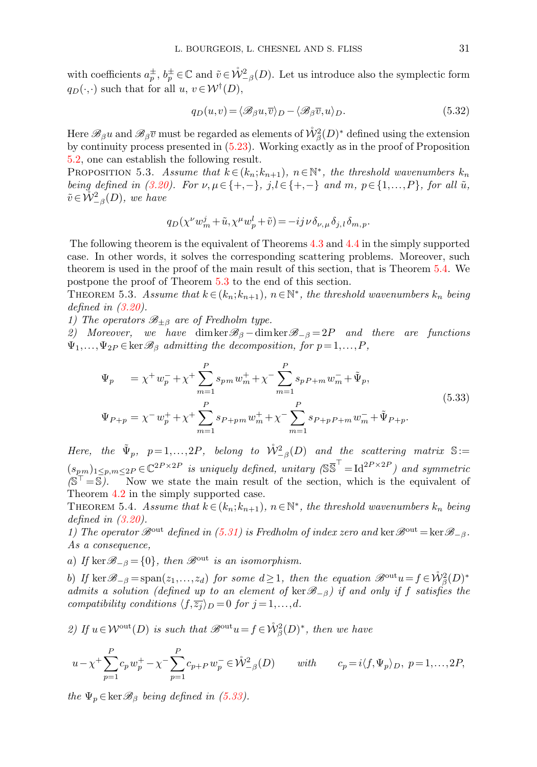with coefficients  $a_p^{\pm}$ ,  $b_p^{\pm} \in \mathbb{C}$  and  $\tilde{v} \in \mathcal{W}_{-\beta}^2(D)$ . Let us introduce also the symplectic form  $q_D(\cdot, \cdot)$  such that for all  $u, v \in \mathcal{W}^{\dagger}(D)$ ,

<span id="page-30-3"></span>
$$
q_D(u,v) = \langle \mathcal{B}_{\beta}u, \overline{v} \rangle_D - \langle \mathcal{B}_{\beta}\overline{v}, u \rangle_D. \tag{5.32}
$$

Here  $\mathscr{B}_{\beta}u$  and  $\mathscr{B}_{\beta}\overline{v}$  must be regarded as elements of  $\mathring{\mathcal{W}}^2_{\beta}(D)^*$  defined using the extension by continuity process presented in [\(5.23\)](#page-26-3). Working exactly as in the proof of Proposition [5.2,](#page-27-2) one can establish the following result.

PROPOSITION 5.3. Assume that  $k \in (k_n; k_{n+1})$ ,  $n \in \mathbb{N}^*$ , the threshold wavenumbers  $k_n$ being defined in [\(3.20\)](#page-8-4). For  $\nu, \mu \in \{+, -\}$ ,  $j, l \in \{+, -\}$  and  $m, p \in \{1, ..., P\}$ , for all  $\tilde{u}$ ,  $\tilde{v} \in \mathring{\mathcal{W}}_{-\beta}^2(D)$ , we have

<span id="page-30-2"></span><span id="page-30-1"></span>
$$
q_D(\chi^{\nu}w^j_m+\tilde{u},\chi^{\mu}w^l_p+\tilde{v})=-ij\,\nu\,\delta_{\nu,\,\mu}\,\delta_{j,\,l}\,\delta_{m,\,p}.
$$

The following theorem is the equivalent of Theorems [4.3](#page-18-4) and [4.4](#page-19-2) in the simply supported case. In other words, it solves the corresponding scattering problems. Moreover, such theorem is used in the proof of the main result of this section, that is Theorem [5.4.](#page-30-0) We postpone the proof of Theorem [5.3](#page-30-1) to the end of this section.

THEOREM 5.3. Assume that  $k \in (k_n; k_{n+1}), n \in \mathbb{N}^*$ , the threshold wavenumbers  $k_n$  being defined in [\(3.20\)](#page-8-4).

1) The operators  $\mathcal{B}_{\pm\beta}$  are of Fredholm type.

2) Moreover, we have dimker $\mathscr{B}_{\beta}$  –dimker $\mathscr{B}_{-\beta} = 2P$  and there are functions  $\Psi_1,\ldots,\Psi_{2P} \in \ker \mathscr{B}_{\beta}$  admitting the decomposition, for  $p=1,\ldots,P$ ,

$$
\Psi_p = \chi^+ w_p^- + \chi^+ \sum_{m=1}^P s_{pm} w_m^+ + \chi^- \sum_{m=1}^P s_{pP+m} w_m^- + \tilde{\Psi}_p,
$$
  
\n
$$
\Psi_{P+p} = \chi^- w_p^+ + \chi^+ \sum_{m=1}^P s_{P+pm} w_m^+ + \chi^- \sum_{m=1}^P s_{P+pP+m} w_m^- + \tilde{\Psi}_{P+p}.
$$
\n(5.33)

Here, the  $\tilde{\Psi}_p$ ,  $p=1,\ldots,2P$ , belong to  $\mathring{\mathcal{W}}^2_{-\beta}(D)$  and the scattering matrix  $\mathbb{S}:=$  $(s_{pm})_{1\leq p,m\leq 2P}\in\mathbb{C}^{2P\times 2P}$  is uniquely defined, unitary  $(\mathbb{S}\overline{\mathbb{S}}^{\top}=\mathrm{Id}^{2P\times 2P})$  and symmetric  $(S^{\top} = S)$ . Now we state the main result of the section, which is the equivalent of Theorem [4.2](#page-17-0) in the simply supported case.

<span id="page-30-0"></span>THEOREM 5.4. Assume that  $k \in (k_n; k_{n+1}), n \in \mathbb{N}^*$ , the threshold wavenumbers  $k_n$  being defined in [\(3.20\)](#page-8-4).

1) The operator  $\mathscr{B}^{out}$  defined in [\(5.31\)](#page-29-0) is Fredholm of index zero and ker  $\mathscr{B}^{out} = \ker \mathscr{B}_{-\beta}$ . As a consequence,

a) If ker  $\mathscr{B}_{-\beta} = \{0\}$ , then  $\mathscr{B}^{\text{out}}$  is an isomorphism.

b) If  $\ker \mathscr{B}_{-\beta} = \text{span}(z_1,\ldots,z_d)$  for some  $d \geq 1$ , then the equation  $\mathscr{B}^{\text{out}}u = f \in \mathring{\mathcal{W}}^2_{\beta}(D)^*$ admits a solution (defined up to an element of ker $\mathcal{B}_{-\beta}$ ) if and only if f satisfies the compatibility conditions  $\langle f,\overline{z_j} \rangle_D = 0$  for  $j = 1,...,d$ .

2) If  $u \in \mathcal{W}^{\text{out}}(D)$  is such that  $\mathscr{B}^{\text{out}} u = f \in \mathring{\mathcal{W}}^2_{\beta}(D)^*$ , then we have

$$
u - \chi^{+} \sum_{p=1}^{P} c_p w_p^{+} - \chi^{-} \sum_{p=1}^{P} c_{p+P} w_p^{-} \in \mathring{\mathcal{W}}^2_{-\beta}(D) \qquad with \qquad c_p = i \langle f, \Psi_p \rangle_D, \ p = 1, \dots, 2P,
$$

the  $\Psi_p \in \ker \mathcal{B}_{\beta}$  being defined in [\(5.33\)](#page-30-2).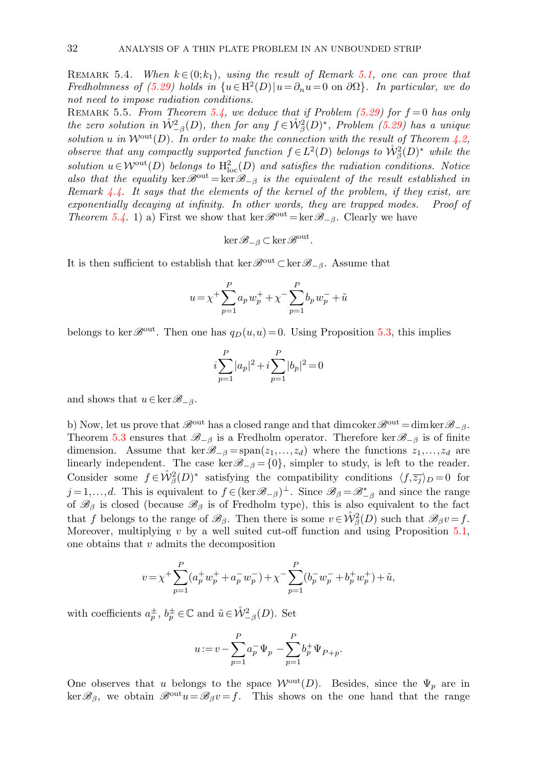REMARK 5.4. When  $k \in (0;k_1)$ , using the result of Remark [5.1,](#page-23-4) one can prove that Fredholmness of  $(5.29)$  holds in  $\{u \in H^2(D) | u = \partial_n u = 0 \text{ on } \partial \Omega\}$ . In particular, we do not need to impose radiation conditions.

REMARK 5.5. From Theorem [5.4,](#page-30-0) we deduce that if Problem [\(5.29\)](#page-28-0) for  $f = 0$  has only the zero solution in  $\mathring{W}_{-\beta}^2(D)$ , then for any  $f \in \mathring{W}_{\beta}^2(D)^*$ , Problem [\(5.29\)](#page-28-0) has a unique solution u in  $\mathcal{W}^{\text{out}}(D)$ . In order to make the connection with the result of Theorem [4.2,](#page-17-0) observe that any compactly supported function  $f \in L^2(D)$  belongs to  $\mathring{\mathcal{W}}^2_{\beta}(D)^*$  while the solution  $u \in \mathcal{W}^{\text{out}}(D)$  belongs to  $H^2_{\text{loc}}(D)$  and satisfies the radiation conditions. Notice also that the equality ker $\mathscr{B}^{out} = \ker \mathscr{B}_{-\beta}$  is the equivalent of the result established in Remark [4.4.](#page-18-3) It says that the elements of the kernel of the problem, if they exist, are exponentially decaying at infinity. In other words, they are trapped modes. Proof of Theorem [5.4.](#page-30-0) 1) a) First we show that ker  $\mathscr{B}^{out} = \ker \mathscr{B}_{-\beta}$ . Clearly we have

$$
\ker \mathscr{B}_{-\beta} \subset \ker \mathscr{B}^{\mathrm{out}}
$$

.

It is then sufficient to establish that ker  $\mathscr{B}^{\text{out}} \subset \text{ker } \mathscr{B}_{-\beta}$ . Assume that

$$
u = \chi^{+} \sum_{p=1}^{P} a_p w_p^{+} + \chi^{-} \sum_{p=1}^{P} b_p w_p^{-} + \tilde{u}
$$

belongs to ker  $\mathscr{B}^{out}$ . Then one has  $q_D(u,u) = 0$ . Using Proposition [5.3,](#page-30-3) this implies

$$
i\sum_{p=1}^{P}|a_p|^2 + i\sum_{p=1}^{P}|b_p|^2 = 0
$$

and shows that  $u \in \ker \mathscr{B}_{-\beta}$ .

b) Now, let us prove that  $\mathscr{B}^{\text{out}}$  has a closed range and that dimcoker  $\mathscr{B}^{\text{out}} = \dim \ker \mathscr{B}_{-\beta}$ . Theorem [5.3](#page-30-1) ensures that  $\mathscr{B}_{-\beta}$  is a Fredholm operator. Therefore ker $\mathscr{B}_{-\beta}$  is of finite dimension. Assume that ker $\mathcal{B}_{-\beta} = \text{span}(z_1,\ldots,z_d)$  where the functions  $z_1,\ldots,z_d$  are linearly independent. The case ker $\mathscr{B}_{-\beta} = \{0\}$ , simpler to study, is left to the reader. Consider some  $f \in \mathring{W}^2_{\beta}(D)^*$  satisfying the compatibility conditions  $\langle f, \overline{z_j} \rangle_D = 0$  for  $j=1,\ldots,d$ . This is equivalent to  $f \in (\ker \mathscr{B}_{-\beta})^{\perp}$ . Since  $\mathscr{B}_{\beta} = \mathscr{B}_{-\beta}^{*}$  and since the range of  $\mathscr{B}_{\beta}$  is closed (because  $\mathscr{B}_{\beta}$  is of Fredholm type), this is also equivalent to the fact that f belongs to the range of  $\mathscr{B}_{\beta}$ . Then there is some  $v \in \mathring{\mathcal{W}}_{\beta}^2(D)$  such that  $\mathscr{B}_{\beta}v = f$ . Moreover, multiplying  $v$  by a well suited cut-off function and using Proposition [5.1,](#page-25-0) one obtains that  $v$  admits the decomposition

$$
v = \chi^{+} \sum_{p=1}^{P} (a_p^{+} w_p^{+} + a_p^{-} w_p^{-}) + \chi^{-} \sum_{p=1}^{P} (b_p^{-} w_p^{-} + b_p^{+} w_p^{+}) + \tilde{u},
$$

with coefficients  $a_p^{\pm}, b_p^{\pm} \in \mathbb{C}$  and  $\tilde{u} \in \mathring{\mathcal{W}}_{-\beta}^2(D)$ . Set

$$
u := v - \sum_{p=1}^{P} a_p^{-} \Psi_p - \sum_{p=1}^{P} b_p^{+} \Psi_{P+p}.
$$

One observes that u belongs to the space  $\mathcal{W}^{out}(D)$ . Besides, since the  $\Psi_p$  are in  $\ker \mathscr{B}_{\beta}$ , we obtain  $\mathscr{B}^{out}u=\mathscr{B}_{\beta}v=f$ . This shows on the one hand that the range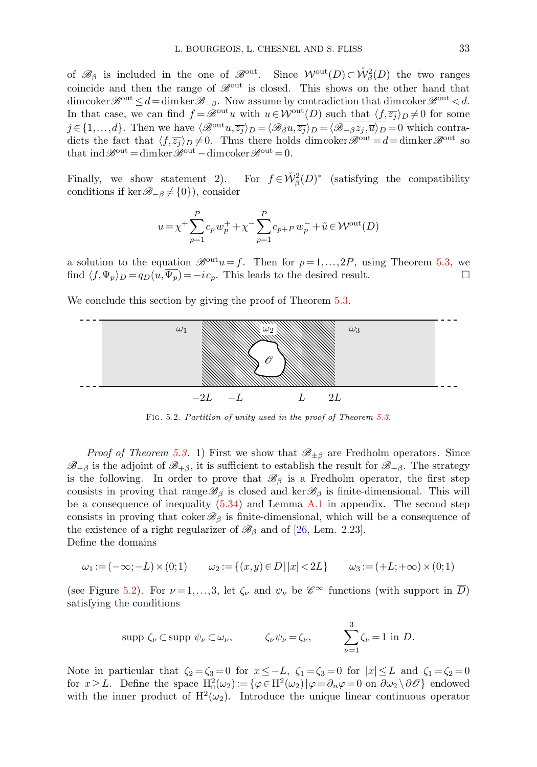of  $\mathscr{B}_{\beta}$  is included in the one of  $\mathscr{B}^{out}$ . Since  $\mathcal{W}^{out}(D) \subset \mathring{\mathcal{W}}_{\beta}^2(D)$  the two ranges coincide and then the range of  $\mathscr{B}^{\text{out}}$  is closed. This shows on the other hand that dimcoker  $\mathscr{B}^{\text{out}} \leq d = \dim \ker \mathscr{B}_{-\beta}$ . Now assume by contradiction that dimcoker  $\mathscr{B}^{\text{out}} \leq d$ . In that case, we can find  $f = \mathscr{B}^{out}u$  with  $u \in \mathcal{W}^{out}(D)$  such that  $\langle f,\overline{z_j} \rangle_D \neq 0$  for some  $j \in \{1,...,d\}$ . Then we have  $\langle \mathcal{B}^{\text{out}} u, \overline{z_j} \rangle_D = \langle \mathcal{B}_{\beta} u, \overline{z_j} \rangle_D = \overline{\langle \mathcal{B}_{-\beta} z_j, \overline{u} \rangle_D} = 0$  which contradicts the fact that  $\langle f,\overline{z_j} \rangle_D \neq 0$ . Thus there holds dimcoker  $\mathscr{B}^{\text{out}} = d = \dim \ker \mathscr{B}^{\text{out}}$  so that  $\text{ind}\,\mathscr{B}^{\text{out}} = \text{dim}\,\text{ker}\,\mathscr{B}^{\text{out}} - \text{dim}\,\text{coker}\,\mathscr{B}^{\text{out}} = 0.$ 

Finally, we show statement  $2$ ).  $\beta^2(D)^*$  (satisfying the compatibility conditions if ker $\mathscr{B}_{-\beta}\neq\{0\}$ , consider

$$
u = \chi^{+} \sum_{p=1}^{P} c_p w_p^{+} + \chi^{-} \sum_{p=1}^{P} c_{p+P} w_p^{-} + \tilde{u} \in \mathcal{W}^{out}(D)
$$

a solution to the equation  $\mathscr{B}^{out}u=f$ . Then for  $p=1,\ldots,2P$ , using Theorem [5.3,](#page-30-1) we find  $\langle f, \Psi_p \rangle_D = q_D(u, \overline{\Psi_p}) = -ic_p$ . This leads to the desired result.

We conclude this section by giving the proof of Theorem  $5.3$ .



<span id="page-32-0"></span>Fig. 5.2. Partition of unity used in the proof of Theorem [5.3.](#page-30-1)

*Proof of Theorem [5.3.](#page-30-1)* 1) First we show that  $\mathscr{B}_{\pm \beta}$  are Fredholm operators. Since  $\mathscr{B}_{-\beta}$  is the adjoint of  $\mathscr{B}_{+\beta}$ , it is sufficient to establish the result for  $\mathscr{B}_{+\beta}$ . The strategy is the following. In order to prove that  $\mathscr{B}_{\beta}$  is a Fredholm operator, the first step consists in proving that range  $\mathscr{B}_{\beta}$  is closed and ker $\mathscr{B}_{\beta}$  is finite-dimensional. This will be a consequence of inequality  $(5.34)$  and Lemma [A.1](#page-39-1) in appendix. The second step consists in proving that coker  $\mathscr{B}_{\beta}$  is finite-dimensional, which will be a consequence of the existence of a right regularizer of  $\mathscr{B}_{\beta}$  and of [\[26,](#page-41-9) Lem. 2.23]. Define the domains

$$
\omega_1 := (-\infty; -L) \times (0; 1) \qquad \omega_2 := \{(x, y) \in D \mid |x| < 2L\} \qquad \omega_3 := (+L; +\infty) \times (0; 1)
$$

(see Figure [5.2\)](#page-32-0). For  $\nu = 1, \ldots, 3$ , let  $\zeta_{\nu}$  and  $\psi_{\nu}$  be  $\mathscr{C}^{\infty}$  functions (with support in D) satisfying the conditions

$$
\text{supp }\zeta_{\nu}\subset\text{supp }\psi_{\nu}\subset\omega_{\nu},\qquad\qquad \zeta_{\nu}\psi_{\nu}=\zeta_{\nu},\qquad\qquad \sum_{\nu=1}^3\zeta_{\nu}=1\text{ in }D.
$$

Note in particular that  $\zeta_2 = \zeta_3 = 0$  for  $x \leq -L$ ,  $\zeta_1 = \zeta_3 = 0$  for  $|x| \leq L$  and  $\zeta_1 = \zeta_2 = 0$ for  $x \geq L$ . Define the space  $H^2_{\mathcal{Q}}(\omega_2) := \{ \varphi \in H^2(\omega_2) | \varphi = \partial_n \varphi = 0 \text{ on } \partial \omega_2 \setminus \partial \mathcal{O} \}$  endowed with the inner product of  $H^2(\omega_2)$ . Introduce the unique linear continuous operator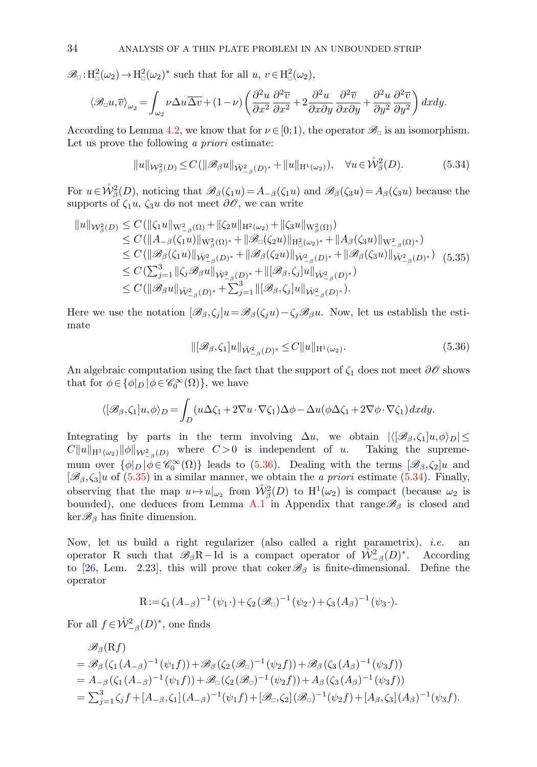$\mathscr{B}_{\Box}:\mathrm{H}^2_{\Box}(\omega_2)\to\mathrm{H}^2_{\Box}(\omega_2)^*$  such that for all  $u, v \in \mathrm{H}^2_{\Box}(\omega_2)$ ,

$$
\langle \mathcal{B}_{\Box} u, \overline{v} \rangle_{\omega_2} = \int_{\omega_2} \nu \Delta u \overline{\Delta v} + (1 - \nu) \left( \frac{\partial^2 u}{\partial x^2} \frac{\partial^2 \overline{v}}{\partial x^2} + 2 \frac{\partial^2 u}{\partial x \partial y} \frac{\partial^2 \overline{v}}{\partial x \partial y} + \frac{\partial^2 u}{\partial y^2} \frac{\partial^2 \overline{v}}{\partial y^2} \right) dx dy.
$$

According to Lemma [4.2,](#page-14-3) we know that for  $\nu \in [0,1)$ , the operator  $\mathscr{B}_{\Box}$  is an isomorphism. Let us prove the following a priori estimate:

<span id="page-33-2"></span><span id="page-33-0"></span>
$$
||u||_{\mathcal{W}_{\beta}^{2}(D)} \leq C(||\mathscr{B}_{\beta}u||_{\mathring{W}_{-\beta}^{2}(D)^{*}} + ||u||_{H^{1}(\omega_{2})}), \quad \forall u \in \mathring{\mathcal{W}}_{\beta}^{2}(D). \tag{5.34}
$$

For  $u \in \mathring{W}^2_\beta(D)$ , noticing that  $\mathscr{B}_\beta(\zeta_1 u) = A_{-\beta}(\zeta_1 u)$  and  $\mathscr{B}_\beta(\zeta_3 u) = A_\beta(\zeta_3 u)$  because the supports of  $\zeta_1 u$ ,  $\zeta_3 u$  do not meet  $\partial \mathscr{O}$ , we can write

$$
\|u\|_{\mathcal{W}_{\beta}^{2}(D)} \leq C(\|\zeta_{1}u\|_{\mathcal{W}_{-\beta}^{2}(\Omega)} + \|\zeta_{2}u\|_{\mathcal{H}^{2}(\omega_{2})} + \|\zeta_{3}u\|_{\mathcal{W}_{\beta}^{2}(\Omega)})
$$
  
\n
$$
\leq C(\|A_{-\beta}(\zeta_{1}u)\|_{\mathcal{W}_{\beta}^{2}(\Omega)^{*}} + \|\mathscr{B}_{\Box}(\zeta_{2}u)\|_{\mathcal{H}_{\Box}^{2}(\omega_{2})^{*}} + \|A_{\beta}(\zeta_{3}u)\|_{\mathcal{W}_{-\beta}^{2}(\Omega)^{*}})
$$
  
\n
$$
\leq C(\|\mathscr{B}_{\beta}(\zeta_{1}u)\|_{\mathcal{W}_{-\beta}^{2}(D)^{*}} + \|\mathscr{B}_{\beta}(\zeta_{2}u)\|_{\mathcal{W}_{-\beta}^{2}(D)^{*}} + \|\mathscr{B}_{\beta}(\zeta_{3}u)\|_{\mathcal{W}_{-\beta}^{2}(D)^{*}})
$$
  
\n
$$
\leq C(\sum_{j=1}^{3} \|\zeta_{j}\mathscr{B}_{\beta}u\|_{\mathcal{W}_{-\beta}^{2}(D)^{*}} + \|[\mathscr{B}_{\beta},\zeta_{j}]u\|_{\mathcal{W}_{-\beta}^{2}(D)^{*}})
$$
  
\n
$$
\leq C(\|\mathscr{B}_{\beta}u\|_{\mathcal{W}_{-\beta}^{2}(D)^{*}} + \sum_{j=1}^{3} \|\[\mathscr{B}_{\beta},\zeta_{j}]u\|_{\mathcal{W}_{-\beta}^{2}(D)^{*}}).
$$
  
\n(5.35)

<span id="page-33-1"></span>Here we use the notation  $[\mathscr{B}_{\beta}, \zeta_i]u = \mathscr{B}_{\beta}(\zeta_i u) - \zeta_i \mathscr{B}_{\beta}u$ . Now, let us establish the estimate

$$
\|[\mathcal{B}_{\beta}, \zeta_1]u\|_{\mathring{W}^2_{-\beta}(D)^*} \le C\|u\|_{H^1(\omega_2)}.
$$
\n(5.36)

An algebraic computation using the fact that the support of  $\zeta_1$  does not meet  $\partial\mathscr{O}$  shows that for  $\phi \in {\{\phi|_D | \phi \in \mathscr{C}_0^{\infty}(\Omega)\}}$ , we have

$$
\langle [\mathscr{B}_{\beta}, \zeta_1]u, \phi \rangle_D = \int_D (u\Delta\zeta_1 + 2\nabla u \cdot \nabla\zeta_1)\Delta\phi - \Delta u(\phi\Delta\zeta_1 + 2\nabla\phi \cdot \nabla\zeta_1) dx dy.
$$

Integrating by parts in the term involving  $\Delta u$ , we obtain  $|\langle [\mathscr{B}_{\beta},\zeta_1]u,\phi\rangle_D| \leq$  $C||u||_{H^1(\omega_2)} ||\phi||_{W^2_{-\beta}(D)}$  where  $C>0$  is independent of u. Taking the suprememum over  $\{\phi|_D \mid \phi \in \mathcal{C}_0^{\infty}(\Omega)\}\$  leads to [\(5.36\)](#page-33-1). Dealing with the terms  $[\mathscr{B}_{\beta}, \zeta_2]u$  and  $[\mathscr{B}_{\beta}, \zeta_3]$ u of [\(5.35\)](#page-33-2) in a similar manner, we obtain the *a priori* estimate [\(5.34\)](#page-33-0). Finally, observing that the map  $u \mapsto u|_{\omega_2}$  from  $\mathring{\mathcal{W}}^2_{\beta}(D)$  to  $H^1(\omega_2)$  is compact (because  $\omega_2$  is bounded), one deduces from Lemma [A.1](#page-39-1) in Appendix that range  $\mathscr{B}_{\beta}$  is closed and  $\ker\mathscr{B}_{\beta}$  has finite dimension.

Now, let us build a right regularizer (also called a right parametrix), *i.e.* an operator R such that  $\mathscr{B}_{\beta}R-\text{Id}$  is a compact operator of  $\mathring{W}_{-\beta}^2(D)^*$ . According to [\[26,](#page-41-9) Lem. 2.23], this will prove that coker  $\mathcal{B}_{\beta}$  is finite-dimensional. Define the operator

$$
R := \zeta_1 (A_{-\beta})^{-1} (\psi_1 \cdot) + \zeta_2 (\mathscr{B}_{\Box})^{-1} (\psi_2 \cdot) + \zeta_3 (A_{\beta})^{-1} (\psi_3 \cdot).
$$

For all  $f \in \mathring{\mathcal{W}}_{-\beta}^2(D)^*$ , one finds

$$
\mathcal{B}_{\beta}(\mathbf{R}f) \n= \mathcal{B}_{\beta}(\zeta_{1}(A_{-\beta})^{-1}(\psi_{1}f)) + \mathcal{B}_{\beta}(\zeta_{2}(\mathcal{B}_{\Box})^{-1}(\psi_{2}f)) + \mathcal{B}_{\beta}(\zeta_{3}(A_{\beta})^{-1}(\psi_{3}f)) \n= A_{-\beta}(\zeta_{1}(A_{-\beta})^{-1}(\psi_{1}f)) + \mathcal{B}_{\Box}(\zeta_{2}(\mathcal{B}_{\Box})^{-1}(\psi_{2}f)) + A_{\beta}(\zeta_{3}(A_{\beta})^{-1}(\psi_{3}f)) \n= \sum_{j=1}^{3} \zeta_{j}f + [A_{-\beta}, \zeta_{1}](A_{-\beta})^{-1}(\psi_{1}f) + [\mathcal{B}_{\Box}, \zeta_{2}](\mathcal{B}_{\Box})^{-1}(\psi_{2}f) + [A_{\beta}, \zeta_{3}](A_{\beta})^{-1}(\psi_{3}f).
$$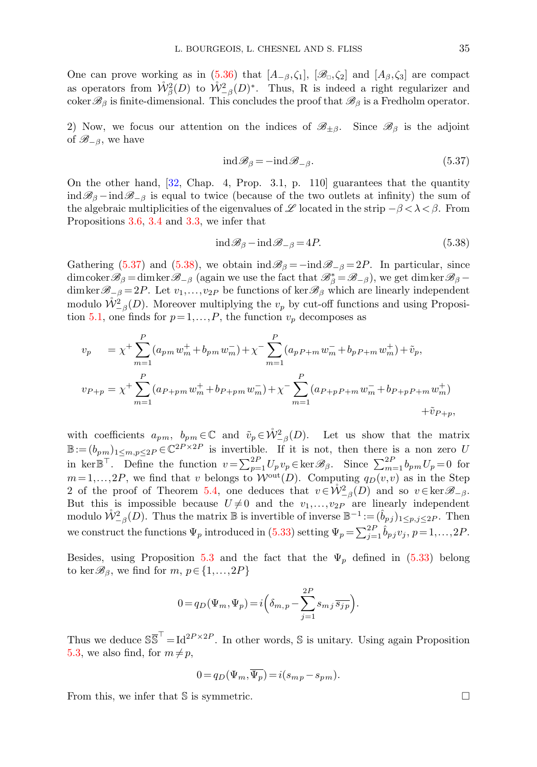One can prove working as in [\(5.36\)](#page-33-1) that  $[A_{-\beta}, \zeta_1], [\mathscr{B}_{\alpha}, \zeta_2]$  and  $[A_{\beta}, \zeta_3]$  are compact as operators from  $\mathring{W}^2_{\beta}(D)$  to  $\mathring{W}^2_{-\beta}(D)^*$ . Thus, R is indeed a right regularizer and  $\operatorname{coker}\mathscr{B}_{\beta}$  is finite-dimensional. This concludes the proof that  $\mathscr{B}_{\beta}$  is a Fredholm operator.

2) Now, we focus our attention on the indices of  $\mathscr{B}_{\pm\beta}$ . Since  $\mathscr{B}_{\beta}$  is the adjoint of  $\mathscr{B}_{-\beta}$ , we have

<span id="page-34-0"></span>
$$
ind\mathcal{B}_{\beta} = -ind\mathcal{B}_{-\beta}.
$$
\n(5.37)

On the other hand, [\[32,](#page-41-17) Chap. 4, Prop. 3.1, p. 110] guarantees that the quantity  $\text{ind}\mathscr{B}_{\beta}$  – ind $\mathscr{B}_{-\beta}$  is equal to twice (because of the two outlets at infinity) the sum of the algebraic multiplicities of the eigenvalues of L located in the strip  $-\beta < \lambda < \beta$ . From Propositions [3.6,](#page-9-0) [3.4](#page-7-4) and [3.3,](#page-6-0) we infer that

<span id="page-34-1"></span>
$$
ind\mathcal{B}_{\beta}-ind\mathcal{B}_{-\beta}=4P.
$$
\n(5.38)

Gathering [\(5.37\)](#page-34-0) and [\(5.38\)](#page-34-1), we obtain  $\text{ind}\mathscr{B}_{\beta} = -\text{ind}\mathscr{B}_{-\beta} = 2P$ . In particular, since dimcoker  $\mathscr{B}_{\beta}$  = dimker  $\mathscr{B}_{-\beta}$  (again we use the fact that  $\mathscr{B}_{\beta}^* = \mathscr{B}_{-\beta}$ ), we get dimker  $\mathscr{B}_{\beta}$  dimker $\mathscr{B}_{-\beta} = 2P$ . Let  $v_1, \ldots, v_{2P}$  be functions of ker $\mathscr{B}_{\beta}$  which are linearly independent modulo  $\mathring{\mathcal{W}}_{-\beta}^2(D)$ . Moreover multiplying the  $v_p$  by cut-off functions and using Proposi-tion [5.1,](#page-25-0) one finds for  $p = 1, ..., P$ , the function  $v_p$  decomposes as

$$
v_p = \chi^+ \sum_{m=1}^P (a_{pm} w_m^+ + b_{pm} w_m^-) + \chi^- \sum_{m=1}^P (a_{pP+m} w_m^- + b_{pP+m} w_m^+) + \tilde{v}_p,
$$
  

$$
v_{P+p} = \chi^+ \sum_{m=1}^P (a_{P+pm} w_m^+ + b_{P+pm} w_m^-) + \chi^- \sum_{m=1}^P (a_{P+pP+m} w_m^- + b_{P+pP+m} w_m^+) + \tilde{v}_{P+p},
$$

with coefficients  $a_{pm}$ ,  $b_{pm} \in \mathbb{C}$  and  $\tilde{v}_p \in \mathring{W}^2_{-\beta}(D)$ . Let us show that the matrix  $\mathbb{B} := (b_{pm})_{1 \leq m,p \leq 2P} \in \mathbb{C}^{2P \times 2P}$  is invertible. If it is not, then there is a non zero U in ker $\mathbb{B}^{\top}$ . Define the function  $v = \sum_{p=1}^{2P} U_p v_p \in \ker \mathscr{B}_{\beta}$ . Since  $\sum_{m=1}^{2P} b_{pm} U_p = 0$  for  $m=1,\ldots,2P$ , we find that v belongs to  $\mathcal{W}^{out}(D)$ . Computing  $q_D(v,v)$  as in the Step 2 of the proof of Theorem [5.4,](#page-30-0) one deduces that  $v \in \mathcal{W}_{-\beta}^2(D)$  and so  $v \in \text{ker } \mathscr{B}_{-\beta}$ . But this is impossible because  $U \neq 0$  and the  $v_1, \ldots, v_{2P}$  are linearly independent modulo  $\mathring{W}_{-\beta}^2(D)$ . Thus the matrix  $\mathbb B$  is invertible of inverse  $\mathbb B^{-1}:=(\hat{b}_{pj})_{1\leq p,j\leq 2P}$ . Then we construct the functions  $\Psi_p$  introduced in [\(5.33\)](#page-30-2) setting  $\Psi_p = \sum_{j=1}^{2P} \hat{b}_{pj} v_j$ ,  $p = 1, \ldots, 2P$ .

Besides, using Proposition [5.3](#page-30-3) and the fact that the  $\Psi_p$  defined in [\(5.33\)](#page-30-2) belong to ker $\mathcal{B}_{\beta}$ , we find for  $m, p \in \{1, ..., 2P\}$ 

$$
0 = q_D(\Psi_m, \Psi_p) = i \left( \delta_{m,p} - \sum_{j=1}^{2P} s_{mj} \, \overline{s_{jp}} \right).
$$

Thus we deduce  $S\overline{S}^T = Id^{2P \times 2P}$ . In other words, S is unitary. Using again Proposition [5.3,](#page-30-3) we also find, for  $m \neq p$ ,

$$
0 = q_D(\Psi_m, \Psi_p) = i(s_{mp} - s_{pm}).
$$

From this, we infer that  $\mathbb S$  is symmetric.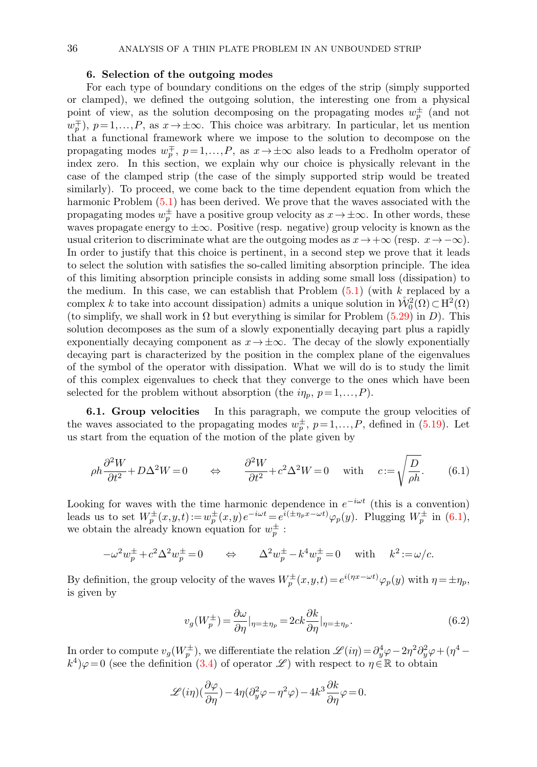# 36 ANALYSIS OF A THIN PLATE PROBLEM IN AN UNBOUNDED STRIP

# 6. Selection of the outgoing modes

<span id="page-35-0"></span>For each type of boundary conditions on the edges of the strip (simply supported or clamped), we defined the outgoing solution, the interesting one from a physical point of view, as the solution decomposing on the propagating modes  $w_p^{\pm}$  (and not  $w_p^{\pm}$ ),  $p=1,\ldots,P$ , as  $x\to\pm\infty$ . This choice was arbitrary. In particular, let us mention that a functional framework where we impose to the solution to decompose on the propagating modes  $w_p^{\pm}$ ,  $p=1,\ldots,P$ , as  $x\to\pm\infty$  also leads to a Fredholm operator of index zero. In this section, we explain why our choice is physically relevant in the case of the clamped strip (the case of the simply supported strip would be treated similarly). To proceed, we come back to the time dependent equation from which the harmonic Problem [\(5.1\)](#page-20-1) has been derived. We prove that the waves associated with the propagating modes  $w_p^{\pm}$  have a positive group velocity as  $x \to \pm \infty$ . In other words, these waves propagate energy to  $\pm \infty$ . Positive (resp. negative) group velocity is known as the usual criterion to discriminate what are the outgoing modes as  $x \to +\infty$  (resp.  $x \to -\infty$ ). In order to justify that this choice is pertinent, in a second step we prove that it leads to select the solution with satisfies the so-called limiting absorption principle. The idea of this limiting absorption principle consists in adding some small loss (dissipation) to the medium. In this case, we can establish that Problem  $(5.1)$  (with k replaced by a complex k to take into account dissipation) admits a unique solution in  $\mathring{W}^2_0(\Omega) \subset H^2(\Omega)$ (to simplify, we shall work in  $\Omega$  but everything is similar for Problem [\(5.29\)](#page-28-0) in D). This solution decomposes as the sum of a slowly exponentially decaying part plus a rapidly exponentially decaying component as  $x \to \pm \infty$ . The decay of the slowly exponentially decaying part is characterized by the position in the complex plane of the eigenvalues of the symbol of the operator with dissipation. What we will do is to study the limit of this complex eigenvalues to check that they converge to the ones which have been selected for the problem without absorption (the  $i\eta_p$ ,  $p=1,\ldots,P$ ).

**6.1. Group velocities** In this paragraph, we compute the group velocities of the waves associated to the propagating modes  $w_p^{\pm}$ ,  $p=1,\ldots,P$ , defined in [\(5.19\)](#page-25-4). Let us start from the equation of the motion of the plate given by

$$
\rho h \frac{\partial^2 W}{\partial t^2} + D\Delta^2 W = 0 \qquad \Leftrightarrow \qquad \frac{\partial^2 W}{\partial t^2} + c^2 \Delta^2 W = 0 \qquad \text{with} \qquad c := \sqrt{\frac{D}{\rho h}}. \tag{6.1}
$$

Looking for waves with the time harmonic dependence in  $e^{-i\omega t}$  (this is a convention) leads us to set  $W_p^{\pm}(x,y,t) := w_p^{\pm}(x,y)e^{-i\omega t} = e^{i(\pm \eta_p x - \omega t)}\varphi_p(y)$ . Plugging  $W_p^{\pm}$  in [\(6.1\)](#page-35-1), we obtain the already known equation for  $w_p^{\pm}$ :

<span id="page-35-2"></span>
$$
-\omega^2 w_p^{\pm} + c^2 \Delta^2 w_p^{\pm} = 0 \qquad \Leftrightarrow \qquad \Delta^2 w_p^{\pm} - k^4 w_p^{\pm} = 0 \quad \text{with} \quad k^2 := \omega/c.
$$

By definition, the group velocity of the waves  $W_p^{\pm}(x,y,t) = e^{i(\eta x - \omega t)} \varphi_p(y)$  with  $\eta = \pm \eta_p$ , is given by

<span id="page-35-1"></span>
$$
v_g(W_p^{\pm}) = \frac{\partial \omega}{\partial \eta}|_{\eta = \pm \eta_p} = 2ck \frac{\partial k}{\partial \eta}|_{\eta = \pm \eta_p}.
$$
\n(6.2)

In order to compute  $v_g(W_p^{\pm})$ , we differentiate the relation  $\mathscr{L}(i\eta) = \partial_y^4 \varphi - 2\eta^2 \partial_y^2 \varphi + (\eta^4 - \eta^4)$  $(k^4)\varphi=0$  (see the definition [\(3.4\)](#page-4-4) of operator  $\mathscr{L}$ ) with respect to  $\eta \in \mathbb{R}$  to obtain

$$
\mathscr{L}(i\eta)(\frac{\partial\varphi}{\partial\eta}) - 4\eta(\partial_y^2\varphi - \eta^2\varphi) - 4k^3\frac{\partial k}{\partial\eta}\varphi = 0.
$$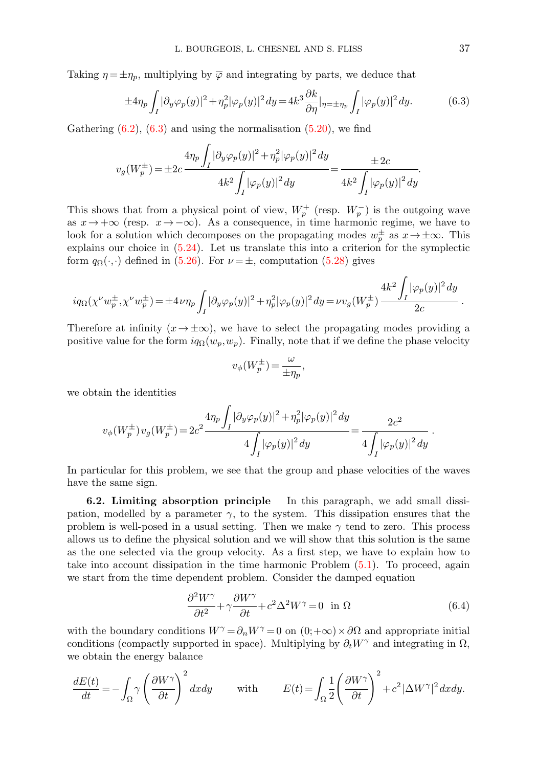Taking  $\eta = \pm \eta_p$ , multiplying by  $\overline{\varphi}$  and integrating by parts, we deduce that

$$
\pm 4\eta_p \int_I |\partial_y \varphi_p(y)|^2 + \eta_p^2 |\varphi_p(y)|^2 dy = 4k^3 \frac{\partial k}{\partial \eta} |_{\eta = \pm \eta_p} \int_I |\varphi_p(y)|^2 dy. \tag{6.3}
$$

Gathering  $(6.2)$ ,  $(6.3)$  and using the normalisation  $(5.20)$ , we find

$$
v_g(W_p^{\pm}) = \pm 2c \frac{4\eta_p \int_I |\partial_y \varphi_p(y)|^2 + \eta_p^2 |\varphi_p(y)|^2 dy}{4k^2 \int_I |\varphi_p(y)|^2 dy} = \frac{\pm 2c}{4k^2 \int_I |\varphi_p(y)|^2 dy}
$$

This shows that from a physical point of view,  $W_p^+$  (resp.  $W_p^-$ ) is the outgoing wave as  $x \to +\infty$  (resp.  $x \to -\infty$ ). As a consequence, in time harmonic regime, we have to look for a solution which decomposes on the propagating modes  $w_p^{\pm}$  as  $x \to \pm \infty$ . This explains our choice in [\(5.24\)](#page-26-0). Let us translate this into a criterion for the symplectic form  $q_{\Omega}(\cdot,\cdot)$  defined in [\(5.26\)](#page-26-4). For  $\nu = \pm$ , computation [\(5.28\)](#page-27-0) gives

$$
iq_{\Omega}(\chi^{\nu}w_p^{\pm},\chi^{\nu}w_p^{\pm}) = \pm 4\nu\eta_p \int_I |\partial_y \varphi_p(y)|^2 + \eta_p^2 |\varphi_p(y)|^2 dy = \nu v_g(W_p^{\pm}) \frac{4k^2 \int_I |\varphi_p(y)|^2 dy}{2c}.
$$

Therefore at infinity  $(x \to \pm \infty)$ , we have to select the propagating modes providing a positive value for the form  $iq_{\Omega}(w_p,w_p)$ . Finally, note that if we define the phase velocity

$$
v_{\phi}(W_p^{\pm}) = \frac{\omega}{\pm \eta_p},
$$

we obtain the identities

$$
v_{\phi}(W_p^{\pm})v_g(W_p^{\pm})\!=\!2c^2\frac{4\eta_p\displaystyle{\int_I|\partial_y\varphi_p(y)|^2+\eta_p^2|\varphi_p(y)|^2\,dy}}{4\displaystyle{\int_I|\varphi_p(y)|^2\,dy}}\!=\!\frac{2c^2}{4\displaystyle{\int_I|\varphi_p(y)|^2\,dy}}\,.
$$

In particular for this problem, we see that the group and phase velocities of the waves have the same sign.

6.2. Limiting absorption principle In this paragraph, we add small dissipation, modelled by a parameter  $\gamma$ , to the system. This dissipation ensures that the problem is well-posed in a usual setting. Then we make  $\gamma$  tend to zero. This process allows us to define the physical solution and we will show that this solution is the same as the one selected via the group velocity. As a first step, we have to explain how to take into account dissipation in the time harmonic Problem [\(5.1\)](#page-20-1). To proceed, again we start from the time dependent problem. Consider the damped equation

<span id="page-36-1"></span>
$$
\frac{\partial^2 W^{\gamma}}{\partial t^2} + \gamma \frac{\partial W^{\gamma}}{\partial t} + c^2 \Delta^2 W^{\gamma} = 0 \quad \text{in } \Omega \tag{6.4}
$$

with the boundary conditions  $W^{\gamma} = \partial_n W^{\gamma} = 0$  on  $(0; +\infty) \times \partial \Omega$  and appropriate initial conditions (compactly supported in space). Multiplying by  $\partial_t W^{\gamma}$  and integrating in  $\Omega$ , we obtain the energy balance

$$
\frac{dE(t)}{dt} = -\int_{\Omega} \gamma \left(\frac{\partial W^{\gamma}}{\partial t}\right)^2 dxdy \quad \text{with} \quad E(t) = \int_{\Omega} \frac{1}{2} \left(\frac{\partial W^{\gamma}}{\partial t}\right)^2 + c^2 \, |\Delta W^{\gamma}|^2 \, dxdy.
$$

<span id="page-36-0"></span>.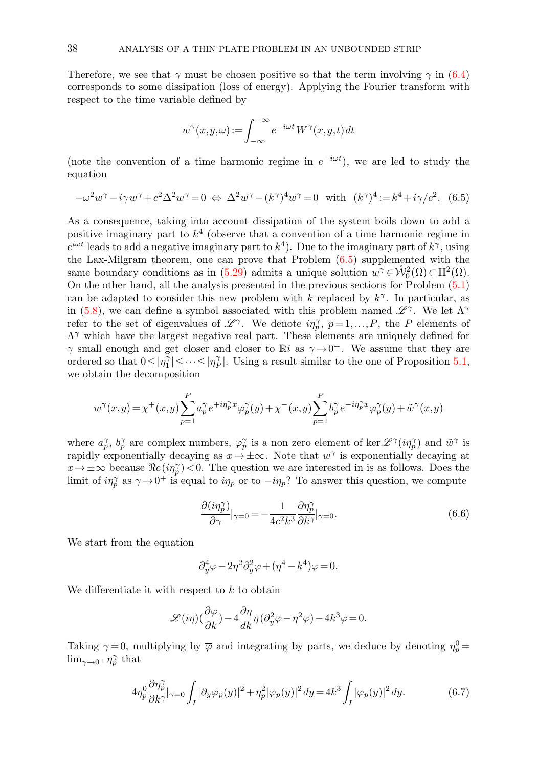Therefore, we see that  $\gamma$  must be chosen positive so that the term involving  $\gamma$  in [\(6.4\)](#page-36-1) corresponds to some dissipation (loss of energy). Applying the Fourier transform with respect to the time variable defined by

$$
w^{\gamma}(x,y,\omega):=\int_{-\infty}^{+\infty}e^{-i\omega t}\,W^{\gamma}(x,y,t)\,dt
$$

(note the convention of a time harmonic regime in  $e^{-i\omega t}$ ), we are led to study the equation

<span id="page-37-0"></span>
$$
-\omega^2 w^\gamma - i\gamma w^\gamma + c^2 \Delta^2 w^\gamma = 0 \Leftrightarrow \Delta^2 w^\gamma - (k^\gamma)^4 w^\gamma = 0 \text{ with } (k^\gamma)^4 := k^4 + i\gamma/c^2. \tag{6.5}
$$

As a consequence, taking into account dissipation of the system boils down to add a positive imaginary part to  $k^4$  (observe that a convention of a time harmonic regime in  $e^{i\omega t}$  leads to add a negative imaginary part to  $k^4$ ). Due to the imaginary part of  $k^{\gamma}$ , using the Lax-Milgram theorem, one can prove that Problem [\(6.5\)](#page-37-0) supplemented with the same boundary conditions as in [\(5.29\)](#page-28-0) admits a unique solution  $w^{\gamma} \in \mathring{\mathcal{W}}_0^2(\Omega) \subset H^2(\Omega)$ . On the other hand, all the analysis presented in the previous sections for Problem [\(5.1\)](#page-20-1) can be adapted to consider this new problem with k replaced by  $k^{\gamma}$ . In particular, as in [\(5.8\)](#page-21-0), we can define a symbol associated with this problem named  $\mathscr{L}^{\gamma}$ . We let  $\Lambda^{\gamma}$ refer to the set of eigenvalues of  $\mathscr{L}^{\gamma}$ . We denote  $i\eta_{p}^{\gamma}$ ,  $p=1,\ldots,P$ , the P elements of  $\Lambda^{\gamma}$  which have the largest negative real part. These elements are uniquely defined for  $\gamma$  small enough and get closer and closer to Ri as  $\gamma \rightarrow 0^+$ . We assume that they are ordered so that  $0 \leq |\eta_1^{\gamma}| \leq \cdots \leq |\eta_p^{\gamma}|$ . Using a result similar to the one of Proposition [5.1,](#page-25-0) we obtain the decomposition

$$
w^\gamma(x,y) = \chi^+(x,y) \sum_{p=1}^P a_p^\gamma e^{+i\eta_p^\gamma x} \varphi_p^\gamma(y) + \chi^-(x,y) \sum_{p=1}^P b_p^\gamma e^{-i\eta_p^\gamma x} \varphi_p^\gamma(y) + \tilde{w}^\gamma(x,y)
$$

where  $a_p^{\gamma}$ ,  $b_p^{\gamma}$  are complex numbers,  $\varphi_p^{\gamma}$  is a non zero element of ker  $\mathscr{L}^{\gamma}(i\eta_p^{\gamma})$  and  $\tilde{w}^{\gamma}$  is rapidly exponentially decaying as  $x \to \pm \infty$ . Note that  $w^{\gamma}$  is exponentially decaying at  $x \to \pm \infty$  because  $\Re e(i\eta_p^{\gamma}) < 0$ . The question we are interested in is as follows. Does the limit of  $i\eta_p^{\gamma}$  as  $\gamma \to 0^+$  is equal to  $i\eta_p$  or to  $-i\eta_p$ ? To answer this question, we compute

<span id="page-37-1"></span>
$$
\frac{\partial(i\eta_p^{\gamma})}{\partial \gamma}|_{\gamma=0} = -\frac{1}{4c^2k^3} \frac{\partial \eta_p^{\gamma}}{\partial k^{\gamma}}|_{\gamma=0}.
$$
\n(6.6)

We start from the equation

$$
\partial_y^4\varphi-2\eta^2\partial_y^2\varphi+(\eta^4-k^4)\varphi=0.
$$

We differentiate it with respect to  $k$  to obtain

$$
\mathscr{L}(i\eta)(\frac{\partial\varphi}{\partial k}) - 4\frac{\partial\eta}{dk}\eta(\partial_y^2\varphi - \eta^2\varphi) - 4k^3\varphi = 0.
$$

Taking  $\gamma = 0$ , multiplying by  $\overline{\varphi}$  and integrating by parts, we deduce by denoting  $\eta_p^0 =$  $\lim_{\gamma \to 0^+} \eta_p^{\gamma}$  that

<span id="page-37-2"></span>
$$
4\eta_p^0 \frac{\partial \eta_p^{\gamma}}{\partial k^{\gamma}} \Big|_{\gamma=0} \int_I |\partial_y \varphi_p(y)|^2 + \eta_p^2 |\varphi_p(y)|^2 dy = 4k^3 \int_I |\varphi_p(y)|^2 dy. \tag{6.7}
$$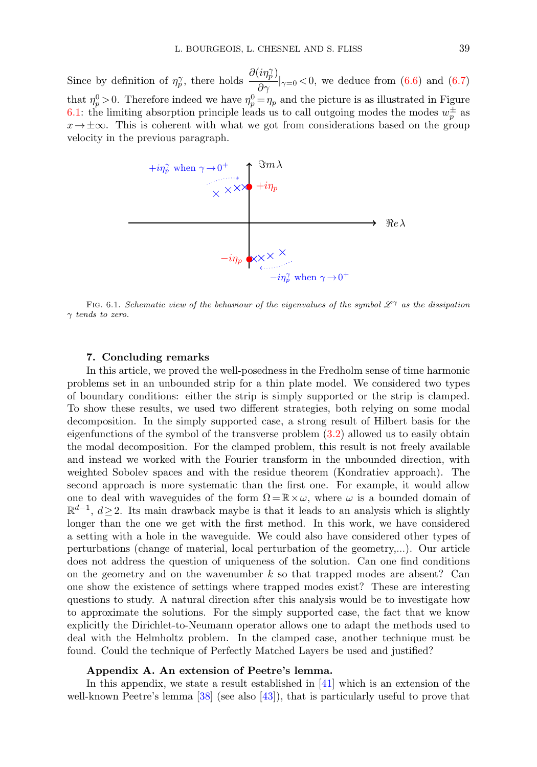Since by definition of  $\eta_p^{\gamma}$ , there holds  $\frac{\partial(i\eta_p^{\gamma})}{\partial \gamma}|_{\gamma=0} < 0$ , we deduce from [\(6.6\)](#page-37-1) and [\(6.7\)](#page-37-2) that  $\eta_p^0 > 0$ . Therefore indeed we have  $\eta_p^0 = \eta_p$  and the picture is as illustrated in Figure [6.1:](#page-2-1) the limiting absorption principle leads us to call outgoing modes the modes  $w_p^{\pm}$  as  $x \to \pm \infty$ . This is coherent with what we got from considerations based on the group velocity in the previous paragraph.



FIG. 6.1. Schematic view of the behaviour of the eigenvalues of the symbol  $\mathscr{L}^{\gamma}$  as the dissipation  $\gamma$  tends to zero.

# 7. Concluding remarks

<span id="page-38-0"></span>In this article, we proved the well-posedness in the Fredholm sense of time harmonic problems set in an unbounded strip for a thin plate model. We considered two types of boundary conditions: either the strip is simply supported or the strip is clamped. To show these results, we used two different strategies, both relying on some modal decomposition. In the simply supported case, a strong result of Hilbert basis for the eigenfunctions of the symbol of the transverse problem [\(3.2\)](#page-4-1) allowed us to easily obtain the modal decomposition. For the clamped problem, this result is not freely available and instead we worked with the Fourier transform in the unbounded direction, with weighted Sobolev spaces and with the residue theorem (Kondratiev approach). The second approach is more systematic than the first one. For example, it would allow one to deal with waveguides of the form  $\Omega = \mathbb{R} \times \omega$ , where  $\omega$  is a bounded domain of  $\mathbb{R}^{d-1}$ ,  $d \geq 2$ . Its main drawback maybe is that it leads to an analysis which is slightly longer than the one we get with the first method. In this work, we have considered a setting with a hole in the waveguide. We could also have considered other types of perturbations (change of material, local perturbation of the geometry,...). Our article does not address the question of uniqueness of the solution. Can one find conditions on the geometry and on the wavenumber  $k$  so that trapped modes are absent? Can one show the existence of settings where trapped modes exist? These are interesting questions to study. A natural direction after this analysis would be to investigate how to approximate the solutions. For the simply supported case, the fact that we know explicitly the Dirichlet-to-Neumann operator allows one to adapt the methods used to deal with the Helmholtz problem. In the clamped case, another technique must be found. Could the technique of Perfectly Matched Layers be used and justified?

# <span id="page-38-1"></span>Appendix A. An extension of Peetre's lemma.

In this appendix, we state a result established in [\[41\]](#page-42-3) which is an extension of the well-known Peetre's lemma [\[38\]](#page-42-4) (see also [\[43\]](#page-42-5)), that is particularly useful to prove that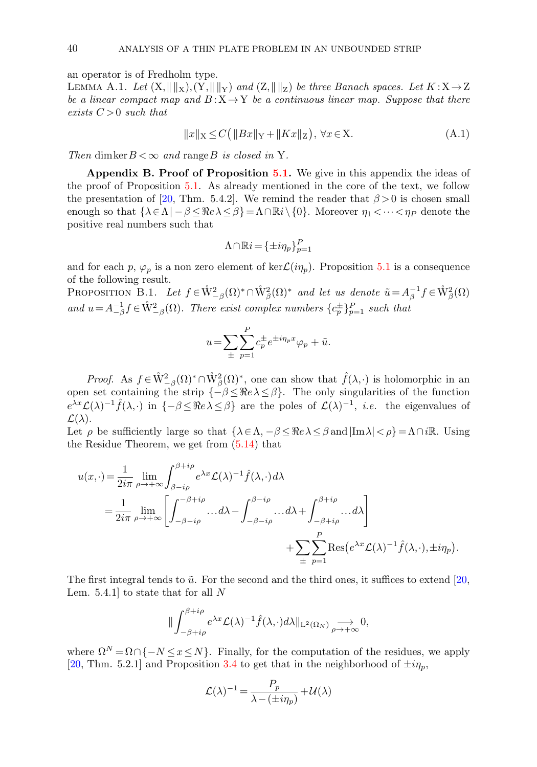an operator is of Fredholm type.

<span id="page-39-1"></span>LEMMA A.1. Let  $(X, \|\|_X), (Y, \|\|_Y)$  and  $(Z, \|\|_Z)$  be three Banach spaces. Let  $K : X \rightarrow Z$ be a linear compact map and  $B: X \rightarrow Y$  be a continuous linear map. Suppose that there exists  $C > 0$  such that

$$
||x||_X \le C(||Bx||_Y + ||Kx||_Z), \forall x \in X.
$$
\n(A.1)

Then dimker  $B < \infty$  and range B is closed in Y.

<span id="page-39-0"></span>Appendix B. Proof of Proposition [5.1.](#page-25-0) We give in this appendix the ideas of the proof of Proposition [5.1.](#page-25-0) As already mentioned in the core of the text, we follow the presentation of [\[20,](#page-41-14) Thm. 5.4.2]. We remind the reader that  $\beta > 0$  is chosen small enough so that  $\{\lambda \in \Lambda | -\beta \leq \Re e \lambda \leq \beta\} = \Lambda \cap \mathbb{R}i \setminus \{0\}$ . Moreover  $\eta_1 < \cdots < \eta_P$  denote the positive real numbers such that

<span id="page-39-2"></span>
$$
\Lambda\cap\mathbb{R}i=\{\pm i\eta_p\}_{p=1}^P
$$

and for each p,  $\varphi_p$  is a non zero element of ker $\mathcal{L}(i\eta_p)$ . Proposition [5.1](#page-25-0) is a consequence of the following result.

PROPOSITION B.1. Let  $f \in \mathring{W}_{-\beta}^2(\Omega)^* \cap \mathring{W}_{\beta}^2(\Omega)^*$  and let us denote  $\tilde{u} = A_{\beta}^{-1} f \in \mathring{W}_{\beta}^2(\Omega)$ and  $u = A_{-\beta}^{-1} f \in \mathring{W}_{-\beta}^2(\Omega)$ . There exist complex numbers  $\{c_p^{\pm}\}_{p=1}^P$  such that

$$
u = \sum_{\pm} \sum_{p=1}^{P} c_p^{\pm} e^{\pm i \eta_p x} \varphi_p + \tilde{u}.
$$

*Proof.* As  $f \in \mathring{W}^2_{-\beta}(\Omega)^* \cap \mathring{W}^2_{\beta}(\Omega)^*$ , one can show that  $\hat{f}(\lambda, \cdot)$  is holomorphic in an open set containing the strip  $\{-\beta \leq \Re e \lambda \leq \beta\}$ . The only singularities of the function  $e^{\lambda x}\mathcal{L}(\lambda)^{-1}\hat{f}(\lambda,\cdot)$  in  $\{-\beta \leq \Re e \lambda \leq \beta\}$  are the poles of  $\mathcal{L}(\lambda)^{-1}$ , *i.e.* the eigenvalues of  $\mathcal{L}(\lambda)$ .

Let  $\rho$  be sufficiently large so that  $\{\lambda \in \Lambda, -\beta \leq \Re e \lambda \leq \beta \text{ and } |\text{Im }\lambda| < \rho\} = \Lambda \cap i\mathbb{R}$ . Using the Residue Theorem, we get from [\(5.14\)](#page-24-3) that

$$
u(x, \cdot) = \frac{1}{2i\pi} \lim_{\rho \to +\infty} \int_{\beta - i\rho}^{\beta + i\rho} e^{\lambda x} \mathcal{L}(\lambda)^{-1} \hat{f}(\lambda, \cdot) d\lambda
$$
  
= 
$$
\frac{1}{2i\pi} \lim_{\rho \to +\infty} \left[ \int_{-\beta - i\rho}^{-\beta + i\rho} \dots d\lambda - \int_{-\beta - i\rho}^{\beta - i\rho} \dots d\lambda + \int_{-\beta + i\rho}^{\beta + i\rho} \dots d\lambda \right]
$$
  
+ 
$$
\sum_{\pm} \sum_{p=1}^{P} \text{Res}(e^{\lambda x} \mathcal{L}(\lambda)^{-1} \hat{f}(\lambda, \cdot), \pm i\eta_{p}).
$$

The first integral tends to  $\tilde{u}$ . For the second and the third ones, it suffices to extend [\[20,](#page-41-14) Lem. 5.4.1 to state that for all  $N$ 

$$
\|\int_{-\beta+i\rho}^{\beta+i\rho} e^{\lambda x} \mathcal{L}(\lambda)^{-1} \hat{f}(\lambda,\cdot) d\lambda\|_{\mathcal{L}^2(\Omega_N)} \underset{\rho \to +\infty}{\longrightarrow} 0,
$$

where  $\Omega^N = \Omega \cap \{-N \leq x \leq N\}$ . Finally, for the computation of the residues, we apply [\[20,](#page-41-14) Thm. 5.2.1] and Proposition [3.4](#page-7-4) to get that in the neighborhood of  $\pm i\eta_p$ ,

$$
\mathcal{L}(\lambda)^{-1} = \frac{P_p}{\lambda - (\pm i\eta_p)} + \mathcal{U}(\lambda)
$$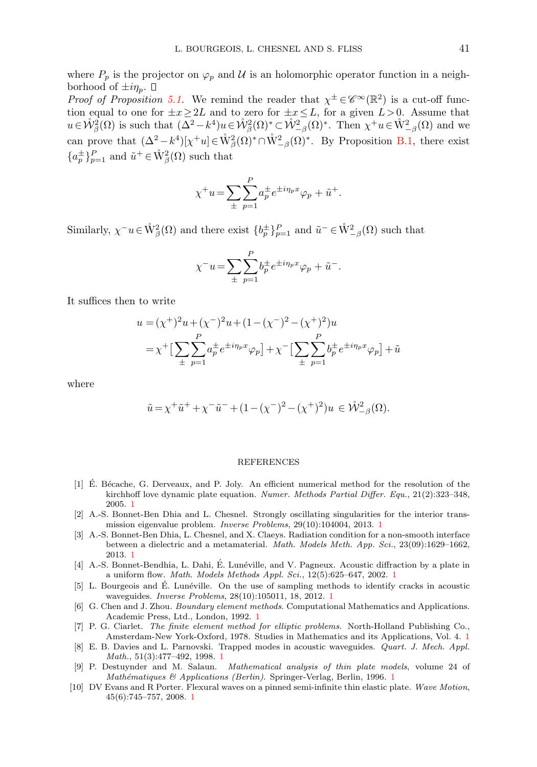where  $P_p$  is the projector on  $\varphi_p$  and U is an holomorphic operator function in a neighborhood of  $\pm i\eta_p$ .  $\Box$ 

Proof of Proposition [5.1.](#page-25-0) We remind the reader that  $\chi^{\pm} \in \mathscr{C}^{\infty}(\mathbb{R}^2)$  is a cut-off function equal to one for  $\pm x \geq 2L$  and to zero for  $\pm x \leq L$ , for a given  $L > 0$ . Assume that  $u \in \mathring{\mathcal{W}}^2_{\beta}(\Omega)$  is such that  $(\Delta^2 - k^4)u \in \mathring{\mathcal{W}}^2_{\beta}(\Omega)^* \subset \mathring{\mathcal{W}}^2_{-\beta}(\Omega)^*$ . Then  $\chi^+ u \in \mathring{\mathcal{W}}^2_{-\beta}(\Omega)$  and we can prove that  $(\Delta^2 - k^4)[\chi^+ u] \in \mathring{W}_\beta^2(\Omega)^* \cap \mathring{W}_{-\beta}^2(\Omega)^*$ . By Proposition [B.1,](#page-39-2) there exist  ${a_p^{\pm}}_{p=1}^P$  and  $\tilde{u}^+ \in \mathring{W}_{\beta}^2(\Omega)$  such that

$$
\chi^+ u = \sum_{\pm} \sum_{p=1}^P a_p^{\pm} e^{\pm i \eta_p x} \varphi_p + \tilde{u}^+.
$$

Similarly,  $\chi^- u \in \mathring{W}^2_{\beta}(\Omega)$  and there exist  $\{b_p^{\pm}\}_{p=1}^P$  and  $\tilde{u}^- \in \mathring{W}^2_{-\beta}(\Omega)$  such that

$$
\chi^{-}u = \sum_{\pm} \sum_{p=1}^{P} b_p^{\pm} e^{\pm i \eta_p x} \varphi_p + \tilde{u}^-.
$$

It suffices then to write

$$
u = (\chi^+)^2 u + (\chi^-)^2 u + (1 - (\chi^-)^2 - (\chi^+)^2) u
$$
  
=  $\chi^+ \left[ \sum_{\pm} \sum_{p=1}^P a_p^{\pm} e^{\pm i \eta_p x} \varphi_p \right] + \chi^- \left[ \sum_{\pm} \sum_{p=1}^P b_p^{\pm} e^{\pm i \eta_p x} \varphi_p \right] + \tilde{u}$ 

where

$$
\tilde{u} = \chi^+ \tilde{u}^+ + \chi^- \tilde{u}^- + (1 - (\chi^-)^2 - (\chi^+)^2)u \, \in \mathring{\mathcal{W}}^2_{-\beta}(\Omega).
$$

#### REFERENCES

- <span id="page-40-3"></span>[1] E. Bécache, G. Derveaux, and P. Joly. An efficient numerical method for the resolution of the kirchhoff love dynamic plate equation. Numer. Methods Partial Differ. Equ., 21(2):323–348, 2005. [1](#page-0-0)
- <span id="page-40-8"></span>[2] A.-S. Bonnet-Ben Dhia and L. Chesnel. Strongly oscillating singularities for the interior transmission eigenvalue problem. Inverse Problems, 29(10):104004, 2013. [1](#page-0-0)
- <span id="page-40-9"></span>[3] A.-S. Bonnet-Ben Dhia, L. Chesnel, and X. Claeys. Radiation condition for a non-smooth interface between a dielectric and a metamaterial. Math. Models Meth. App. Sci., 23(09):1629–1662, 2013. [1](#page-0-0)
- <span id="page-40-5"></span>[4] A.-S. Bonnet-Bendhia, L. Dahi, É. Lunéville, and V. Pagneux. Acoustic diffraction by a plate in a uniform flow. Math. Models Methods Appl. Sci., 12(5):625–647, 2002. [1](#page-0-0)
- <span id="page-40-6"></span>[5] L. Bourgeois and E. Lun´eville. On the use of sampling methods to identify cracks in acoustic ´ waveguides. Inverse Problems, 28(10):105011, 18, 2012. [1](#page-0-0)
- <span id="page-40-0"></span>[6] G. Chen and J. Zhou. *Boundary element methods*. Computational Mathematics and Applications. Academic Press, Ltd., London, 1992. [1](#page-0-0)
- <span id="page-40-1"></span>[7] P. G. Ciarlet. The finite element method for elliptic problems. North-Holland Publishing Co., Amsterdam-New York-Oxford, 1978. Studies in Mathematics and its Applications, Vol. 4. [1](#page-0-0)
- <span id="page-40-7"></span>[8] E. B. Davies and L. Parnovski. Trapped modes in acoustic waveguides. Quart. J. Mech. Appl. Math., 51(3):477–492, 1998. [1](#page-0-0)
- <span id="page-40-2"></span>[9] P. Destuynder and M. Salaun. Mathematical analysis of thin plate models, volume 24 of Mathématiques & Applications (Berlin). Springer-Verlag, Berlin, [1](#page-0-0)996. 1
- <span id="page-40-4"></span>[10] DV Evans and R Porter. Flexural waves on a pinned semi-infinite thin elastic plate. Wave Motion, 45(6):745–757, 2008. [1](#page-0-0)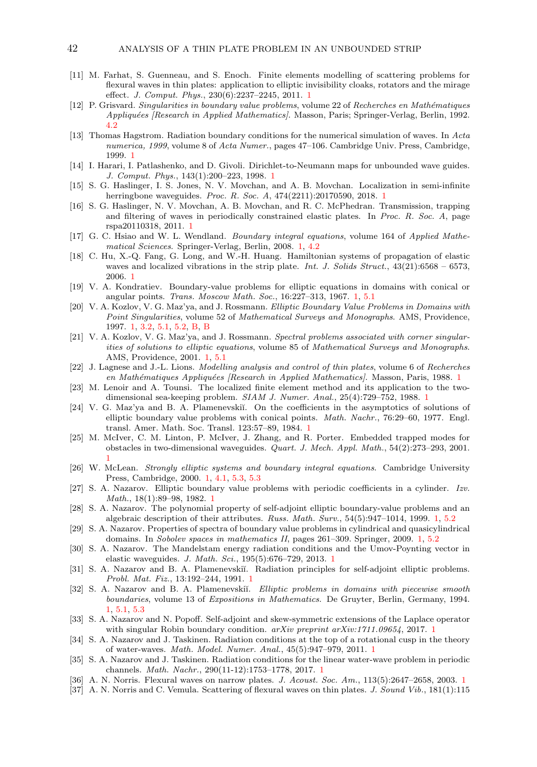- <span id="page-41-3"></span>[11] M. Farhat, S. Guenneau, and S. Enoch. Finite elements modelling of scattering problems for flexural waves in thin plates: application to elliptic invisibility cloaks, rotators and the mirage effect. J. Comput. Phys., 230(6):2237–2245, 2011. [1](#page-0-0)
- <span id="page-41-26"></span>[12] P. Grisvard. Singularities in boundary value problems, volume 22 of Recherches en Mathématiques Appliquées [Research in Applied Mathematics]. Masson, Paris; Springer-Verlag, Berlin, 1992. [4.2](#page-14-6)
- <span id="page-41-6"></span>[13] Thomas Hagstrom. Radiation boundary conditions for the numerical simulation of waves. In Acta numerica, 1999, volume 8 of Acta Numer., pages 47-106. Cambridge Univ. Press, Cambridge, 1999. [1](#page-0-0)
- <span id="page-41-7"></span>[14] I. Harari, I. Patlashenko, and D. Givoli. Dirichlet-to-Neumann maps for unbounded wave guides. J. Comput. Phys., 143(1):200–223, 1998. [1](#page-0-0)
- <span id="page-41-4"></span>[15] S. G. Haslinger, I. S. Jones, N. V. Movchan, and A. B. Movchan. Localization in semi-infinite herringbone waveguides. Proc. R. Soc. A, 474(2211):20170590, 2018. [1](#page-0-0)
- <span id="page-41-5"></span>[16] S. G. Haslinger, N. V. Movchan, A. B. Movchan, and R. C. McPhedran. Transmission, trapping and filtering of waves in periodically constrained elastic plates. In Proc. R. Soc. A, page rspa20110318, 2011. [1](#page-0-0)
- <span id="page-41-0"></span>[17] G. C. Hsiao and W. L. Wendland. Boundary integral equations, volume 164 of Applied Mathematical Sciences. Springer-Verlag, Berlin, 2008. [1,](#page-0-0) [4.2](#page-14-6)
- <span id="page-41-11"></span>[18] C. Hu, X.-Q. Fang, G. Long, and W.-H. Huang. Hamiltonian systems of propagation of elastic waves and localized vibrations in the strip plate. Int. J. Solids Struct.,  $43(21):6568 - 6573$ , 2006. [1](#page-0-0)
- <span id="page-41-13"></span>[19] V. A. Kondratiev. Boundary-value problems for elliptic equations in domains with conical or angular points. Trans. Moscow Math. Soc., 16:227–313, 1967. [1,](#page-0-0) [5.1](#page-20-1)
- <span id="page-41-14"></span>[20] V. A. Kozlov, V. G. Maz'ya, and J. Rossmann. Elliptic Boundary Value Problems in Domains with Point Singularities, volume 52 of Mathematical Surveys and Monographs. AMS, Providence, 1997. [1,](#page-0-0) [3.2,](#page-7-3) [5.1,](#page-20-1) [5.2,](#page-25-3) [B,](#page-39-0) [B](#page-39-2)
- <span id="page-41-15"></span>[21] V. A. Kozlov, V. G. Maz'ya, and J. Rossmann. Spectral problems associated with corner singularities of solutions to elliptic equations, volume 85 of Mathematical Surveys and Monographs. AMS, Providence, 2001. [1,](#page-0-0) [5.1](#page-20-1)
- <span id="page-41-1"></span>[22] J. Lagnese and J.-L. Lions. Modelling analysis and control of thin plates, volume 6 of Recherches en Mathématiques Appliquées [Research in Applied Mathematics]. Masson, Paris, [1](#page-0-0)988. 1
- <span id="page-41-8"></span>[23] M. Lenoir and A. Tounsi. The localized finite element method and its application to the twodimensional sea-keeping problem. SIAM J. Numer. Anal., 25(4):729–752, 1988. [1](#page-0-0)
- <span id="page-41-16"></span>[24] V. G. Maz'ya and B. A. Plamenevskiĭ. On the coefficients in the asymptotics of solutions of elliptic boundary value problems with conical points. Math. Nachr., 76:29–60, 1977. Engl. transl. Amer. Math. Soc. Transl. 123:57–89, 1984. [1](#page-0-0)
- <span id="page-41-10"></span>[25] M. McIver, C. M. Linton, P. McIver, J. Zhang, and R. Porter. Embedded trapped modes for obstacles in two-dimensional waveguides. Quart. J. Mech. Appl. Math., 54(2):273–293, 2001. [1](#page-0-0)
- <span id="page-41-9"></span>[26] W. McLean. Strongly elliptic systems and boundary integral equations. Cambridge University Press, Cambridge, 2000. [1,](#page-0-0) [4.1,](#page-10-3) [5.3,](#page-32-0) [5.3](#page-33-1)
- <span id="page-41-24"></span>[27] S. A. Nazarov. Elliptic boundary value problems with periodic coefficients in a cylinder. Izv. Math., 18(1):89–98, 1982. [1](#page-0-0)
- <span id="page-41-19"></span>[28] S. A. Nazarov. The polynomial property of self-adjoint elliptic boundary-value problems and an algebraic description of their attributes. Russ. Math. Surv., 54(5):947–1014, 1999. [1,](#page-0-0) [5.2](#page-25-2)
- <span id="page-41-20"></span>[29] S. A. Nazarov. Properties of spectra of boundary value problems in cylindrical and quasicylindrical domains. In Sobolev spaces in mathematics II, pages 261–309. Springer, 2009. [1,](#page-0-0) [5.2](#page-25-2)
- <span id="page-41-21"></span>[30] S. A. Nazarov. The Mandelstam energy radiation conditions and the Umov-Poynting vector in elastic waveguides. J. Math. Sci., 195(5):676–729, 2013. [1](#page-0-0)
- <span id="page-41-18"></span>[31] S. A. Nazarov and B. A. Plamenevskiı̆. Radiation principles for self-adjoint elliptic problems. Probl. Mat. Fiz., 13:192–244, 1991. [1](#page-0-0)
- <span id="page-41-17"></span>[32] S. A. Nazarov and B. A. Plamenevskiı̆. Elliptic problems in domains with piecewise smooth boundaries, volume 13 of Expositions in Mathematics. De Gruyter, Berlin, Germany, 1994. [1,](#page-0-0) [5.1,](#page-20-1) [5.3](#page-34-0)
- <span id="page-41-22"></span>[33] S. A. Nazarov and N. Popoff. Self-adjoint and skew-symmetric extensions of the Laplace operator with singular Robin boundary condition.  $a\bar{x}x\bar{v}$  preprint  $a\bar{x}x\bar{v}$ :[1](#page-0-0)711.09654, 2017. 1
- <span id="page-41-23"></span>[34] S. A. Nazarov and J. Taskinen. Radiation conditions at the top of a rotational cusp in the theory of water-waves. Math. Model. Numer. Anal., 45(5):947–979, 2011. [1](#page-0-0)
- <span id="page-41-25"></span>[35] S. A. Nazarov and J. Taskinen. Radiation conditions for the linear water-wave problem in periodic channels. Math. Nachr., 290(11-12):1753–1778, 2017. [1](#page-0-0)
- <span id="page-41-12"></span>[36] A. N. Norris. Flexural waves on narrow plates. J. Acoust. Soc. Am., [1](#page-0-0)13(5):2647–2658, 2003. 1
- <span id="page-41-2"></span>[37] A. N. Norris and C. Vemula. Scattering of flexural waves on thin plates. J. Sound Vib., 181(1):115